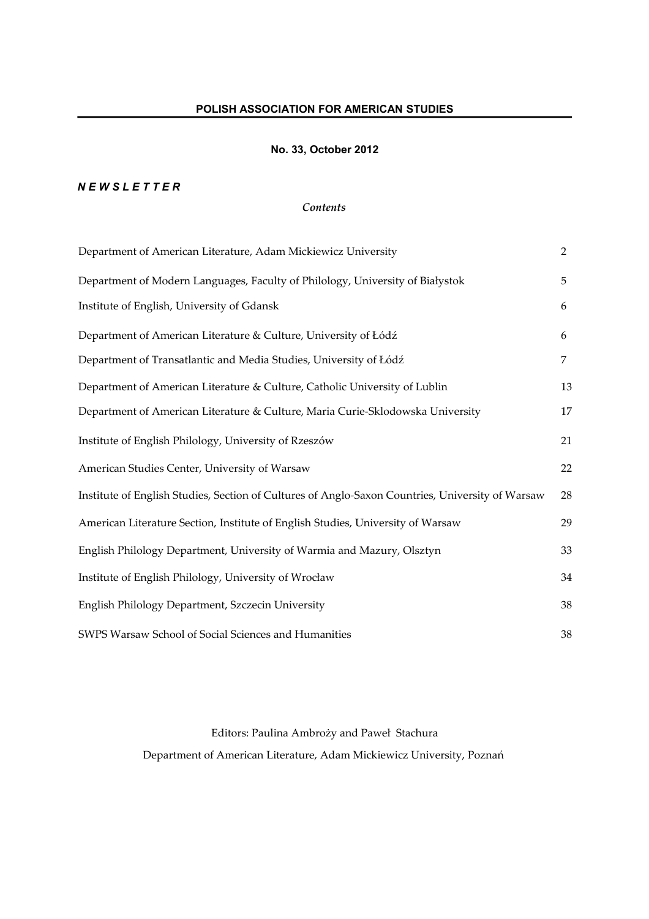# **No. 33, October 2012**

# *N E W S L E T T E R*

# *Contents*

| Department of American Literature, Adam Mickiewicz University                                    | $\overline{2}$ |
|--------------------------------------------------------------------------------------------------|----------------|
| Department of Modern Languages, Faculty of Philology, University of Białystok                    | 5              |
| Institute of English, University of Gdansk                                                       | 6              |
| Department of American Literature & Culture, University of Łódź                                  | 6              |
| Department of Transatlantic and Media Studies, University of Łódź                                | $\overline{7}$ |
| Department of American Literature & Culture, Catholic University of Lublin                       | 13             |
| Department of American Literature & Culture, Maria Curie-Sklodowska University                   | 17             |
| Institute of English Philology, University of Rzeszów                                            | 21             |
| American Studies Center, University of Warsaw                                                    | 22             |
| Institute of English Studies, Section of Cultures of Anglo-Saxon Countries, University of Warsaw | 28             |
| American Literature Section, Institute of English Studies, University of Warsaw                  | 29             |
| English Philology Department, University of Warmia and Mazury, Olsztyn                           | 33             |
| Institute of English Philology, University of Wrocław                                            | 34             |
| English Philology Department, Szczecin University                                                | 38             |
| SWPS Warsaw School of Social Sciences and Humanities                                             | 38             |

Editors: Paulina Ambroży and Paweł Stachura Department of American Literature, Adam Mickiewicz University, Poznań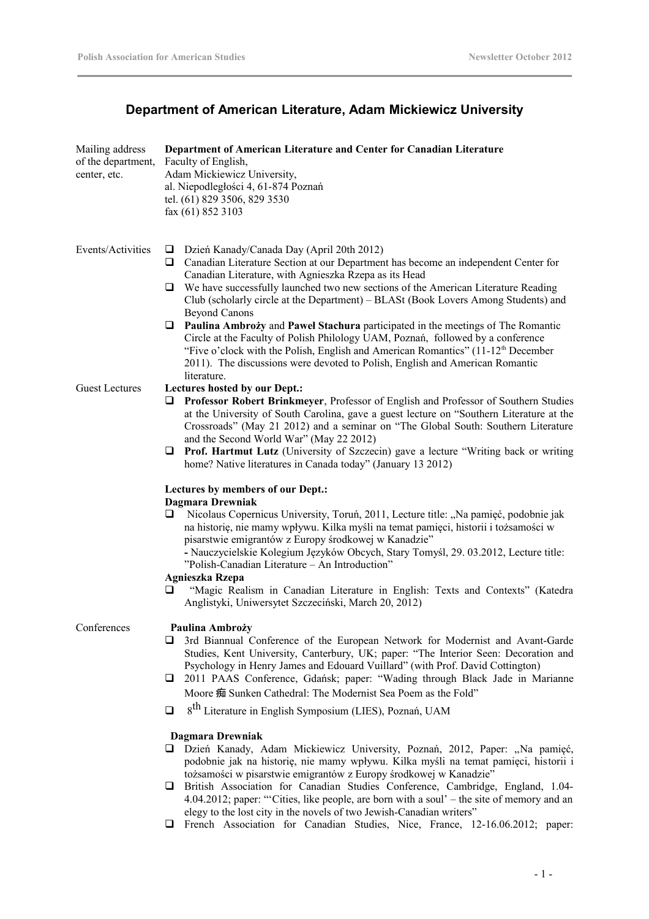# **Department of American Literature, Adam Mickiewicz University**

| Mailing address<br>of the department,<br>center, etc. | Department of American Literature and Center for Canadian Literature<br>Faculty of English,<br>Adam Mickiewicz University,<br>al. Niepodległości 4, 61-874 Poznań<br>tel. (61) 829 3506, 829 3530<br>fax (61) 852 3103                                                                                                                                                                                                                                                                                                                                                                                              |  |
|-------------------------------------------------------|---------------------------------------------------------------------------------------------------------------------------------------------------------------------------------------------------------------------------------------------------------------------------------------------------------------------------------------------------------------------------------------------------------------------------------------------------------------------------------------------------------------------------------------------------------------------------------------------------------------------|--|
| Events/Activities                                     | Dzień Kanady/Canada Day (April 20th 2012)<br>$\Box$<br>Canadian Literature Section at our Department has become an independent Center for<br>$\Box$<br>Canadian Literature, with Agnieszka Rzepa as its Head<br>We have successfully launched two new sections of the American Literature Reading<br>⊔<br>Club (scholarly circle at the Department) – BLASt (Book Lovers Among Students) and<br><b>Beyond Canons</b>                                                                                                                                                                                                |  |
|                                                       | <b>Q</b> Paulina Ambroży and Pawel Stachura participated in the meetings of The Romantic<br>Circle at the Faculty of Polish Philology UAM, Poznań, followed by a conference<br>"Five o'clock with the Polish, English and American Romantics" (11-12 <sup>th</sup> December<br>2011). The discussions were devoted to Polish, English and American Romantic<br>literature.                                                                                                                                                                                                                                          |  |
| <b>Guest Lectures</b>                                 | Lectures hosted by our Dept.:<br>Professor Robert Brinkmeyer, Professor of English and Professor of Southern Studies<br>□<br>at the University of South Carolina, gave a guest lecture on "Southern Literature at the<br>Crossroads" (May 21 2012) and a seminar on "The Global South: Southern Literature<br>and the Second World War" (May 22 2012)<br>$\Box$ Prof. Hartmut Lutz (University of Szczecin) gave a lecture "Writing back or writing<br>home? Native literatures in Canada today" (January 13 2012)                                                                                                  |  |
|                                                       | Lectures by members of our Dept.:<br>Dagmara Drewniak<br>Nicolaus Copernicus University, Toruń, 2011, Lecture title: "Na pamięć, podobnie jak<br>□<br>na historię, nie mamy wpływu. Kilka myśli na temat pamięci, historii i tożsamości w<br>pisarstwie emigrantów z Europy środkowej w Kanadzie"<br>- Nauczycielskie Kolegium Języków Obcych, Stary Tomyśl, 29. 03.2012, Lecture title:<br>"Polish-Canadian Literature - An Introduction"<br><b>Agnieszka Rzepa</b><br>"Magic Realism in Canadian Literature in English: Texts and Contexts" (Katedra<br>□<br>Anglistyki, Uniwersytet Szczeciński, March 20, 2012) |  |
| Conferences                                           | Paulina Ambroży<br>3rd Biannual Conference of the European Network for Modernist and Avant-Garde<br>Studies, Kent University, Canterbury, UK; paper: "The Interior Seen: Decoration and<br>Psychology in Henry James and Edouard Vuillard" (with Prof. David Cottington)<br>2011 PAAS Conference, Gdańsk; paper: "Wading through Black Jade in Marianne<br>⊔<br>Moore 痴 Sunken Cathedral: The Modernist Sea Poem as the Fold"<br>8 <sup>th</sup> Literature in English Symposium (LIES), Poznań, UAM<br>$\Box$                                                                                                      |  |
|                                                       | Dagmara Drewniak<br>Dzień Kanady, Adam Mickiewicz University, Poznań, 2012, Paper: "Na pamięć,<br>podobnie jak na historię, nie mamy wpływu. Kilka myśli na temat pamięci, historii i<br>tożsamości w pisarstwie emigrantów z Europy środkowej w Kanadzie"<br><b>Execution</b> Association for Canadian Studies Conference Cambridge England 104                                                                                                                                                                                                                                                                    |  |

- British Association for Canadian Studies Conference, Cambridge, England, 1.04- 4.04.2012; paper: "Cities, like people, are born with a soul' – the site of memory and an elegy to the lost city in the novels of two Jewish-Canadian writers"
- French Association for Canadian Studies, Nice, France, 12-16.06.2012; paper: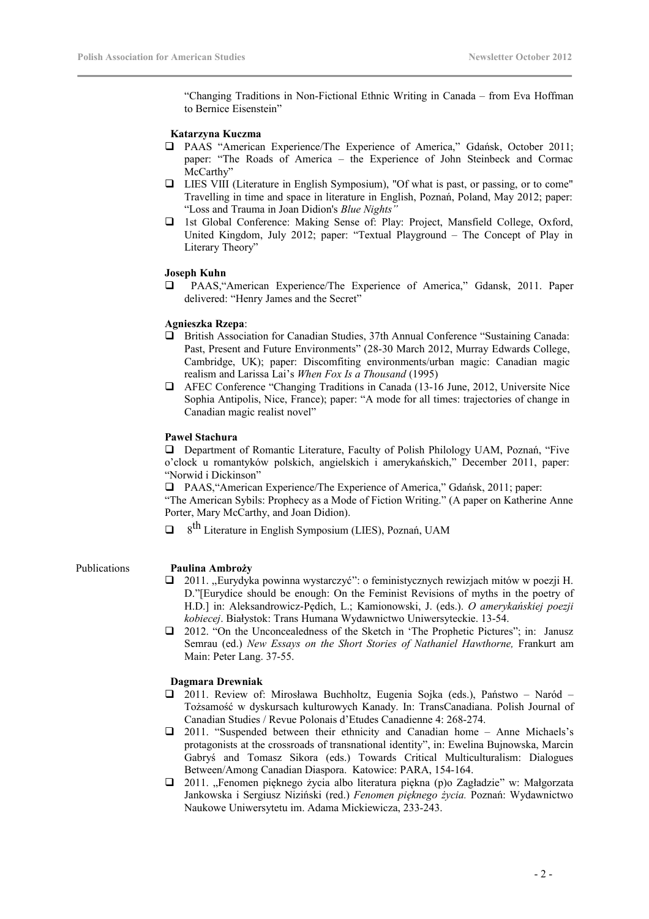"Changing Traditions in Non-Fictional Ethnic Writing in Canada – from Eva Hoffman to Bernice Eisenstein"

### **Katarzyna Kuczma**

- PAAS "American Experience/The Experience of America," Gdańsk, October 2011; paper: "The Roads of America – the Experience of John Steinbeck and Cormac McCarthy"
- LIES VIII (Literature in English Symposium), "Of what is past, or passing, or to come" Travelling in time and space in literature in English, Poznań, Poland, May 2012; paper: "Loss and Trauma in Joan Didion's *Blue Nights"*
- 1st Global Conference: Making Sense of: Play: Project, Mansfield College, Oxford, United Kingdom, July 2012; paper: "Textual Playground – The Concept of Play in Literary Theory"

### **Joseph Kuhn**

 PAAS,"American Experience/The Experience of America," Gdansk, 2011. Paper delivered: "Henry James and the Secret"

### **Agnieszka Rzepa**:

- British Association for Canadian Studies, 37th Annual Conference "Sustaining Canada: Past, Present and Future Environments" (28-30 March 2012, Murray Edwards College, Cambridge, UK); paper: Discomfiting environments/urban magic: Canadian magic realism and Larissa Lai's *When Fox Is a Thousand* (1995)
- AFEC Conference "Changing Traditions in Canada (13-16 June, 2012, Universite Nice Sophia Antipolis, Nice, France); paper: "A mode for all times: trajectories of change in Canadian magic realist novel"

### **Paweł Stachura**

 Department of Romantic Literature, Faculty of Polish Philology UAM, Poznań, "Five o'clock u romantyków polskich, angielskich i amerykańskich," December 2011, paper: "Norwid i Dickinson"

PAAS,"American Experience/The Experience of America," Gdańsk, 2011; paper:

"The American Sybils: Prophecy as a Mode of Fiction Writing." (A paper on Katherine Anne Porter, Mary McCarthy, and Joan Didion).

 $\Box$  8<sup>th</sup> Literature in English Symposium (LIES), Poznań, UAM

### Publications **Paulina Ambroży**

- 2011. ,,Eurydyka powinna wystarczyć": o feministycznych rewizjach mitów w poezji H. D."[Eurydice should be enough: On the Feminist Revisions of myths in the poetry of H.D.] in: Aleksandrowicz-Pędich, L.; Kamionowski, J. (eds.). *O amerykańskiej poezji kobiecej*. Białystok: Trans Humana Wydawnictwo Uniwersyteckie. 13-54.
- 2012. "On the Unconcealedness of the Sketch in 'The Prophetic Pictures"; in: Janusz Semrau (ed.) *New Essays on the Short Stories of Nathaniel Hawthorne,* Frankurt am Main: Peter Lang. 37-55.

### **Dagmara Drewniak**

- 2011. Review of: Mirosława Buchholtz, Eugenia Sojka (eds.), Państwo Naród Tożsamość w dyskursach kulturowych Kanady. In: TransCanadiana. Polish Journal of Canadian Studies / Revue Polonais d'Etudes Canadienne 4: 268-274.
- 2011. "Suspended between their ethnicity and Canadian home Anne Michaels's protagonists at the crossroads of transnational identity", in: Ewelina Bujnowska, Marcin Gabryś and Tomasz Sikora (eds.) Towards Critical Multiculturalism: Dialogues Between/Among Canadian Diaspora. Katowice: PARA, 154-164.
- 2011. "Fenomen pięknego życia albo literatura piękna (p)o Zagładzie" w: Małgorzata Jankowska i Sergiusz Niziński (red.) *Fenomen pięknego życia.* Poznań: Wydawnictwo Naukowe Uniwersytetu im. Adama Mickiewicza, 233-243.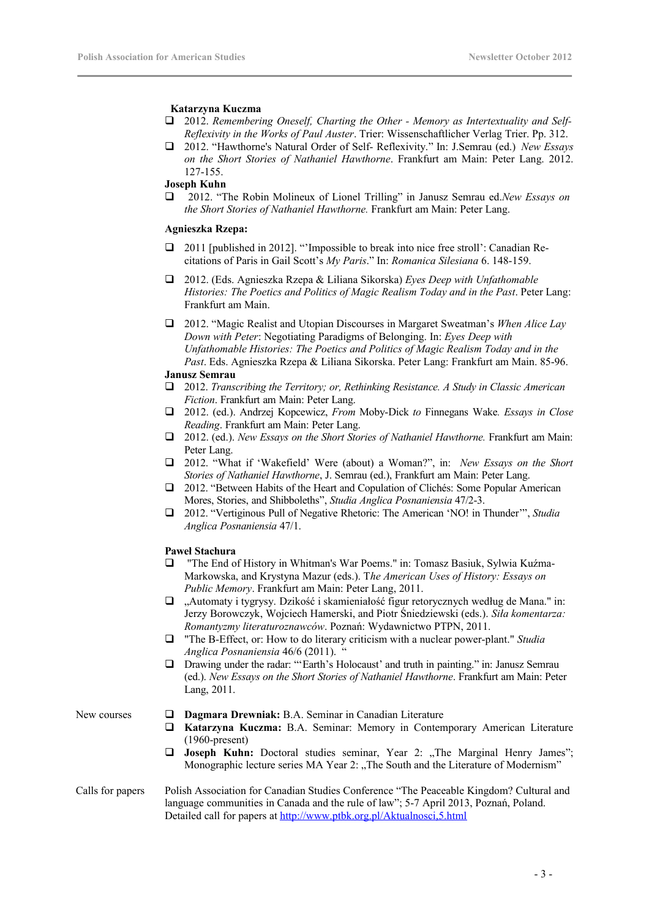### **Katarzyna Kuczma**

- 2012. *Remembering Oneself, Charting the Other Memory as Intertextuality and Self-Reflexivity in the Works of Paul Auster*. Trier: Wissenschaftlicher Verlag Trier. Pp. 312.
- 2012. "Hawthorne's Natural Order of Self- Reflexivity." In: J.Semrau (ed.) *New Essays on the Short Stories of Nathaniel Hawthorne*. Frankfurt am Main: Peter Lang. 2012. 127-155.

### **Joseph Kuhn**

 2012. "The Robin Molineux of Lionel Trilling" in Janusz Semrau ed.*New Essays on the Short Stories of Nathaniel Hawthorne.* Frankfurt am Main: Peter Lang.

### **Agnieszka Rzepa:**

- 2011 [published in 2012]. "'Impossible to break into nice free stroll': Canadian Recitations of Paris in Gail Scott's *My Paris*." In: *Romanica Silesiana* 6. 148-159.
- 2012. (Eds. Agnieszka Rzepa & Liliana Sikorska) *Eyes Deep with Unfathomable Histories: The Poetics and Politics of Magic Realism Today and in the Past*. Peter Lang: Frankfurt am Main.
- 2012. "Magic Realist and Utopian Discourses in Margaret Sweatman's *When Alice Lay Down with Peter*: Negotiating Paradigms of Belonging. In: *Eyes Deep with Unfathomable Histories: The Poetics and Politics of Magic Realism Today and in the Past*. Eds. Agnieszka Rzepa & Liliana Sikorska. Peter Lang: Frankfurt am Main. 85-96.

### **Janusz Semrau**

- 2012. *Transcribing the Territory; or, Rethinking Resistance. A Study in Classic American Fiction*. Frankfurt am Main: Peter Lang.
- 2012. (ed.). Andrzej Kopcewicz, *From* Moby-Dick *to* Finnegans Wake*. Essays in Close Reading*. Frankfurt am Main: Peter Lang.
- 2012. (ed.). *New Essays on the Short Stories of Nathaniel Hawthorne.* Frankfurt am Main: Peter Lang.
- 2012. "What if 'Wakefield' Were (about) a Woman?", in: *New Essays on the Short Stories of Nathaniel Hawthorne*, J. Semrau (ed.), Frankfurt am Main: Peter Lang.
- 2012. "Between Habits of the Heart and Copulation of Clichés: Some Popular American Mores, Stories, and Shibboleths", *Studia Anglica Posnaniensia* 47/2-3.
- 2012. "Vertiginous Pull of Negative Rhetoric: The American 'NO! in Thunder'", *Studia Anglica Posnaniensia* 47/1.

### **Paweł Stachura**

- "The End of History in Whitman's War Poems." in: Tomasz Basiuk, Sylwia Kuźma-Markowska, and Krystyna Mazur (eds.). T*he American Uses of History: Essays on Public Memory*. Frankfurt am Main: Peter Lang, 2011.
- "Automaty i tygrysy. Dzikość i skamieniałość figur retorycznych według de Mana." in: Jerzy Borowczyk, Wojciech Hamerski, and Piotr Śniedziewski (eds.). *Siła komentarza: Romantyzmy literaturoznawców*. Poznań: Wydawnictwo PTPN, 2011.
- "The B-Effect, or: How to do literary criticism with a nuclear power-plant." *Studia Anglica Posnaniensia* 46/6 (2011). "
- Drawing under the radar: "'Earth's Holocaust' and truth in painting." in: Janusz Semrau (ed.). *New Essays on the Short Stories of Nathaniel Hawthorne*. Frankfurt am Main: Peter Lang, 2011.

- New courses  $\Box$  **Dagmara Drewniak:** B.A. Seminar in Canadian Literature
	- **Katarzyna Kuczma:** B.A. Seminar: Memory in Contemporary American Literature (1960-present)
	- **Joseph Kuhn:** Doctoral studies seminar, Year 2: "The Marginal Henry James"; Monographic lecture series MA Year 2: "The South and the Literature of Modernism"

### Calls for papers Polish Association for Canadian Studies Conference "The Peaceable Kingdom? Cultural and language communities in Canada and the rule of law"; 5-7 April 2013, Poznań, Poland. Detailed call for papers at <http://www.ptbk.org.pl/Aktualnosci,5.html>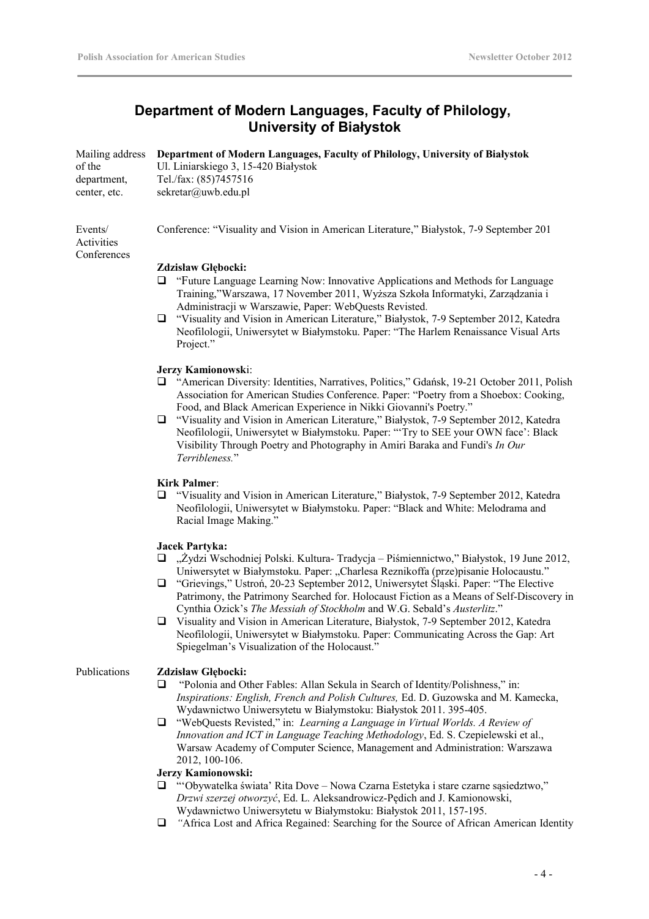# **Department of Modern Languages, Faculty of Philology, University of Białystok**

|              | Mailing address Department of Modern Languages, Faculty of Philology, University of Białystok |
|--------------|-----------------------------------------------------------------------------------------------|
| of the       | Ul. Liniarskiego 3, 15-420 Białystok                                                          |
| department.  | Tel./fax: (85)7457516                                                                         |
| center, etc. | sekretar@uwb.edu.pl                                                                           |
|              |                                                                                               |

Events/ Activities **Conferences**  Conference: "Visuality and Vision in American Literature," Białystok, 7-9 September 201

### **Zdzisław Głębocki:**

- "Future Language Learning Now: Innovative Applications and Methods for Language Training,"Warszawa, 17 November 2011, Wyższa Szkoła Informatyki, Zarządzania i Administracji w Warszawie, Paper: WebQuests Revisted*.*
- "Visuality and Vision in American Literature," Białystok, 7-9 September 2012, Katedra Neofilologii, Uniwersytet w Białymstoku. Paper: "The Harlem Renaissance Visual Arts Project."

### **Jerzy Kamionowsk**i:

- "American Diversity: Identities, Narratives, Politics," Gdańsk, 19-21 October 2011, Polish Association for American Studies Conference. Paper: "Poetry from a Shoebox: Cooking, Food, and Black American Experience in Nikki Giovanni's Poetry."
- "Visuality and Vision in American Literature," Białystok, 7-9 September 2012, Katedra Neofilologii, Uniwersytet w Białymstoku. Paper: "'Try to SEE your OWN face': Black Visibility Through Poetry and Photography in Amiri Baraka and Fundi's *In Our Terribleness.*"

### **Kirk Palmer**:

 "Visuality and Vision in American Literature," Białystok, 7-9 September 2012, Katedra Neofilologii, Uniwersytet w Białymstoku. Paper: "Black and White: Melodrama and Racial Image Making."

### **Jacek Partyka:**

- $\Box$ , Żydzi Wschodniej Polski. Kultura- Tradycja Piśmiennictwo," Białystok, 19 June 2012, Uniwersytet w Białymstoku. Paper: "Charlesa Reznikoffa (prze)pisanie Holocaustu."
- "Grievings," Ustroń, 20-23 September 2012, Uniwersytet Śląski. Paper: "The Elective Patrimony, the Patrimony Searched for. Holocaust Fiction as a Means of Self-Discovery in Cynthia Ozick's *The Messiah of Stockholm* and W.G. Sebald's *Austerlitz*."
- Visuality and Vision in American Literature, Białystok, 7-9 September 2012, Katedra Neofilologii, Uniwersytet w Białymstoku. Paper: Communicating Across the Gap: Art Spiegelman's Visualization of the Holocaust."

### Publications **Zdzisław Głębocki:**

- "Polonia and Other Fables: Allan Sekula in Search of Identity/Polishness," in: *Inspirations: English, French and Polish Cultures,* Ed. D. Guzowska and M. Kamecka, Wydawnictwo Uniwersytetu w Białymstoku: Białystok 2011. 395-405.
- "WebQuests Revisted," in: *Learning a Language in Virtual Worlds. A Review of Innovation and ICT in Language Teaching Methodology*, Ed. S. Czepielewski et al., Warsaw Academy of Computer Science, Management and Administration: Warszawa 2012, 100-106.

### **Jerzy Kamionowski:**

- "'Obywatelka świata' Rita Dove Nowa Czarna Estetyka i stare czarne sąsiedztwo," *Drzwi szerzej otworzyć*, Ed. L. Aleksandrowicz-Pędich and J. Kamionowski, Wydawnictwo Uniwersytetu w Białymstoku: Białystok 2011, 157-195.
- *"*Africa Lost and Africa Regained: Searching for the Source of African American Identity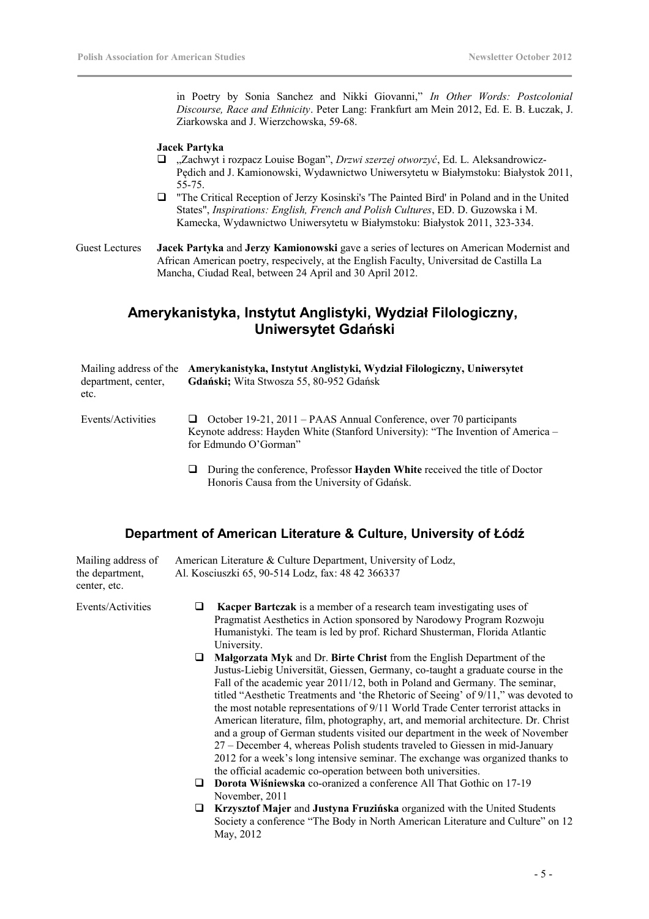in Poetry by Sonia Sanchez and Nikki Giovanni," *In Other Words: Postcolonial Discourse, Race and Ethnicity*. Peter Lang: Frankfurt am Mein 2012, Ed. E. B. Łuczak, J. Ziarkowska and J. Wierzchowska, 59-68.

### **Jacek Partyka**

- "Zachwyt i rozpacz Louise Bogan", *Drzwi szerzej otworzyć*, Ed. L. Aleksandrowicz-Pędich and J. Kamionowski, Wydawnictwo Uniwersytetu w Białymstoku: Białystok 2011, 55-75.
- "The Critical Reception of Jerzy Kosinski's 'The Painted Bird' in Poland and in the United States", *Inspirations: English, French and Polish Cultures*, ED. D. Guzowska i M. Kamecka, Wydawnictwo Uniwersytetu w Białymstoku: Białystok 2011, 323-334.

Guest Lectures **Jacek Partyka** and **Jerzy Kamionowski** gave a series of lectures on American Modernist and African American poetry, respecively, at the English Faculty, Universitad de Castilla La Mancha, Ciudad Real, between 24 April and 30 April 2012.

# **Amerykanistyka, Instytut Anglistyki, Wydział Filologiczny, Uniwersytet Gdański**

| Mailing address of the Amerykanistyka, Instytut Anglistyki, Wydział Filologiczny, Uniwersytet<br>Gdański; Wita Stwosza 55, 80-952 Gdańsk                                               |
|----------------------------------------------------------------------------------------------------------------------------------------------------------------------------------------|
| $\Box$ October 19-21, 2011 – PAAS Annual Conference, over 70 participants<br>Keynote address: Hayden White (Stanford University): "The Invention of America –<br>for Edmundo O'Gorman" |
|                                                                                                                                                                                        |

 During the conference, Professor **Hayden White** received the title of Doctor Honoris Causa from the University of Gdańsk.

# **Department of American Literature & Culture, University of Łódź**

| Mailing address of<br>the department,<br>center, etc. | American Literature & Culture Department, University of Lodz,<br>Al. Kosciuszki 65, 90-514 Lodz, fax: 48 42 366337                                                                                                                                                                                                                                                                                                                                                                                                                                                                                                                                                                                                                                                                                                               |
|-------------------------------------------------------|----------------------------------------------------------------------------------------------------------------------------------------------------------------------------------------------------------------------------------------------------------------------------------------------------------------------------------------------------------------------------------------------------------------------------------------------------------------------------------------------------------------------------------------------------------------------------------------------------------------------------------------------------------------------------------------------------------------------------------------------------------------------------------------------------------------------------------|
| Events/Activities                                     | Kacper Bartczak is a member of a research team investigating uses of<br>u<br>Pragmatist Aesthetics in Action sponsored by Narodowy Program Rozwoju<br>Humanistyki. The team is led by prof. Richard Shusterman, Florida Atlantic<br>University.                                                                                                                                                                                                                                                                                                                                                                                                                                                                                                                                                                                  |
|                                                       | Malgorzata Myk and Dr. Birte Christ from the English Department of the<br>u<br>Justus-Liebig Universität, Giessen, Germany, co-taught a graduate course in the<br>Fall of the academic year 2011/12, both in Poland and Germany. The seminar,<br>titled "Aesthetic Treatments and 'the Rhetoric of Seeing' of 9/11," was devoted to<br>the most notable representations of 9/11 World Trade Center terrorist attacks in<br>American literature, film, photography, art, and memorial architecture. Dr. Christ<br>and a group of German students visited our department in the week of November<br>27 – December 4, whereas Polish students traveled to Giessen in mid-January<br>2012 for a week's long intensive seminar. The exchange was organized thanks to<br>the official academic co-operation between both universities. |
|                                                       | <b>Dorota Wiśniewska</b> co-oranized a conference All That Gothic on 17-19<br>⊔<br>November, 2011                                                                                                                                                                                                                                                                                                                                                                                                                                                                                                                                                                                                                                                                                                                                |
|                                                       | Krzysztof Majer and Justyna Fruzińska organized with the United Students<br>⊔<br>Society a conference "The Body in North American Literature and Culture" on 12<br>May, 2012                                                                                                                                                                                                                                                                                                                                                                                                                                                                                                                                                                                                                                                     |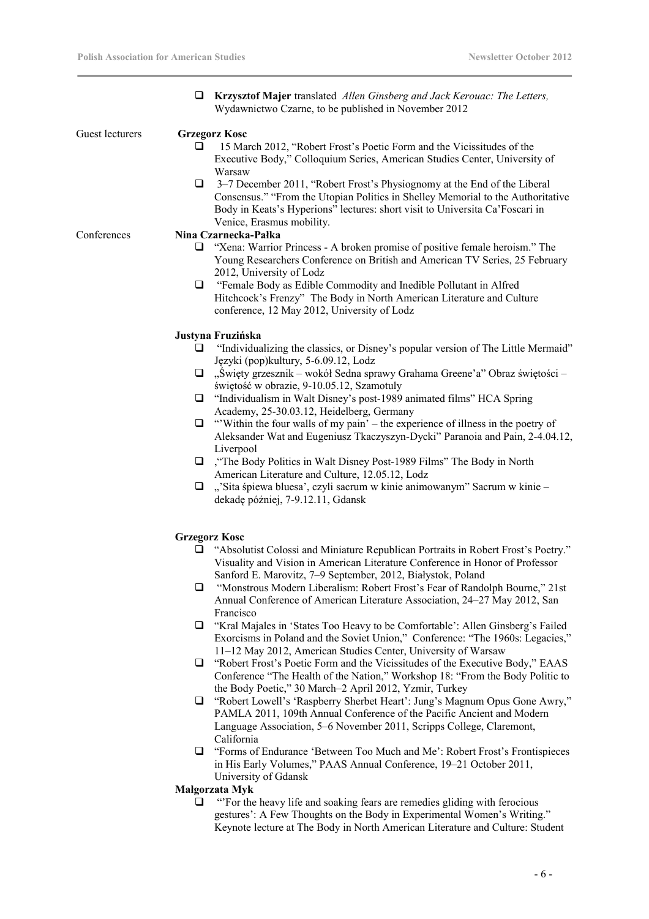|                 | <b>Krzysztof Majer</b> translated Allen Ginsberg and Jack Kerouac: The Letters,<br>u.<br>Wydawnictwo Czarne, to be published in November 2012                                                                                                                                                            |
|-----------------|----------------------------------------------------------------------------------------------------------------------------------------------------------------------------------------------------------------------------------------------------------------------------------------------------------|
| Guest lecturers | <b>Grzegorz Kosc</b>                                                                                                                                                                                                                                                                                     |
|                 | 15 March 2012, "Robert Frost's Poetic Form and the Vicissitudes of the<br>Executive Body," Colloquium Series, American Studies Center, University of                                                                                                                                                     |
|                 | Warsaw<br>3–7 December 2011, "Robert Frost's Physiognomy at the End of the Liberal<br>$\Box$<br>Consensus." "From the Utopian Politics in Shelley Memorial to the Authoritative<br>Body in Keats's Hyperions" lectures: short visit to Universita Ca'Foscari in<br>Venice, Erasmus mobility.             |
| Conferences     | Nina Czarnecka-Pałka                                                                                                                                                                                                                                                                                     |
|                 | "Xena: Warrior Princess - A broken promise of positive female heroism." The<br>❏<br>Young Researchers Conference on British and American TV Series, 25 February<br>2012, University of Lodz                                                                                                              |
|                 | □ "Female Body as Edible Commodity and Inedible Pollutant in Alfred<br>Hitchcock's Frenzy" The Body in North American Literature and Culture<br>conference, 12 May 2012, University of Lodz                                                                                                              |
|                 | Justyna Fruzińska                                                                                                                                                                                                                                                                                        |
|                 | "Individualizing the classics, or Disney's popular version of The Little Mermaid"<br>u<br>Języki (pop)kultury, 5-6.09.12, Lodz                                                                                                                                                                           |
|                 | "Święty grzesznik – wokół Sedna sprawy Grahama Greene'a" Obraz świętości –<br>⊔.<br>świętość w obrazie, 9-10.05.12, Szamotuly                                                                                                                                                                            |
|                 | "Individualism in Walt Disney's post-1989 animated films" HCA Spring<br>u                                                                                                                                                                                                                                |
|                 | Academy, 25-30.03.12, Heidelberg, Germany<br>"Within the four walls of my pain' – the experience of illness in the poetry of<br>u<br>Aleksander Wat and Eugeniusz Tkaczyszyn-Dycki" Paranoia and Pain, 2-4.04.12,<br>Liverpool                                                                           |
|                 | $\Box$ , "The Body Politics in Walt Disney Post-1989 Films" The Body in North<br>American Literature and Culture, 12.05.12, Lodz                                                                                                                                                                         |
|                 | "'Sita śpiewa bluesa', czyli sacrum w kinie animowanym" Sacrum w kinie -<br>❏<br>dekadę później, 7-9.12.11, Gdansk                                                                                                                                                                                       |
|                 | <b>Grzegorz Kosc</b>                                                                                                                                                                                                                                                                                     |
|                 | "Absolutist Colossi and Miniature Republican Portraits in Robert Frost's Poetry."<br>⊔<br>Visuality and Vision in American Literature Conference in Honor of Professor<br>Sanford E. Marovitz, 7-9 September, 2012, Białystok, Poland                                                                    |
|                 | "Monstrous Modern Liberalism: Robert Frost's Fear of Randolph Bourne," 21st<br>⊔<br>Annual Conference of American Literature Association, 24-27 May 2012, San<br>Francisco                                                                                                                               |
|                 | "Kral Majales in 'States Too Heavy to be Comfortable': Allen Ginsberg's Failed<br>u<br>Exorcisms in Poland and the Soviet Union," Conference: "The 1960s: Legacies,"<br>11-12 May 2012, American Studies Center, University of Warsaw                                                                    |
|                 | "Robert Frost's Poetic Form and the Vicissitudes of the Executive Body," EAAS<br>❏<br>Conference "The Health of the Nation," Workshop 18: "From the Body Politic to                                                                                                                                      |
|                 | the Body Poetic," 30 March-2 April 2012, Yzmir, Turkey<br>"Robert Lowell's 'Raspberry Sherbet Heart': Jung's Magnum Opus Gone Awry,"<br>u<br>PAMLA 2011, 109th Annual Conference of the Pacific Ancient and Modern<br>Language Association, 5–6 November 2011, Scripps College, Claremont,<br>California |
|                 | $\Box$ "Forms of Endurance 'Between Too Much and Me': Robert Frost's Frontispieces<br>in His Early Volumes," PAAS Annual Conference, 19-21 October 2011,<br>University of Gdansk                                                                                                                         |
|                 | Małgorzata Myk                                                                                                                                                                                                                                                                                           |
|                 | "For the heavy life and soaking fears are remedies gliding with ferocious<br>⊔<br>gestures': A Few Thoughts on the Body in Experimental Women's Writing."<br>Keynote lecture at The Body in North American Literature and Culture: Student                                                               |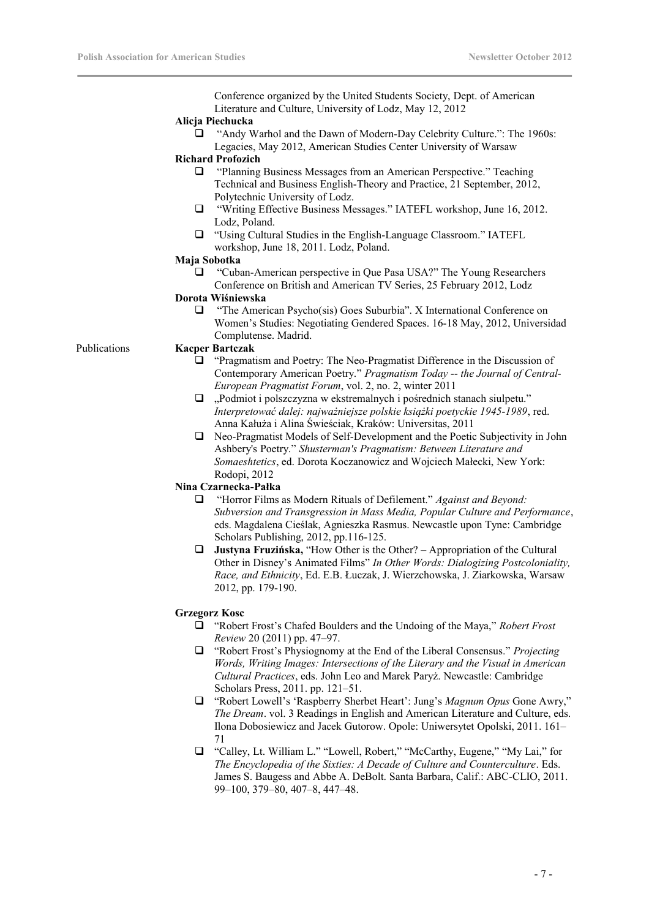Conference organized by the United Students Society, Dept. of American Literature and Culture, University of Lodz, May 12, 2012

### **Alicja Piechucka**

 "Andy Warhol and the Dawn of Modern-Day Celebrity Culture.": The 1960s: Legacies, May 2012, American Studies Center University of Warsaw

### **Richard Profozich**

- "Planning Business Messages from an American Perspective." Teaching Technical and Business English-Theory and Practice, 21 September, 2012, Polytechnic University of Lodz.
- "Writing Effective Business Messages." IATEFL workshop, June 16, 2012. Lodz, Poland.
- "Using Cultural Studies in the English-Language Classroom." IATEFL workshop, June 18, 2011. Lodz, Poland.

### **Maja Sobotka**

 "Cuban-American perspective in Que Pasa USA?" The Young Researchers Conference on British and American TV Series, 25 February 2012, Lodz

### **Dorota Wiśniewska**

 "The American Psycho(sis) Goes Suburbia". X International Conference on Women's Studies: Negotiating Gendered Spaces. 16-18 May, 2012, Universidad Complutense. Madrid.

### Publications **Kacper Bartczak**

- "Pragmatism and Poetry: The Neo-Pragmatist Difference in the Discussion of Contemporary American Poetry." *Pragmatism Today -- the Journal of Central-European Pragmatist Forum*, vol. 2, no. 2, winter 2011
- □ "Podmiot i polszczyzna w ekstremalnych i pośrednich stanach siulpetu." *Interpretować dalej: najważniejsze polskie książki poetyckie 1945-1989*, red. Anna Kałuża i Alina Świeściak, Kraków: Universitas, 2011
- Neo-Pragmatist Models of Self-Development and the Poetic Subjectivity in John Ashbery's Poetry." *Shusterman's Pragmatism: Between Literature and Somaeshtetics*, ed. Dorota Koczanowicz and Wojciech Małecki, New York: Rodopi, 2012

### **Nina Czarnecka-Pałka**

- "Horror Films as Modern Rituals of Defilement." *Against and Beyond: Subversion and Transgression in Mass Media, Popular Culture and Performance*, eds. Magdalena Cieślak, Agnieszka Rasmus. Newcastle upon Tyne: Cambridge Scholars Publishing, 2012, pp.116-125.
- **Justyna Fruzińska,** "How Other is the Other? Appropriation of the Cultural Other in Disney's Animated Films" *In Other Words: Dialogizing Postcoloniality, Race, and Ethnicity*, Ed. E.B. Łuczak, J. Wierzchowska, J. Ziarkowska, Warsaw 2012, pp. 179-190.

### **Grzegorz Kosc**

- "Robert Frost's Chafed Boulders and the Undoing of the Maya," *Robert Frost Review* 20 (2011) pp. 47–97.
- "Robert Frost's Physiognomy at the End of the Liberal Consensus." *Projecting Words, Writing Images: Intersections of the Literary and the Visual in American Cultural Practices*, eds. John Leo and Marek Paryż. Newcastle: Cambridge Scholars Press, 2011. pp. 121–51.
- "Robert Lowell's 'Raspberry Sherbet Heart': Jung's *Magnum Opus* Gone Awry," *The Dream*. vol. 3 Readings in English and American Literature and Culture, eds. Ilona Dobosiewicz and Jacek Gutorow. Opole: Uniwersytet Opolski, 2011. 161– 71
- "Calley, Lt. William L." "Lowell, Robert," "McCarthy, Eugene," "My Lai," for *The Encyclopedia of the Sixties: A Decade of Culture and Counterculture*. Eds. James S. Baugess and Abbe A. DeBolt. Santa Barbara, Calif.: ABC-CLIO, 2011. 99–100, 379–80, 407–8, 447–48.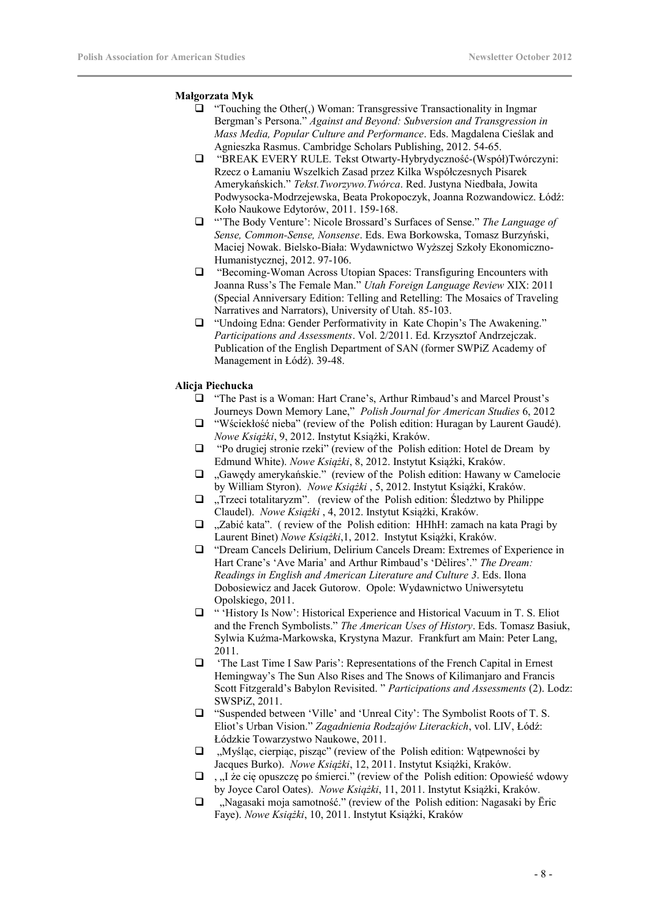### **Małgorzata Myk**

- $\Box$  "Touching the Other(,) Woman: Transgressive Transactionality in Ingmar Bergman's Persona." *Against and Beyond: Subversion and Transgression in Mass Media, Popular Culture and Performance*. Eds. Magdalena Cieślak and Agnieszka Rasmus. Cambridge Scholars Publishing, 2012. 54-65.
- "BREAK EVERY RULE. Tekst Otwarty-Hybrydyczność-(Współ)Twórczyni: Rzecz o Łamaniu Wszelkich Zasad przez Kilka Współczesnych Pisarek Amerykańskich." *Tekst.Tworzywo.Twórca*. Red. Justyna Niedbała, Jowita Podwysocka-Modrzejewska, Beata Prokopoczyk, Joanna Rozwandowicz. Łódź: Koło Naukowe Edytorów, 2011. 159-168.
- "'The Body Venture': Nicole Brossard's Surfaces of Sense." *The Language of Sense, Common-Sense, Nonsense*. Eds. Ewa Borkowska, Tomasz Burzyński, Maciej Nowak. Bielsko-Biała: Wydawnictwo Wyższej Szkoły Ekonomiczno-Humanistycznej, 2012. 97-106.
- "Becoming-Woman Across Utopian Spaces: Transfiguring Encounters with Joanna Russ's The Female Man." *Utah Foreign Language Review* XIX: 2011 (Special Anniversary Edition: Telling and Retelling: The Mosaics of Traveling Narratives and Narrators), University of Utah. 85-103.
- "Undoing Edna: Gender Performativity in Kate Chopin's The Awakening." *Participations and Assessments*. Vol. 2/2011. Ed. Krzysztof Andrzejczak. Publication of the English Department of SAN (former SWPiZ Academy of Management in Łódź). 39-48.

### **Alicja Piechucka**

- "The Past is a Woman: Hart Crane's, Arthur Rimbaud's and Marcel Proust's Journeys Down Memory Lane," *Polish Journal for American Studies* 6, 2012
- "Wściekłość nieba" (review of the Polish edition: Huragan by Laurent Gaudé). *Nowe Książki*, 9, 2012. Instytut Książki, Kraków.
- "Po drugiej stronie rzeki" (review of the Polish edition: Hotel de Dream by Edmund White). *Nowe Książki*, 8, 2012. Instytut Książki, Kraków.
- $\Box$  . Gawedy amerykańskie." (review of the Polish edition: Hawany w Camelocie by William Styron). *Nowe Książki* , 5, 2012. Instytut Książki, Kraków.
- $\Box$  Trzeci totalitaryzm". (review of the Polish edition: Śledztwo by Philippe Claudel). *Nowe Książki* , 4, 2012. Instytut Książki, Kraków.
- $\Box$ , Zabić kata". ( review of the Polish edition: HHhH: zamach na kata Pragi by Laurent Binet) *Nowe Książki*,1, 2012. Instytut Książki, Kraków.
- "Dream Cancels Delirium, Delirium Cancels Dream: Extremes of Experience in Hart Crane's 'Ave Maria' and Arthur Rimbaud's 'Dèlires'." *The Dream: Readings in English and American Literature and Culture 3*. Eds. Ilona Dobosiewicz and Jacek Gutorow. Opole: Wydawnictwo Uniwersytetu Opolskiego, 2011.
- $\Box$  " 'History Is Now': Historical Experience and Historical Vacuum in T. S. Eliot and the French Symbolists." *The American Uses of History*. Eds. Tomasz Basiuk, Sylwia Kuźma-Markowska, Krystyna Mazur. Frankfurt am Main: Peter Lang, 2011.
- 'The Last Time I Saw Paris': Representations of the French Capital in Ernest Hemingway's The Sun Also Rises and The Snows of Kilimanjaro and Francis Scott Fitzgerald's Babylon Revisited. " *Participations and Assessments* (2). Lodz: SWSPiZ, 2011.
- "Suspended between 'Ville' and 'Unreal City': The Symbolist Roots of T. S. Eliot's Urban Vision." *Zagadnienia Rodzajów Literackich*, vol. LIV, Łódź: Łódzkie Towarzystwo Naukowe, 2011.
- $\Box$ , Myśląc, cierpiąc, pisząc" (review of the Polish edition: Wątpewności by Jacques Burko). *Nowe Książki*, 12, 2011. Instytut Książki, Kraków.
- $\Box$ , "I że cię opuszczę po śmierci." (review of the Polish edition: Opowieść wdowy by Joyce Carol Oates). *Nowe Książki*, 11, 2011. Instytut Książki, Kraków.
- $\Box$ , Nagasaki moja samotność." (review of the Polish edition: Nagasaki by Ēric Faye). *Nowe Książki*, 10, 2011. Instytut Książki, Kraków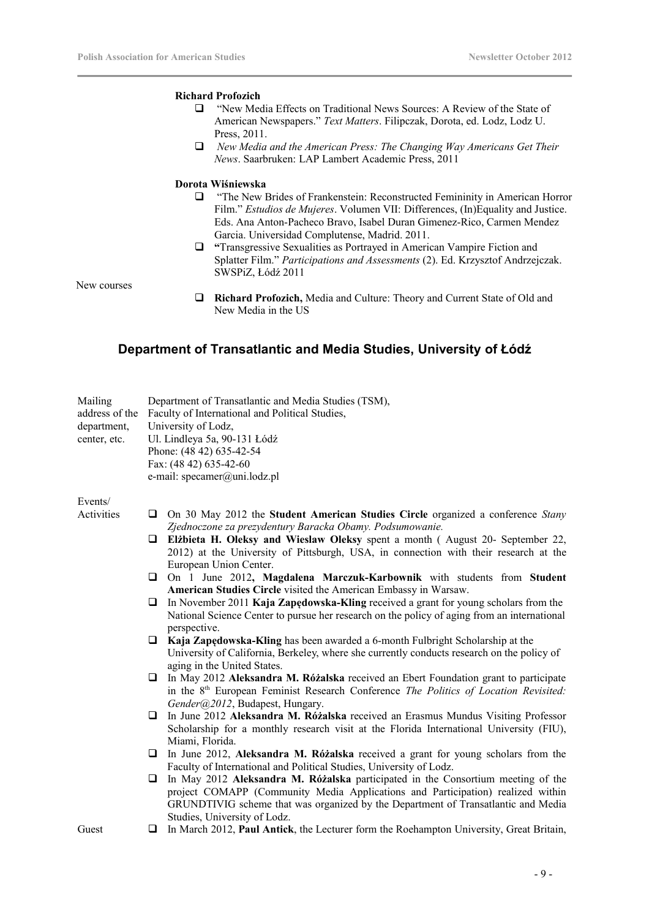### **Richard Profozich**

- "New Media Effects on Traditional News Sources: A Review of the State of American Newspapers." *Text Matters*. Filipczak, Dorota, ed. Lodz, Lodz U. Press, 2011.
- *New Media and the American Press: The Changing Way Americans Get Their News*. Saarbruken: LAP Lambert Academic Press, 2011

### **Dorota Wiśniewska**

- "The New Brides of Frankenstein: Reconstructed Femininity in American Horror Film." *Estudios de Mujeres*. Volumen VII: Differences, (In)Equality and Justice. Eds. Ana Anton-Pacheco Bravo, Isabel Duran Gimenez-Rico, Carmen Mendez Garcia. Universidad Complutense, Madrid. 2011.
- **"**Transgressive Sexualities as Portrayed in American Vampire Fiction and Splatter Film." *Participations and Assessments* (2). Ed. Krzysztof Andrzejczak. SWSPiZ, Łódź 2011

New courses

 **Richard Profozich,** Media and Culture: Theory and Current State of Old and New Media in the US

## **Department of Transatlantic and Media Studies, University of Łódź**

| Mailing<br>address of the<br>department,<br>center, etc. |        | Department of Transatlantic and Media Studies (TSM),<br>Faculty of International and Political Studies,<br>University of Lodz,<br>Ul. Lindleya 5a, 90-131 Łódź<br>Phone: (48 42) 635-42-54<br>Fax: (48 42) 635-42-60<br>e-mail: specamer@uni.lodz.pl                                                                                                            |
|----------------------------------------------------------|--------|-----------------------------------------------------------------------------------------------------------------------------------------------------------------------------------------------------------------------------------------------------------------------------------------------------------------------------------------------------------------|
| Events/                                                  |        |                                                                                                                                                                                                                                                                                                                                                                 |
| Activities                                               |        | $\Box$ On 30 May 2012 the Student American Studies Circle organized a conference Stany                                                                                                                                                                                                                                                                          |
|                                                          |        | Zjednoczone za prezydentury Baracka Obamy. Podsumowanie.<br>$\Box$ Elżbieta H. Oleksy and Wieslaw Oleksy spent a month (August 20- September 22,<br>2012) at the University of Pittsburgh, USA, in connection with their research at the<br>European Union Center.                                                                                              |
|                                                          |        | $\Box$ On 1 June 2012, Magdalena Marczuk-Karbownik with students from Student<br>American Studies Circle visited the American Embassy in Warsaw.                                                                                                                                                                                                                |
|                                                          | ⊔      | In November 2011 Kaja Zapedowska-Kling received a grant for young scholars from the<br>National Science Center to pursue her research on the policy of aging from an international<br>perspective.                                                                                                                                                              |
|                                                          |        | <b><math>\Box</math></b> Kaja Zapedowska-Kling has been awarded a 6-month Fulbright Scholarship at the<br>University of California, Berkeley, where she currently conducts research on the policy of<br>aging in the United States.                                                                                                                             |
|                                                          |        | $\Box$ In May 2012 Aleksandra M. Różalska received an Ebert Foundation grant to participate<br>in the 8 <sup>th</sup> European Feminist Research Conference <i>The Politics of Location Revisited</i> :<br>Gender@2012, Budapest, Hungary.                                                                                                                      |
|                                                          | $\Box$ | In June 2012 Aleksandra M. Różalska received an Erasmus Mundus Visiting Professor<br>Scholarship for a monthly research visit at the Florida International University (FIU),<br>Miami, Florida.                                                                                                                                                                 |
|                                                          | $\Box$ | In June 2012, Aleksandra M. Różalska received a grant for young scholars from the                                                                                                                                                                                                                                                                               |
|                                                          | □      | Faculty of International and Political Studies, University of Lodz.<br>In May 2012 Aleksandra M. Różalska participated in the Consortium meeting of the<br>project COMAPP (Community Media Applications and Participation) realized within<br>GRUNDTIVIG scheme that was organized by the Department of Transatlantic and Media<br>Studies, University of Lodz. |

Guest **I** In March 2012, **Paul Antick**, the Lecturer form the Roehampton University, Great Britain,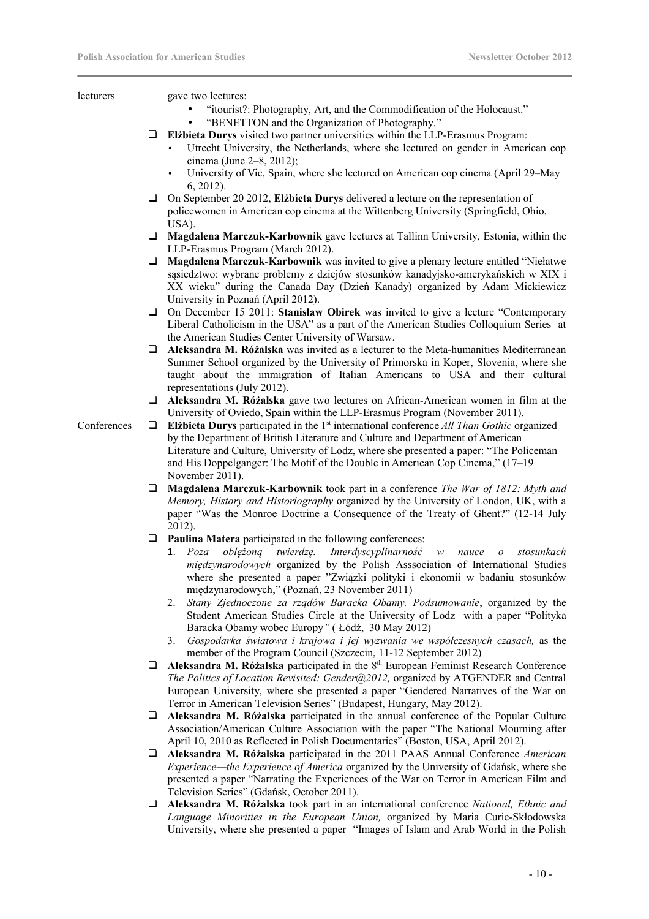lecturers gave two lectures:

- "itourist?: Photography, Art, and the Commodification of the Holocaust."
- "BENETTON and the Organization of Photography."
- **Elżbieta Durys** visited two partner universities within the LLP-Erasmus Program:
	- Utrecht University, the Netherlands, where she lectured on gender in American cop cinema (June 2–8, 2012);
	- University of Vic, Spain, where she lectured on American cop cinema (April 29–May 6, 2012).
- On September 20 2012, **Elżbieta Durys** delivered a lecture on the representation of policewomen in American cop cinema at the Wittenberg University (Springfield, Ohio, USA).
- **Magdalena Marczuk-Karbownik** gave lectures at Tallinn University, Estonia, within the LLP-Erasmus Program (March 2012).
- **Magdalena Marczuk-Karbownik** was invited to give a plenary lecture entitled "Niełatwe sąsiedztwo: wybrane problemy z dziejów stosunków kanadyjsko-amerykańskich w XIX i XX wieku" during the Canada Day (Dzień Kanady) organized by Adam Mickiewicz University in Poznań (April 2012).
- On December 15 2011: **Stanisław Obirek** was invited to give a lecture "Contemporary Liberal Catholicism in the USA" as a part of the American Studies Colloquium Series at the American Studies Center University of Warsaw.
- **Aleksandra M. Różalska** was invited as a lecturer to the Meta-humanities Mediterranean Summer School organized by the University of Primorska in Koper, Slovenia, where she taught about the immigration of Italian Americans to USA and their cultural representations (July 2012).
- **Aleksandra M. Różalska** gave two lectures on African-American women in film at the University of Oviedo, Spain within the LLP-Erasmus Program (November 2011).

- Conferences **Elżbieta Durys** participated in the 1<sup>st</sup> international conference *All Than Gothic* organized by the Department of British Literature and Culture and Department of American Literature and Culture, University of Lodz, where she presented a paper: "The Policeman and His Doppelganger: The Motif of the Double in American Cop Cinema," (17–19 November 2011).
	- **Magdalena Marczuk-Karbownik** took part in a conference *The War of 1812: Myth and Memory, History and Historiography* organized by the University of London, UK, with a paper "Was the Monroe Doctrine a Consequence of the Treaty of Ghent?" (12-14 July 2012).
	- **Paulina Matera** participated in the following conferences:
		- 1. *Poza oblężoną twierdzę. Interdyscyplinarność w nauce o stosunkach międzynarodowych* organized by the Polish Asssociation of International Studies where she presented a paper "Związki polityki i ekonomii w badaniu stosunków międzynarodowych," (Poznań, 23 November 2011)
		- 2. *Stany Zjednoczone za rządów Baracka Obamy. Podsumowanie*, organized by the Student American Studies Circle at the University of Lodz with a paper "Polityka Baracka Obamy wobec Europy*"* ( Łódź, 30 May 2012)
		- 3. *Gospodarka światowa i krajowa i jej wyzwania we współczesnych czasach,* as the member of the Program Council (Szczecin, 11-12 September 2012)
	- **□** Aleksandra M. Różalska participated in the 8<sup>th</sup> European Feminist Research Conference *The Politics of Location Revisited: Gender@2012,* organized by ATGENDER and Central European University, where she presented a paper "Gendered Narratives of the War on Terror in American Television Series" (Budapest, Hungary, May 2012).
	- **Aleksandra M. Różalska** participated in the annual conference of the Popular Culture Association/American Culture Association with the paper "The National Mourning after April 10, 2010 as Reflected in Polish Documentaries" (Boston, USA, April 2012).
	- **Aleksandra M. Różalska** participated in the 2011 PAAS Annual Conference *American Experience—the Experience of America* organized by the University of Gdańsk, where she presented a paper "Narrating the Experiences of the War on Terror in American Film and Television Series" (Gdańsk, October 2011).
	- **Aleksandra M. Różalska** took part in an international conference *National, Ethnic and Language Minorities in the European Union,* organized by Maria Curie-Skłodowska University, where she presented a paper "Images of Islam and Arab World in the Polish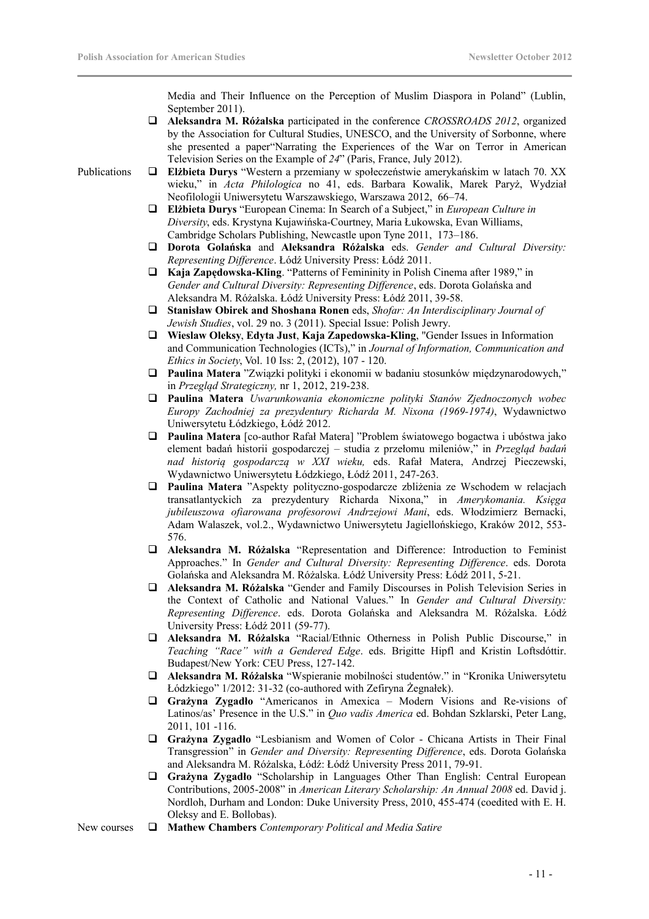Media and Their Influence on the Perception of Muslim Diaspora in Poland" (Lublin, September 2011).

- **Aleksandra M. Różalska** participated in the conference *CROSSROADS 2012*, organized by the Association for Cultural Studies, UNESCO, and the University of Sorbonne, where she presented a paper"Narrating the Experiences of the War on Terror in American Television Series on the Example of *24*" (Paris, France, July 2012).
- Publications **Elżbieta Durys** "Western a przemiany w społeczeństwie amerykańskim w latach 70. XX wieku," in *Acta Philologica* no 41, eds. Barbara Kowalik, Marek Paryż, Wydział Neofilologii Uniwersytetu Warszawskiego, Warszawa 2012, 66–74.
	- **Elżbieta Durys** "European Cinema: In Search of a Subject," in *European Culture in Diversity*, eds. Krystyna Kujawińska-Courtney, Maria Łukowska, Evan Williams, Cambridge Scholars Publishing, Newcastle upon Tyne 2011, 173–186.
	- **Dorota Golańska** and **Aleksandra Różalska** eds. *Gender and Cultural Diversity: Representing Difference*. Łódź University Press: Łódź 2011.
	- **Kaja Zapędowska-Kling**. "Patterns of Femininity in Polish Cinema after 1989," in *Gender and Cultural Diversity: Representing Difference*, eds. Dorota Golańska and Aleksandra M. Różalska. Łódź University Press: Łódź 2011, 39-58.
	- **Stanisław Obirek and Shoshana Ronen** eds, *Shofar: An Interdisciplinary Journal of Jewish Studies*, vol. 29 no. 3 (2011). Special Issue: Polish Jewry.
	- **Wieslaw Oleksy**, **Edyta Just**, **Kaja Zapedowska-Kling**, "Gender Issues in Information and Communication Technologies (ICTs)," in *Journal of Information, Communication and Ethics in Society*, Vol. 10 Iss: 2, (2012), 107 - 120.
	- **Paulina Matera** "Związki polityki i ekonomii w badaniu stosunków międzynarodowych," in *Przegląd Strategiczny,* nr 1, 2012, 219-238.
	- **Paulina Matera** *Uwarunkowania ekonomiczne polityki Stanów Zjednoczonych wobec Europy Zachodniej za prezydentury Richarda M. Nixona (1969-1974)*, Wydawnictwo Uniwersytetu Łódzkiego, Łódź 2012.
	- **Paulina Matera** [co-author Rafał Matera] "Problem światowego bogactwa i ubóstwa jako element badań historii gospodarczej – studia z przełomu mileniów," in *Przegląd badań nad historią gospodarczą w XXI wieku,* eds. Rafał Matera, Andrzej Pieczewski, Wydawnictwo Uniwersytetu Łódzkiego, Łódź 2011, 247-263.
	- **Paulina Matera** "Aspekty polityczno-gospodarcze zbliżenia ze Wschodem w relacjach transatlantyckich za prezydentury Richarda Nixona," in *Amerykomania. Księga jubileuszowa ofiarowana profesorowi Andrzejowi Mani*, eds. Włodzimierz Bernacki, Adam Walaszek, vol.2., Wydawnictwo Uniwersytetu Jagiellońskiego, Kraków 2012, 553- 576.
	- **Aleksandra M. Różalska** "Representation and Difference: Introduction to Feminist Approaches." In *Gender and Cultural Diversity: Representing Difference*. eds. Dorota Golańska and Aleksandra M. Różalska. Łódź University Press: Łódź 2011, 5-21.
	- **Aleksandra M. Różalska** "Gender and Family Discourses in Polish Television Series in the Context of Catholic and National Values." In *Gender and Cultural Diversity: Representing Difference*. eds. Dorota Golańska and Aleksandra M. Różalska. Łódź University Press: Łódź 2011 (59-77).
	- **Aleksandra M. Różalska** "Racial/Ethnic Otherness in Polish Public Discourse," in *Teaching "Race" with a Gendered Edge*. eds. Brigitte Hipfl and Kristin Loftsdóttir. Budapest/New York: CEU Press, 127-142.
	- **Aleksandra M. Różalska** "Wspieranie mobilności studentów." in "Kronika Uniwersytetu Łódzkiego" 1/2012: 31-32 (co-authored with Zefiryna Żegnałek).
	- **Grażyna Zygadło** "Americanos in Amexica Modern Visions and Re-visions of Latinos/as' Presence in the U.S." in *Quo vadis America* ed. Bohdan Szklarski, Peter Lang, 2011, 101 -116.
	- **Grażyna Zygadło** "Lesbianism and Women of Color Chicana Artists in Their Final Transgression" in *Gender and Diversity: Representing Difference*, eds. Dorota Golańska and Aleksandra M. Różalska, Łódź: Łódź University Press 2011, 79-91.
	- **Grażyna Zygadło** "Scholarship in Languages Other Than English: Central European Contributions, 2005-2008" in *American Literary Scholarship: An Annual 2008* ed. David j. Nordloh, Durham and London: Duke University Press, 2010, 455-474 (coedited with E. H. Oleksy and E. Bollobas).
- New courses **Mathew Chambers** *Contemporary Political and Media Satire*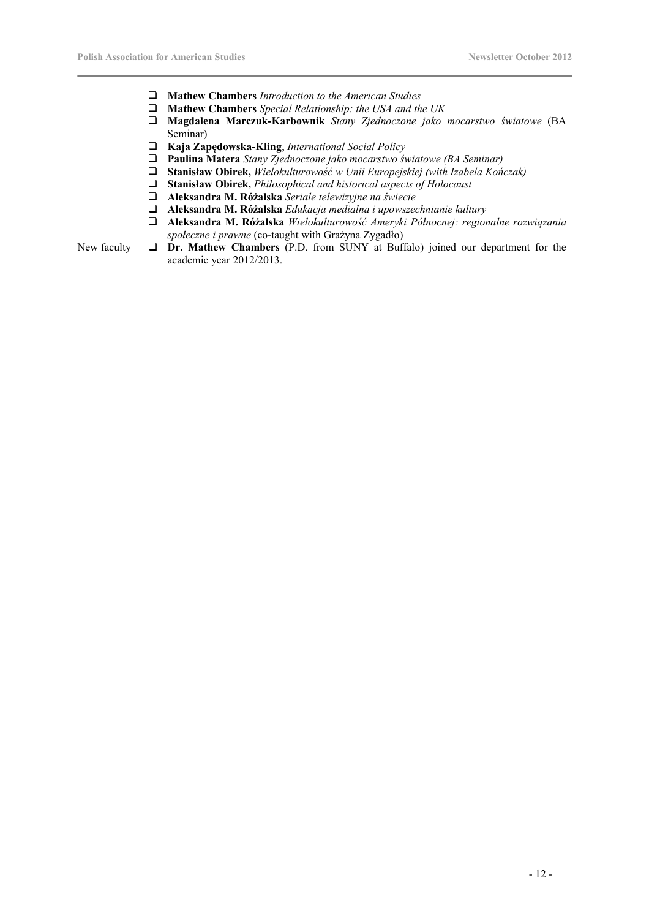- **Mathew Chambers** *Introduction to the American Studies*
- **Mathew Chambers** *Special Relationship: the USA and the UK*
- **Magdalena Marczuk-Karbownik** *Stany Zjednoczone jako mocarstwo światowe* (BA Seminar)
- **Kaja Zapędowska-Kling**, *International Social Policy*
- **Paulina Matera** *Stany Zjednoczone jako mocarstwo światowe (BA Seminar)*
- **Stanisław Obirek,** *Wielokulturowość w Unii Europejskiej (with Izabela Kończak)*
- **Stanisław Obirek,** *Philosophical and historical aspects of Holocaust*
- **Aleksandra M. Różalska** *Seriale telewizyjne na świecie*
- **Aleksandra M. Różalska** *Edukacja medialna i upowszechnianie kultury*
- **Aleksandra M. Różalska** *Wielokulturowość Ameryki Północnej: regionalne rozwiązania społeczne i prawne* (co-taught with Grażyna Zygadło)

New faculty **Dr. Mathew Chambers** (P.D. from SUNY at Buffalo) joined our department for the academic year 2012/2013.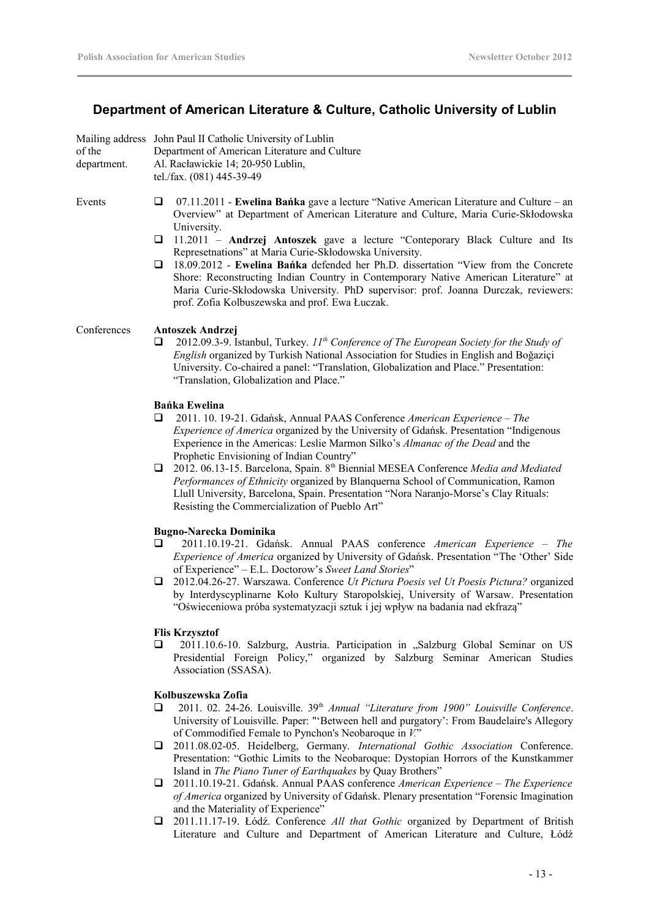# **Department of American Literature & Culture, Catholic University of Lublin**

|             | Mailing address John Paul II Catholic University of Lublin      |
|-------------|-----------------------------------------------------------------|
| of the      | Department of American Literature and Culture                   |
| department. | Al. Racławickie 14; 20-950 Lublin,<br>tel./fax. (081) 445-39-49 |

- Events 07.11.2011 **Ewelina Bańka** gave a lecture "Native American Literature and Culture an Overview" at Department of American Literature and Culture, Maria Curie-Skłodowska University.
	- 11.2011 **Andrzej Antoszek** gave a lecture "Conteporary Black Culture and Its Represetnations" at Maria Curie-Skłodowska University.
	- 18.09.2012 **Ewelina Bańka** defended her Ph.D. dissertation "View from the Concrete Shore: Reconstructing Indian Country in Contemporary Native American Literature" at Maria Curie-Skłodowska University. PhD supervisor: prof. Joanna Durczak, reviewers: prof. Zofia Kolbuszewska and prof. Ewa Łuczak.

### Conferences **Antoszek Andrzej**

 2012.09.3-9. Istanbul, Turkey. *11th Conference of The European Society for the Study of English* organized by Turkish National Association for Studies in English and Boğaziçi University. Co-chaired a panel: "Translation, Globalization and Place." Presentation: "Translation, Globalization and Place."

## **Bańka Ewelina**

- 2011. 10. 19-21. Gdańsk, Annual PAAS Conference *American Experience The Experience of America* organized by the University of Gdańsk. Presentation "Indigenous Experience in the Americas: Leslie Marmon Silko's *Almanac of the Dead* and the Prophetic Envisioning of Indian Country"
- 2012. 06.13-15. Barcelona, Spain. 8th Biennial MESEA Conference *Media and Mediated Performances of Ethnicity* organized by Blanquerna School of Communication, Ramon Llull University, Barcelona, Spain. Presentation "Nora Naranjo-Morse's Clay Rituals: Resisting the Commercialization of Pueblo Art"

### **Bugno-Narecka Dominika**

- 2011.10.19-21. Gdańsk. Annual PAAS conference *American Experience The Experience of America* organized by University of Gdańsk. Presentation "The 'Other' Side of Experience" – E.L. Doctorow's *Sweet Land Stories*"
- 2012.04.26-27. Warszawa. Conference *Ut Pictura Poesis vel Ut Poesis Pictura?* organized by Interdyscyplinarne Koło Kultury Staropolskiej, University of Warsaw. Presentation "Oświeceniowa próba systematyzacji sztuk i jej wpływ na badania nad ekfrazą"

### **Flis Krzysztof**

2011.10.6-10. Salzburg, Austria. Participation in "Salzburg Global Seminar on US Presidential Foreign Policy," organized by Salzburg Seminar American Studies Association (SSASA).

### **Kolbuszewska Zofia**

- 2011. 02. 24-26. Louisville. 39th *Annual "Literature from 1900" Louisville Conference*. University of Louisville. Paper: "'Between hell and purgatory': From Baudelaire's Allegory of Commodified Female to Pynchon's Neobaroque in *V.*"
- 2011.08.02-05. Heidelberg, Germany. *International Gothic Association* Conference. Presentation: "Gothic Limits to the Neobaroque: Dystopian Horrors of the Kunstkammer Island in *The Piano Tuner of Earthquakes* by Quay Brothers"
- 2011.10.19-21. Gdańsk. Annual PAAS conference *American Experience The Experience of America* organized by University of Gdańsk. Plenary presentation "Forensic Imagination and the Materiality of Experience"
- 2011.11.17-19. Łódź. Conference *All that Gothic* organized by Department of British Literature and Culture and Department of American Literature and Culture, Łódź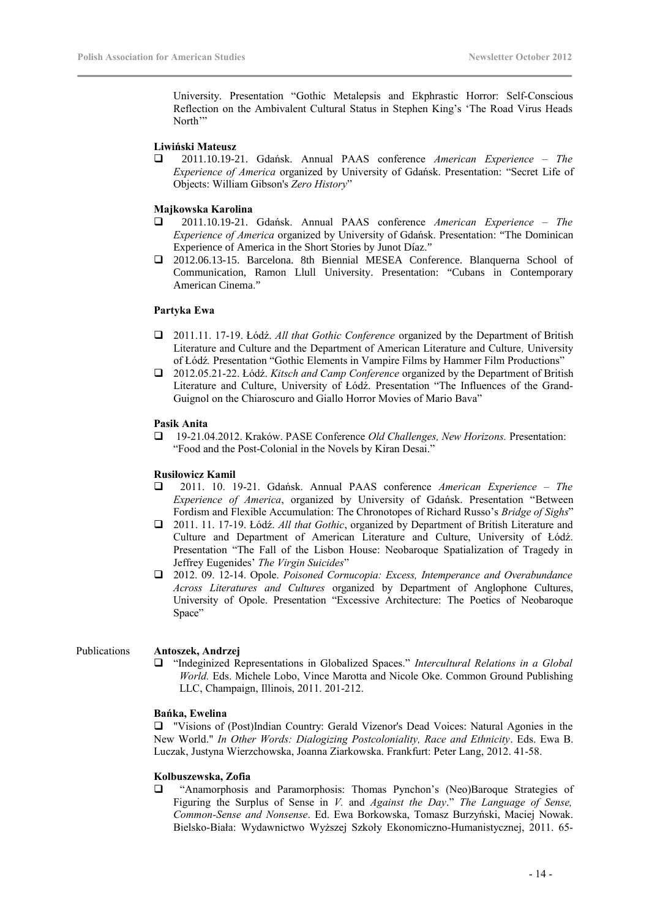University. Presentation "Gothic Metalepsis and Ekphrastic Horror: Self-Conscious Reflection on the Ambivalent Cultural Status in Stephen King's 'The Road Virus Heads North'"

### **Liwiński Mateusz**

 2011.10.19-21. Gdańsk. Annual PAAS conference *American Experience – The Experience of America* organized by University of Gdańsk. Presentation: "Secret Life of Objects: William Gibson's *Zero History*"

### **Majkowska Karolina**

- 2011.10.19-21. Gdańsk. Annual PAAS conference *American Experience The Experience of America* organized by University of Gdańsk. Presentation: "The Dominican Experience of America in the Short Stories by Junot Díaz."
- 2012.06.13-15. Barcelona. 8th Biennial MESEA Conference. Blanquerna School of Communication, Ramon Llull University. Presentation: "Cubans in Contemporary American Cinema."

### **Partyka Ewa**

- 2011.11. 17-19. Łódź. *All that Gothic Conference* organized by the Department of British Literature and Culture and the Department of American Literature and Culture*,* University of Łódź*.* Presentation "Gothic Elements in Vampire Films by Hammer Film Productions"
- 2012.05.21-22. Łódź. *Kitsch and Camp Conference* organized by the Department of British Literature and Culture, University of Łódź. Presentation "The Influences of the Grand-Guignol on the Chiaroscuro and Giallo Horror Movies of Mario Bava"

### **Pasik Anita**

 19-21.04.2012. Kraków. PASE Conference *Old Challenges, New Horizons.* Presentation: "Food and the Post-Colonial in the Novels by Kiran Desai."

### **Rusiłowicz Kamil**

- 2011. 10. 19-21. Gdańsk. Annual PAAS conference *American Experience The Experience of America*, organized by University of Gdańsk. Presentation "Between Fordism and Flexible Accumulation: The Chronotopes of Richard Russo's *Bridge of Sighs*"
- 2011. 11. 17-19. Łódź. *All that Gothic*, organized by Department of British Literature and Culture and Department of American Literature and Culture, University of Łódź. Presentation "The Fall of the Lisbon House: Neobaroque Spatialization of Tragedy in Jeffrey Eugenides' *The Virgin Suicides*"
- 2012. 09. 12-14. Opole. *Poisoned Cornucopia: Excess, Intemperance and Overabundance Across Literatures and Cultures* organized by Department of Anglophone Cultures, University of Opole. Presentation "Excessive Architecture: The Poetics of Neobaroque Space"

### Publications **Antoszek, Andrzej**

 "Indeginized Representations in Globalized Spaces." *Intercultural Relations in a Global World.* Eds. Michele Lobo, Vince Marotta and Nicole Oke. Common Ground Publishing LLC, Champaign, Illinois, 2011. 201-212.

### **Bańka, Ewelina**

 "Visions of (Post)Indian Country: Gerald Vizenor's Dead Voices: Natural Agonies in the New World." *In Other Words: Dialogizing Postcoloniality, Race and Ethnicity*. Eds. Ewa B. Luczak, Justyna Wierzchowska, Joanna Ziarkowska. Frankfurt: Peter Lang, 2012. 41-58.

### **Kolbuszewska, Zofia**

 "Anamorphosis and Paramorphosis: Thomas Pynchon's (Neo)Baroque Strategies of Figuring the Surplus of Sense in *V.* and *Against the Day*." *The Language of Sense, Common-Sense and Nonsense*. Ed. Ewa Borkowska, Tomasz Burzyński, Maciej Nowak. Bielsko-Biała: Wydawnictwo Wyższej Szkoły Ekonomiczno-Humanistycznej, 2011. 65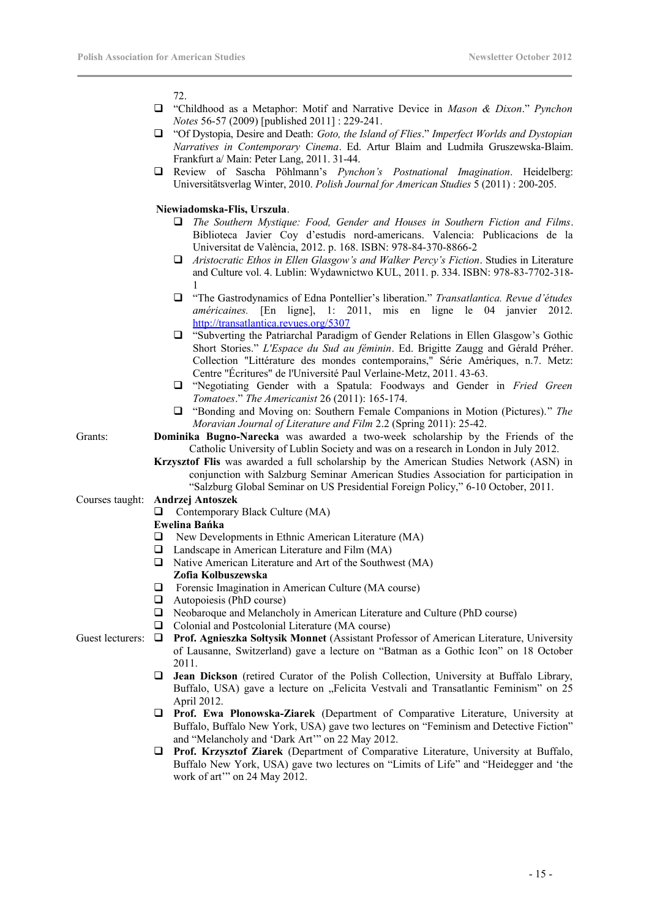72.

- "Childhood as a Metaphor: Motif and Narrative Device in *Mason & Dixon*." *Pynchon Notes* 56-57 (2009) [published 2011] : 229-241.
- "Of Dystopia, Desire and Death: *Goto, the Island of Flies*." *Imperfect Worlds and Dystopian Narratives in Contemporary Cinema*. Ed. Artur Blaim and Ludmiła Gruszewska-Blaim. Frankfurt a/ Main: Peter Lang, 2011. 31-44.
- Review of Sascha Pöhlmann's *Pynchon's Postnational Imagination*. Heidelberg: Universitätsverlag Winter, 2010. *Polish Journal for American Studies* 5 (2011) : 200-205.

### **Niewiadomska-Flis, Urszula**.

- *The Southern Mystique: Food, Gender and Houses in Southern Fiction and Films*. Biblioteca Javier Coy d'estudis nord-americans. Valencia: Publicacions de la Universitat de València, 2012. p. 168. ISBN: 978-84-370-8866-2
- *Aristocratic Ethos in Ellen Glasgow's and Walker Percy's Fiction*. Studies in Literature and Culture vol. 4. Lublin: Wydawnictwo KUL, 2011. p. 334. ISBN: 978-83-7702-318- 1
- "The Gastrodynamics of Edna Pontellier's liberation." *Transatlantica. Revue d'études américaines.* [En ligne], 1: 2011, mis en ligne le 04 janvier 2012. <http://transatlantica.revues.org/5307>
- "Subverting the Patriarchal Paradigm of Gender Relations in Ellen Glasgow's Gothic Short Stories." *L'Espace du Sud au féminin*. Ed. Brigitte Zaugg and Gérald Préher. Collection "Littérature des mondes contemporains," Série Amériques, n.7. Metz: Centre "Écritures" de l'Université Paul Verlaine-Metz, 2011. 43-63.
- "Negotiating Gender with a Spatula: Foodways and Gender in *Fried Green Tomatoes*." *The Americanist* 26 (2011): 165-174.
- "Bonding and Moving on: Southern Female Companions in Motion (Pictures)." *The Moravian Journal of Literature and Film* 2.2 (Spring 2011): 25-42.

- Grants: **Dominika Bugno-Narecka** was awarded a two-week scholarship by the Friends of the Catholic University of Lublin Society and was on a research in London in July 2012.
	- **Krzysztof Flis** was awarded a full scholarship by the American Studies Network (ASN) in conjunction with Salzburg Seminar American Studies Association for participation in "Salzburg Global Seminar on US Presidential Foreign Policy," 6-10 October, 2011.

### Courses taught: **Andrzej Antoszek**

 $\Box$  Contemporary Black Culture (MA)

### **Ewelina Bańka**

- $\Box$  New Developments in Ethnic American Literature (MA)
- $\Box$  Landscape in American Literature and Film (MA)
- $\Box$  Native American Literature and Art of the Southwest (MA) **Zofia Kolbuszewska**
- Forensic Imagination in American Culture (MA course)
- $\Box$  Autopoiesis (PhD course)
- □ Neobaroque and Melancholy in American Literature and Culture (PhD course)
- □ Colonial and Postcolonial Literature (MA course)
- Guest lecturers:  $\Box$  Prof. Agnieszka Soltysik Monnet (Assistant Professor of American Literature, University of Lausanne, Switzerland) gave a lecture on "Batman as a Gothic Icon" on 18 October 2011.
	- **Jean Dickson** (retired Curator of the Polish Collection, University at Buffalo Library, Buffalo, USA) gave a lecture on "Felicita Vestvali and Transatlantic Feminism" on 25 April 2012.
	- **Prof. Ewa Płonowska-Ziarek** (Department of Comparative Literature, University at Buffalo, Buffalo New York, USA) gave two lectures on "Feminism and Detective Fiction" and "Melancholy and 'Dark Art'" on 22 May 2012.
	- **Prof. Krzysztof Ziarek** (Department of Comparative Literature, University at Buffalo, Buffalo New York, USA) gave two lectures on "Limits of Life" and "Heidegger and 'the work of art" on 24 May 2012.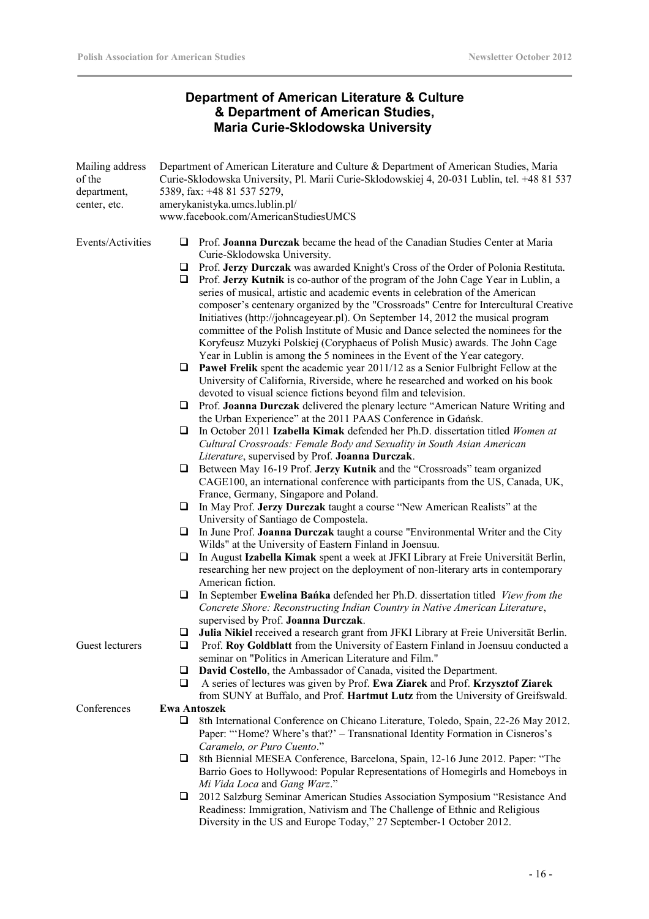# **Department of American Literature & Culture & Department of American Studies, Maria Curie-Sklodowska University**

| Mailing address<br>of the<br>department,<br>center, etc. |                     | Department of American Literature and Culture & Department of American Studies, Maria<br>Curie-Sklodowska University, Pl. Marii Curie-Sklodowskiej 4, 20-031 Lublin, tel. +48 81 537<br>5389, fax: +48 81 537 5279,<br>amerykanistyka.umcs.lublin.pl/<br>www.facebook.com/AmericanStudiesUMCS                                                                                                                                                                                                                                                                                                                                                                                                                             |  |  |
|----------------------------------------------------------|---------------------|---------------------------------------------------------------------------------------------------------------------------------------------------------------------------------------------------------------------------------------------------------------------------------------------------------------------------------------------------------------------------------------------------------------------------------------------------------------------------------------------------------------------------------------------------------------------------------------------------------------------------------------------------------------------------------------------------------------------------|--|--|
| Events/Activities                                        | ❏<br>u<br>u         | Prof. Joanna Durczak became the head of the Canadian Studies Center at Maria<br>Curie-Sklodowska University.<br>Prof. Jerzy Durczak was awarded Knight's Cross of the Order of Polonia Restituta.<br>Prof. Jerzy Kutnik is co-author of the program of the John Cage Year in Lublin, a<br>series of musical, artistic and academic events in celebration of the American<br>composer's centenary organized by the "Crossroads" Centre for Intercultural Creative<br>Initiatives (http://johncageyear.pl). On September 14, 2012 the musical program<br>committee of the Polish Institute of Music and Dance selected the nominees for the<br>Koryfeusz Muzyki Polskiej (Coryphaeus of Polish Music) awards. The John Cage |  |  |
|                                                          | u                   | Year in Lublin is among the 5 nominees in the Event of the Year category.<br><b>Pawel Frelik</b> spent the academic year 2011/12 as a Senior Fulbright Fellow at the<br>University of California, Riverside, where he researched and worked on his book                                                                                                                                                                                                                                                                                                                                                                                                                                                                   |  |  |
|                                                          | u                   | devoted to visual science fictions beyond film and television.<br>Prof. Joanna Durczak delivered the plenary lecture "American Nature Writing and<br>the Urban Experience" at the 2011 PAAS Conference in Gdańsk.                                                                                                                                                                                                                                                                                                                                                                                                                                                                                                         |  |  |
|                                                          | ⊔                   | In October 2011 Izabella Kimak defended her Ph.D. dissertation titled Women at<br>Cultural Crossroads: Female Body and Sexuality in South Asian American                                                                                                                                                                                                                                                                                                                                                                                                                                                                                                                                                                  |  |  |
|                                                          | u                   | Literature, supervised by Prof. Joanna Durczak.<br>Between May 16-19 Prof. Jerzy Kutnik and the "Crossroads" team organized<br>CAGE100, an international conference with participants from the US, Canada, UK,                                                                                                                                                                                                                                                                                                                                                                                                                                                                                                            |  |  |
|                                                          | ⊔                   | France, Germany, Singapore and Poland.<br>In May Prof. Jerzy Durczak taught a course "New American Realists" at the<br>University of Santiago de Compostela.                                                                                                                                                                                                                                                                                                                                                                                                                                                                                                                                                              |  |  |
|                                                          | u                   | In June Prof. Joanna Durczak taught a course "Environmental Writer and the City<br>Wilds" at the University of Eastern Finland in Joensuu.                                                                                                                                                                                                                                                                                                                                                                                                                                                                                                                                                                                |  |  |
|                                                          | ⊔                   | In August Izabella Kimak spent a week at JFKI Library at Freie Universität Berlin,<br>researching her new project on the deployment of non-literary arts in contemporary<br>American fiction.                                                                                                                                                                                                                                                                                                                                                                                                                                                                                                                             |  |  |
|                                                          | ❏                   | In September Ewelina Banka defended her Ph.D. dissertation titled View from the<br>Concrete Shore: Reconstructing Indian Country in Native American Literature,<br>supervised by Prof. Joanna Durczak.                                                                                                                                                                                                                                                                                                                                                                                                                                                                                                                    |  |  |
| Guest lecturers                                          | ❏<br>u              | Julia Nikiel received a research grant from JFKI Library at Freie Universität Berlin.<br>Prof. Roy Goldblatt from the University of Eastern Finland in Joensuu conducted a<br>seminar on "Politics in American Literature and Film."                                                                                                                                                                                                                                                                                                                                                                                                                                                                                      |  |  |
|                                                          | u<br>⊔              | David Costello, the Ambassador of Canada, visited the Department.<br>A series of lectures was given by Prof. Ewa Ziarek and Prof. Krzysztof Ziarek<br>from SUNY at Buffalo, and Prof. Hartmut Lutz from the University of Greifswald.                                                                                                                                                                                                                                                                                                                                                                                                                                                                                     |  |  |
| Conferences                                              | <b>Ewa Antoszek</b> |                                                                                                                                                                                                                                                                                                                                                                                                                                                                                                                                                                                                                                                                                                                           |  |  |
|                                                          | u.                  | 8th International Conference on Chicano Literature, Toledo, Spain, 22-26 May 2012.<br>Paper: "'Home? Where's that?' – Transnational Identity Formation in Cisneros's<br>Caramelo, or Puro Cuento."                                                                                                                                                                                                                                                                                                                                                                                                                                                                                                                        |  |  |
|                                                          | ⊔                   | 8th Biennial MESEA Conference, Barcelona, Spain, 12-16 June 2012. Paper: "The<br>Barrio Goes to Hollywood: Popular Representations of Homegirls and Homeboys in<br>Mi Vida Loca and Gang Warz."                                                                                                                                                                                                                                                                                                                                                                                                                                                                                                                           |  |  |
|                                                          | ⊔                   | 2012 Salzburg Seminar American Studies Association Symposium "Resistance And<br>Readiness: Immigration, Nativism and The Challenge of Ethnic and Religious                                                                                                                                                                                                                                                                                                                                                                                                                                                                                                                                                                |  |  |

Diversity in the US and Europe Today," 27 September-1 October 2012.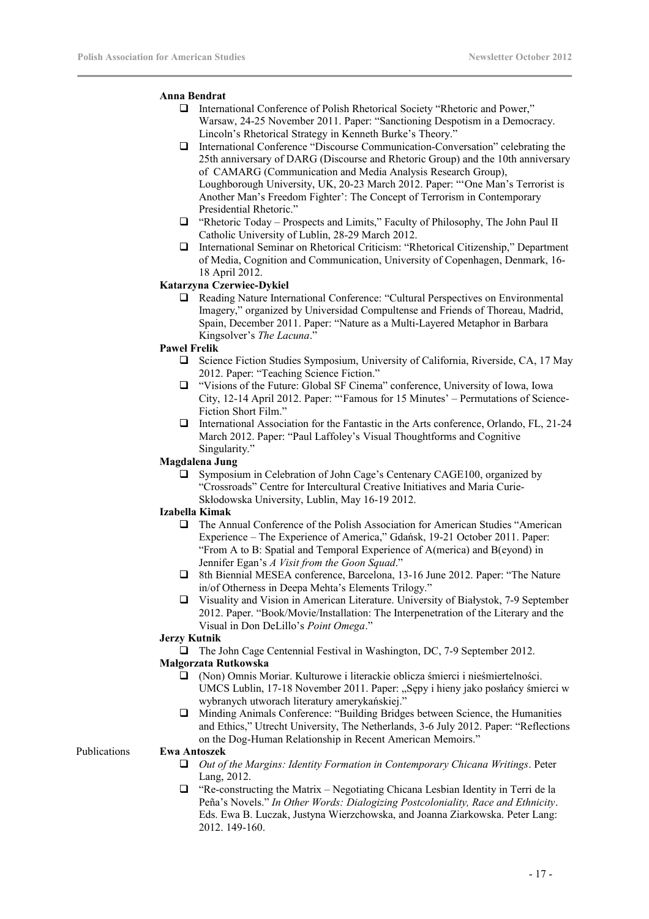### **Anna Bendrat**

- International Conference of Polish Rhetorical Society "Rhetoric and Power," Warsaw, 24-25 November 2011. Paper: "Sanctioning Despotism in a Democracy. Lincoln's Rhetorical Strategy in Kenneth Burke's Theory."
- International Conference "Discourse Communication-Conversation" celebrating the 25th anniversary of DARG (Discourse and Rhetoric Group) and the 10th anniversary of CAMARG (Communication and Media Analysis Research Group), Loughborough University, UK, 20-23 March 2012. Paper: "'One Man's Terrorist is Another Man's Freedom Fighter': The Concept of Terrorism in Contemporary Presidential Rhetoric."
- "Rhetoric Today Prospects and Limits," Faculty of Philosophy, The John Paul II Catholic University of Lublin, 28-29 March 2012.
- International Seminar on Rhetorical Criticism: "Rhetorical Citizenship," Department of Media, Cognition and Communication, University of Copenhagen, Denmark, 16- 18 April 2012.

### **Katarzyna Czerwiec-Dykiel**

 Reading Nature International Conference: "Cultural Perspectives on Environmental Imagery," organized by Universidad Compultense and Friends of Thoreau, Madrid, Spain, December 2011. Paper: "Nature as a Multi-Layered Metaphor in Barbara Kingsolver's *The Lacuna*."

### **Paweł Frelik**

- $\Box$  Science Fiction Studies Symposium, University of California, Riverside, CA, 17 May 2012. Paper: "Teaching Science Fiction."
- "Visions of the Future: Global SF Cinema" conference, University of Iowa, Iowa City, 12-14 April 2012. Paper: "'Famous for 15 Minutes' – Permutations of Science-Fiction Short Film."
- International Association for the Fantastic in the Arts conference, Orlando, FL, 21-24 March 2012. Paper: "Paul Laffoley's Visual Thoughtforms and Cognitive Singularity."

### **Magdalena Jung**

 Symposium in Celebration of John Cage's Centenary CAGE100, organized by "Crossroads" Centre for Intercultural Creative Initiatives and Maria Curie-Skłodowska University, Lublin, May 16-19 2012.

### **Izabella Kimak**

- The Annual Conference of the Polish Association for American Studies "American Experience – The Experience of America," Gdańsk, 19-21 October 2011. Paper: "From A to B: Spatial and Temporal Experience of A(merica) and B(eyond) in Jennifer Egan's *A Visit from the Goon Squad*."
- 8th Biennial MESEA conference, Barcelona, 13-16 June 2012. Paper: "The Nature in/of Otherness in Deepa Mehta's Elements Trilogy."
- Visuality and Vision in American Literature. University of Białystok, 7-9 September 2012. Paper. "Book/Movie/Installation: The Interpenetration of the Literary and the Visual in Don DeLillo's *Point Omega*."

### **Jerzy Kutnik**

□ The John Cage Centennial Festival in Washington, DC, 7-9 September 2012.

# **Małgorzata Rutkowska**

- (Non) Omnis Moriar. Kulturowe i literackie oblicza śmierci i nieśmiertelności. UMCS Lublin, 17-18 November 2011. Paper: "Sępy i hieny jako posłańcy śmierci w wybranych utworach literatury amerykańskiej."
- $\Box$  Minding Animals Conference: "Building Bridges between Science, the Humanities and Ethics," Utrecht University, The Netherlands, 3-6 July 2012. Paper: "Reflections on the Dog-Human Relationship in Recent American Memoirs."

Publications **Ewa Antoszek**

- *Out of the Margins: Identity Formation in Contemporary Chicana Writings*. Peter Lang, 2012.
- "Re-constructing the Matrix Negotiating Chicana Lesbian Identity in Terri de la Peña's Novels." *In Other Words: Dialogizing Postcoloniality, Race and Ethnicity*. Eds. Ewa B. Luczak, Justyna Wierzchowska, and Joanna Ziarkowska. Peter Lang: 2012. 149-160.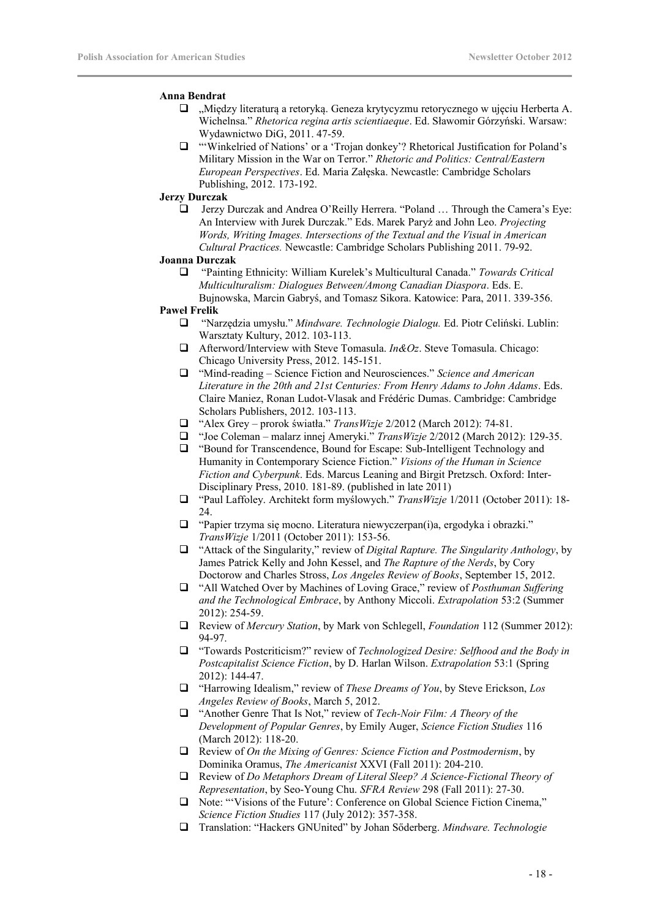### **Anna Bendrat**

- "Między literaturą a retoryką. Geneza krytycyzmu retorycznego w ujęciu Herberta A. Wichelnsa." *Rhetorica regina artis scientiaeque*. Ed. Sławomir Górzyński. Warsaw: Wydawnictwo DiG, 2011. 47-59.
- "'Winkelried of Nations' or a 'Trojan donkey'? Rhetorical Justification for Poland's Military Mission in the War on Terror." *Rhetoric and Politics: Central/Eastern European Perspectives*. Ed. Maria Załęska. Newcastle: Cambridge Scholars Publishing, 2012. 173-192.

### **Jerzy Durczak**

 Jerzy Durczak and Andrea O'Reilly Herrera. "Poland … Through the Camera's Eye: An Interview with Jurek Durczak." Eds. Marek Paryż and John Leo. *Projecting Words, Writing Images. Intersections of the Textual and the Visual in American Cultural Practices.* Newcastle: Cambridge Scholars Publishing 2011. 79-92.

### **Joanna Durczak**

 "Painting Ethnicity: William Kurelek's Multicultural Canada." *Towards Critical Multiculturalism: Dialogues Between/Among Canadian Diaspora*. Eds. E. Bujnowska, Marcin Gabryś, and Tomasz Sikora. Katowice: Para, 2011. 339-356.

### **Paweł Frelik**

- "Narzędzia umysłu." *Mindware. Technologie Dialogu.* Ed. Piotr Celiński. Lublin: Warsztaty Kultury, 2012. 103-113.
- Afterword/Interview with Steve Tomasula. *In&Oz*. Steve Tomasula. Chicago: Chicago University Press, 2012. 145-151.
- "Mind-reading Science Fiction and Neurosciences." *Science and American Literature in the 20th and 21st Centuries: From Henry Adams to John Adams*. Eds. Claire Maniez, Ronan Ludot-Vlasak and Frédéric Dumas. Cambridge: Cambridge Scholars Publishers, 2012. 103-113.
- "Alex Grey prorok światła." *TransWizje* 2/2012 (March 2012): 74-81.
- "Joe Coleman malarz innej Ameryki." *TransWizje* 2/2012 (March 2012): 129-35.
- "Bound for Transcendence, Bound for Escape: Sub-Intelligent Technology and Humanity in Contemporary Science Fiction." *Visions of the Human in Science Fiction and Cyberpunk*. Eds. Marcus Leaning and Birgit Pretzsch. Oxford: Inter-Disciplinary Press, 2010. 181-89. (published in late 2011)
- "Paul Laffoley. Architekt form myślowych." *TransWizje* 1/2011 (October 2011): 18- 24.
- "Papier trzyma się mocno. Literatura niewyczerpan(i)a, ergodyka i obrazki." *TransWizje* 1/2011 (October 2011): 153-56.
- "Attack of the Singularity," review of *Digital Rapture. The Singularity Anthology*, by James Patrick Kelly and John Kessel, and *The Rapture of the Nerds*, by Cory Doctorow and Charles Stross, *Los Angeles Review of Books*, September 15, 2012.
- □ "All Watched Over by Machines of Loving Grace," review of *Posthuman Suffering and the Technological Embrace*, by Anthony Miccoli. *Extrapolation* 53:2 (Summer 2012): 254-59.
- Review of *Mercury Station*, by Mark von Schlegell, *Foundation* 112 (Summer 2012): 94-97.
- "Towards Postcriticism?" review of *Technologized Desire: Selfhood and the Body in Postcapitalist Science Fiction*, by D. Harlan Wilson. *Extrapolation* 53:1 (Spring 2012): 144-47.
- "Harrowing Idealism," review of *These Dreams of You*, by Steve Erickson, *Los Angeles Review of Books*, March 5, 2012.
- "Another Genre That Is Not," review of *Tech-Noir Film: A Theory of the Development of Popular Genres*, by Emily Auger, *Science Fiction Studies* 116 (March 2012): 118-20.
- Review of *On the Mixing of Genres: Science Fiction and Postmodernism*, by Dominika Oramus, *The Americanist* XXVI (Fall 2011): 204-210.
- Review of *Do Metaphors Dream of Literal Sleep? A Science-Fictional Theory of Representation*, by Seo-Young Chu. *SFRA Review* 298 (Fall 2011): 27-30.
- Note: "'Visions of the Future': Conference on Global Science Fiction Cinema," *Science Fiction Studies* 117 (July 2012): 357-358.
- Translation: "Hackers GNUnited" by Johan Sőderberg. *Mindware. Technologie*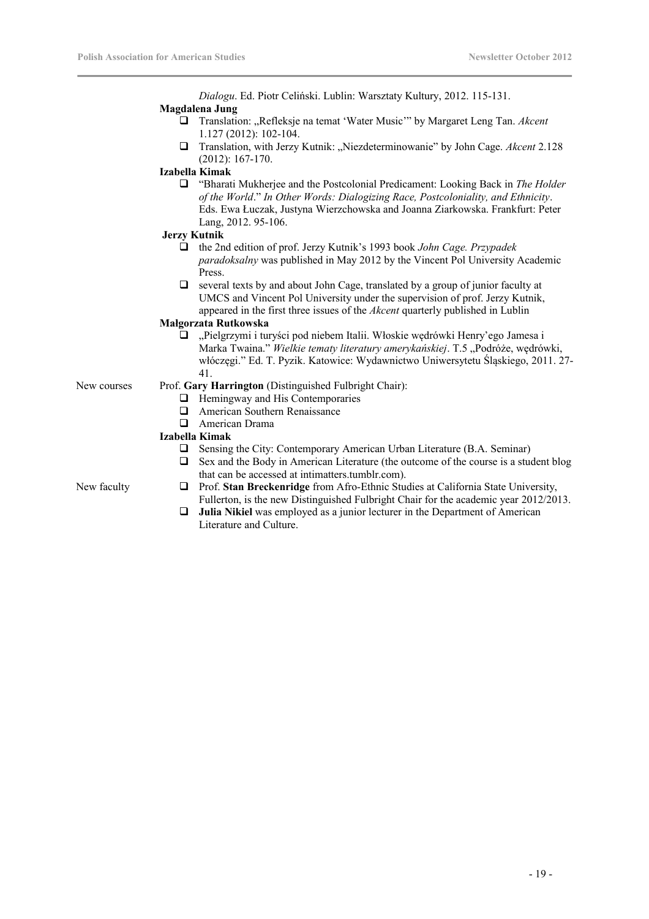*Dialogu*. Ed. Piotr Celiński. Lublin: Warsztaty Kultury, 2012. 115-131. **Magdalena Jung**

- □ Translation: "Refleksje na temat 'Water Music'" by Margaret Leng Tan. Akcent 1.127 (2012): 102-104.
- Translation, with Jerzy Kutnik: "Niezdeterminowanie" by John Cage. *Akcent* 2.128 (2012): 167-170.

### **Izabella Kimak**

 "Bharati Mukherjee and the Postcolonial Predicament: Looking Back in *The Holder of the World*." *In Other Words: Dialogizing Race, Postcoloniality, and Ethnicity*. Eds. Ewa Łuczak, Justyna Wierzchowska and Joanna Ziarkowska. Frankfurt: Peter Lang, 2012. 95-106.

### **Jerzy Kutnik**

- the 2nd edition of prof. Jerzy Kutnik's 1993 book *John Cage. Przypadek paradoksalny* was published in May 2012 by the Vincent Pol University Academic Press.
- $\Box$  several texts by and about John Cage, translated by a group of junior faculty at UMCS and Vincent Pol University under the supervision of prof. Jerzy Kutnik, appeared in the first three issues of the *Akcent* quarterly published in Lublin

# **Małgorzata Rutkowska**

□ "Pielgrzymi i turyści pod niebem Italii. Włoskie wędrówki Henry'ego Jamesa i Marka Twaina." Wielkie tematy literatury amerykańskiej. T.5 "Podróże, wędrówki, włóczęgi." Ed. T. Pyzik. Katowice: Wydawnictwo Uniwersytetu Śląskiego, 2011. 27- 41.

- New courses Prof. **Gary Harrington** (Distinguished Fulbright Chair):
	- $\Box$  Hemingway and His Contemporaries
	- **American Southern Renaissance**
	- American Drama

### **Izabella Kimak**

- Sensing the City: Contemporary American Urban Literature (B.A. Seminar)
- $\Box$  Sex and the Body in American Literature (the outcome of the course is a student blog that can be accessed at intimatters.tumblr.com).

- New faculty Prof. **Stan Breckenridge** from Afro-Ethnic Studies at California State University, Fullerton, is the new Distinguished Fulbright Chair for the academic year 2012/2013.
	- **Julia Nikiel** was employed as a junior lecturer in the Department of American Literature and Culture.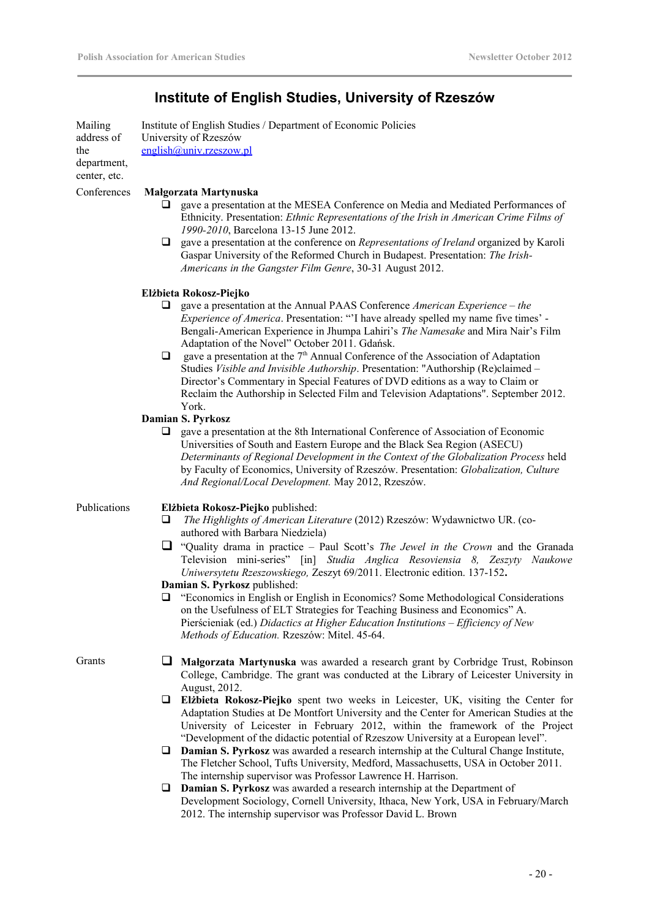# **Institute of English Studies, University of Rzeszów**

Mailing address of the department, center, etc. Institute of English Studies / Department of Economic Policies University of Rzeszów [english@univ.rzeszow.pl](mailto:english@univ.rzeszow.pl)

### Conferences **Małgorzata Martynuska**

- gave a presentation at the MESEA Conference on Media and Mediated Performances of Ethnicity. Presentation: *Ethnic Representations of the Irish in American Crime Films of 1990-2010*, Barcelona 13-15 June 2012.
- gave a presentation at the conference on *Representations of Ireland* organized by Karoli Gaspar University of the Reformed Church in Budapest. Presentation: *The Irish-Americans in the Gangster Film Genre*, 30-31 August 2012.

### **Elżbieta Rokosz-Piejko**

- gave a presentation at the Annual PAAS Conference *American Experience the Experience of America*. Presentation: "'I have already spelled my name five times' - Bengali-American Experience in Jhumpa Lahiri's *The Namesake* and Mira Nair's Film Adaptation of the Novel" October 2011. Gdańsk.
- $\Box$  gave a presentation at the 7<sup>th</sup> Annual Conference of the Association of Adaptation Studies *Visible and Invisible Authorship*. Presentation: "Authorship (Re)claimed – Director's Commentary in Special Features of DVD editions as a way to Claim or Reclaim the Authorship in Selected Film and Television Adaptations". September 2012. York.

### **Damian S. Pyrkosz**

 $\Box$  gave a presentation at the 8th International Conference of Association of Economic Universities of South and Eastern Europe and the Black Sea Region (ASECU) *Determinants of Regional Development in the Context of the Globalization Process* held by Faculty of Economics, University of Rzeszów. Presentation: *Globalization, Culture And Regional/Local Development.* May 2012, Rzeszów.

### Publications **Elżbieta Rokosz-Piejko** published:

- *The Highlights of American Literature* (2012) Rzeszów: Wydawnictwo UR. (coauthored with Barbara Niedziela)
- "Quality drama in practice Paul Scott's *The Jewel in the Crown* and the Granada Television mini-series" [in] *Studia Anglica Resoviensia 8, Zeszyty Naukowe Uniwersytetu Rzeszowskiego,* Zeszyt 69/2011. Electronic edition. 137-152**.**

**Damian S. Pyrkosz** published:

 "Economics in English or English in Economics? Some Methodological Considerations on the Usefulness of ELT Strategies for Teaching Business and Economics" A. Pierścieniak (ed.) *Didactics at Higher Education Institutions – Efficiency of New Methods of Education.* Rzeszów: Mitel. 45-64.

- Grants **I** Malgorzata Martynuska was awarded a research grant by Corbridge Trust, Robinson College, Cambridge. The grant was conducted at the Library of Leicester University in August, 2012.
	- **Elżbieta Rokosz-Piejko** spent two weeks in Leicester, UK, visiting the Center for Adaptation Studies at De Montfort University and the Center for American Studies at the University of Leicester in February 2012, within the framework of the Project "Development of the didactic potential of Rzeszow University at a European level".
	- **Damian S. Pyrkosz** was awarded a research internship at the Cultural Change Institute, The Fletcher School, Tufts University, Medford, Massachusetts, USA in October 2011. The internship supervisor was Professor Lawrence H. Harrison.
	- **Damian S. Pyrkosz** was awarded a research internship at the Department of Development Sociology, Cornell University, Ithaca, New York, USA in February/March 2012. The internship supervisor was Professor David L. Brown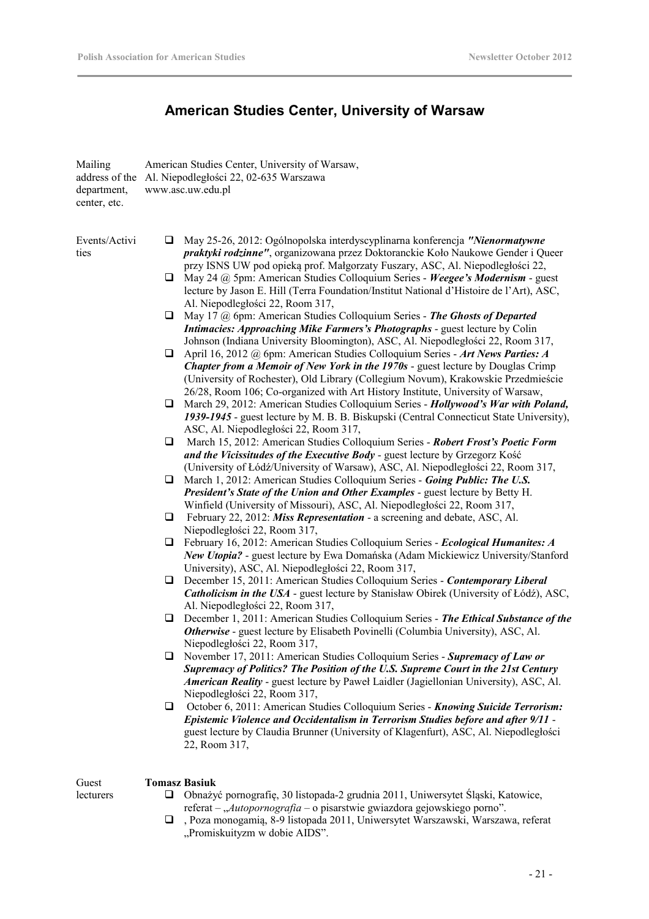# **American Studies Center, University of Warsaw**

| Mailing<br>address of the<br>department,<br>center, etc. | American Studies Center, University of Warsaw,<br>Al. Niepodległości 22, 02-635 Warszawa<br>www.asc.uw.edu.pl                                                                                                                                                                                                                                                                                      |  |  |
|----------------------------------------------------------|----------------------------------------------------------------------------------------------------------------------------------------------------------------------------------------------------------------------------------------------------------------------------------------------------------------------------------------------------------------------------------------------------|--|--|
| Events/Activi<br>ties                                    | May 25-26, 2012: Ogólnopolska interdyscyplinarna konferencja "Nienormatywne<br>❏<br>praktyki rodzinne", organizowana przez Doktoranckie Koło Naukowe Gender i Queer<br>przy ISNS UW pod opieką prof. Małgorzaty Fuszary, ASC, Al. Niepodległości 22,                                                                                                                                               |  |  |
|                                                          | May 24 @ 5pm: American Studies Colloquium Series - Weegee's Modernism - guest<br>$\Box$<br>lecture by Jason E. Hill (Terra Foundation/Institut National d'Histoire de l'Art), ASC,<br>Al. Niepodległości 22, Room 317,                                                                                                                                                                             |  |  |
|                                                          | May 17 @ 6pm: American Studies Colloquium Series - The Ghosts of Departed<br>❏<br>Intimacies: Approaching Mike Farmers's Photographs - guest lecture by Colin<br>Johnson (Indiana University Bloomington), ASC, Al. Niepodległości 22, Room 317,                                                                                                                                                   |  |  |
|                                                          | April 16, 2012 @ 6pm: American Studies Colloquium Series - Art News Parties: A<br>⊔<br>Chapter from a Memoir of New York in the 1970s - guest lecture by Douglas Crimp                                                                                                                                                                                                                             |  |  |
|                                                          | (University of Rochester), Old Library (Collegium Novum), Krakowskie Przedmieście<br>26/28, Room 106; Co-organized with Art History Institute, University of Warsaw,<br>March 29, 2012: American Studies Colloquium Series - Hollywood's War with Poland,<br>❏<br>1939-1945 - guest lecture by M. B. B. Biskupski (Central Connecticut State University),<br>ASC, Al. Niepodległości 22, Room 317, |  |  |
|                                                          | March 15, 2012: American Studies Colloquium Series - Robert Frost's Poetic Form<br>❏<br>and the Vicissitudes of the Executive Body - guest lecture by Grzegorz Kość                                                                                                                                                                                                                                |  |  |
|                                                          | (University of Łódź/University of Warsaw), ASC, Al. Niepodległości 22, Room 317,<br>March 1, 2012: American Studies Colloquium Series - Going Public: The U.S.<br>⊔<br>President's State of the Union and Other Examples - guest lecture by Betty H.                                                                                                                                               |  |  |
|                                                          | Winfield (University of Missouri), ASC, Al. Niepodległości 22, Room 317,<br>February 22, 2012: Miss Representation - a screening and debate, ASC, Al.<br>⊔<br>Niepodległości 22, Room 317,                                                                                                                                                                                                         |  |  |
|                                                          | February 16, 2012: American Studies Colloquium Series - Ecological Humanites: A<br>⊔<br>New Utopia? - guest lecture by Ewa Domańska (Adam Mickiewicz University/Stanford<br>University), ASC, Al. Niepodległości 22, Room 317,                                                                                                                                                                     |  |  |
|                                                          | December 15, 2011: American Studies Colloquium Series - Contemporary Liberal<br>❏<br><b>Catholicism in the USA</b> - guest lecture by Stanisław Obirek (University of Łódź), ASC,<br>Al. Niepodległości 22, Room 317,                                                                                                                                                                              |  |  |
|                                                          | December 1, 2011: American Studies Colloquium Series - The Ethical Substance of the<br>❏<br><b>Otherwise</b> - guest lecture by Elisabeth Povinelli (Columbia University), ASC, Al.<br>Niepodległości 22, Room 317.                                                                                                                                                                                |  |  |
|                                                          | November 17, 2011: American Studies Colloquium Series - Supremacy of Law or<br>u<br>Supremacy of Politics? The Position of the U.S. Supreme Court in the 21st Century<br>American Reality - guest lecture by Paweł Laidler (Jagiellonian University), ASC, Al.<br>Niepodległości 22, Room 317,                                                                                                     |  |  |
|                                                          | October 6, 2011: American Studies Colloquium Series - Knowing Suicide Terrorism:<br>u<br>Epistemic Violence and Occidentalism in Terrorism Studies before and after 9/11 -<br>guest lecture by Claudia Brunner (University of Klagenfurt), ASC, Al. Niepodległości<br>22, Room 317,                                                                                                                |  |  |
| Guest                                                    | <b>Tomasz Basiuk</b>                                                                                                                                                                                                                                                                                                                                                                               |  |  |
| lecturers                                                | Obnażyć pornografię, 30 listopada-2 grudnia 2011, Uniwersytet Śląski, Katowice,<br>u                                                                                                                                                                                                                                                                                                               |  |  |

- Obnażyć pornografię, 30 listopada-2 grudnia 2011, Uniwersytet Śląski, Katowice, referat – "Autopornografia – o pisarstwie gwiazdora gejowskiego porno".
- , Poza monogamią, 8-9 listopada 2011, Uniwersytet Warszawski, Warszawa, referat "Promiskuityzm w dobie AIDS".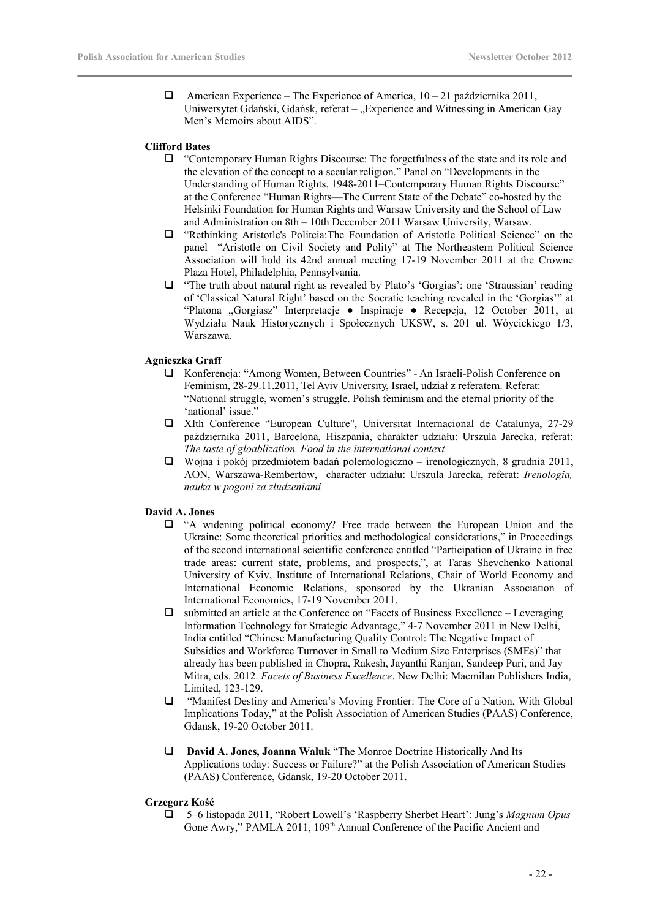$\Box$  American Experience – The Experience of America,  $10 - 21$  października 2011, Uniwersytet Gdański, Gdańsk, referat – "Experience and Witnessing in American Gay Men's Memoirs about AIDS".

### **Clifford Bates**

- "Contemporary Human Rights Discourse: The forgetfulness of the state and its role and the elevation of the concept to a secular religion." Panel on "Developments in the Understanding of Human Rights, 1948-2011–Contemporary Human Rights Discourse" at the Conference "Human Rights—The Current State of the Debate" co-hosted by the Helsinki Foundation for Human Rights and Warsaw University and the School of Law and Administration on 8th – 10th December 2011 Warsaw University, Warsaw.
- "Rethinking Aristotle's Politeia:The Foundation of Aristotle Political Science" on the panel "Aristotle on Civil Society and Polity" at The Northeastern Political Science Association will hold its 42nd annual meeting 17-19 November 2011 at the Crowne Plaza Hotel, Philadelphia, Pennsylvania.
- "The truth about natural right as revealed by Plato's 'Gorgias': one 'Straussian' reading of 'Classical Natural Right' based on the Socratic teaching revealed in the 'Gorgias'" at "Platona "Gorgiasz" Interpretacje ● Inspiracje ● Recepcja, 12 October 2011, at Wydziału Nauk Historycznych i Społecznych UKSW, s. 201 ul. Wóycickiego 1/3, Warszawa.

### **Agnieszka Graff**

- Konferencja: "Among Women, Between Countries" An Israeli-Polish Conference on Feminism, 28-29.11.2011, Tel Aviv University, Israel, udział z referatem. Referat: "National struggle, women's struggle. Polish feminism and the eternal priority of the 'national' issue."
- XIth Conference "European Culture", Universitat Internacional de Catalunya, 27-29 października 2011, Barcelona, Hiszpania, charakter udziału: Urszula Jarecka, referat: *The taste of gloablization. Food in the international context*
- $\Box$  Wojna i pokój przedmiotem badań polemologiczno irenologicznych, 8 grudnia 2011, AON, Warszawa-Rembertów, character udziału: Urszula Jarecka, referat: *Irenologia, nauka w pogoni za złudzeniami*

### **David A. Jones**

- "A widening political economy? Free trade between the European Union and the Ukraine: Some theoretical priorities and methodological considerations," in Proceedings of the second international scientific conference entitled "Participation of Ukraine in free trade areas: current state, problems, and prospects,", at Taras Shevchenko National University of Kyiv, Institute of International Relations, Chair of World Economy and International Economic Relations, sponsored by the Ukranian Association of International Economics, 17-19 November 2011.
- $\Box$  submitted an article at the Conference on "Facets of Business Excellence Leveraging Information Technology for Strategic Advantage," 4-7 November 2011 in New Delhi, India entitled "Chinese Manufacturing Quality Control: The Negative Impact of Subsidies and Workforce Turnover in Small to Medium Size Enterprises (SMEs)" that already has been published in Chopra, Rakesh, Jayanthi Ranjan, Sandeep Puri, and Jay Mitra, eds. 2012. *Facets of Business Excellence*. New Delhi: Macmilan Publishers India, Limited, 123-129.
- "Manifest Destiny and America's Moving Frontier: The Core of a Nation, With Global Implications Today," at the Polish Association of American Studies (PAAS) Conference, Gdansk, 19-20 October 2011.
- **David A. Jones, Joanna Waluk** "The Monroe Doctrine Historically And Its Applications today: Success or Failure?" at the Polish Association of American Studies (PAAS) Conference, Gdansk, 19-20 October 2011.

### **Grzegorz Kość**

 5–6 listopada 2011, "Robert Lowell's 'Raspberry Sherbet Heart': Jung's *Magnum Opus* Gone Awry," PAMLA 2011, 109<sup>th</sup> Annual Conference of the Pacific Ancient and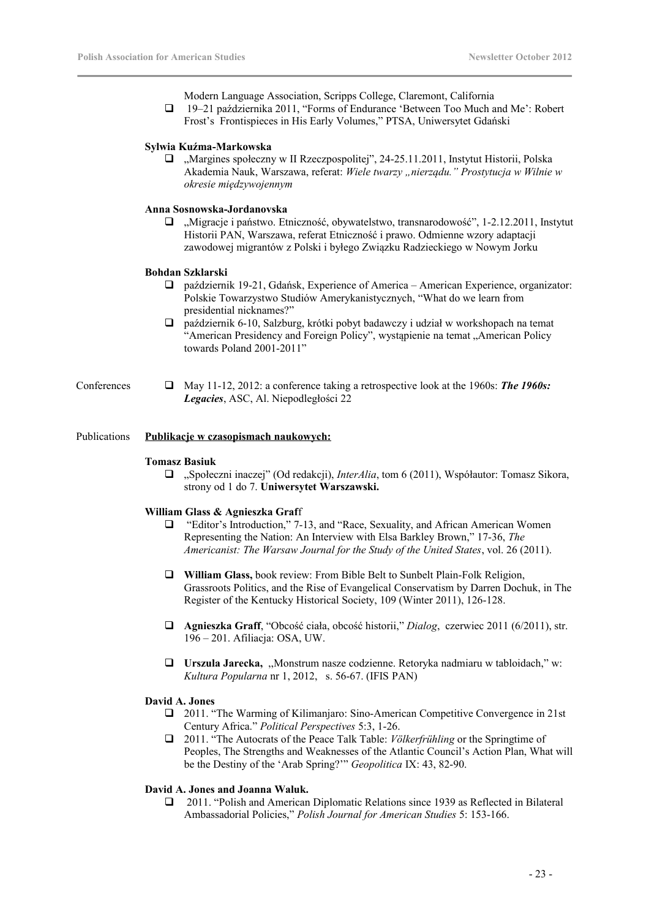Modern Language Association, Scripps College, Claremont, California 19–21 października 2011, "Forms of Endurance 'Between Too Much and Me': Robert Frost's Frontispieces in His Early Volumes," PTSA, Uniwersytet Gdański

### **Sylwia Kuźma-Markowska**

□ "Margines społeczny w II Rzeczpospolitej", 24-25.11.2011, Instytut Historii, Polska Akademia Nauk, Warszawa, referat: *Wiele twarzy "nierządu." Prostytucja w Wilnie w okresie międzywojennym*

### **Anna Sosnowska-Jordanovska**

 $\Box$  . Migracje i państwo. Etniczność, obywatelstwo, transnarodowość", 1-2.12.2011, Instytut Historii PAN, Warszawa, referat Etniczność i prawo. Odmienne wzory adaptacji zawodowej migrantów z Polski i byłego Związku Radzieckiego w Nowym Jorku

### **Bohdan Szklarski**

- październik 19-21, Gdańsk, Experience of America American Experience, organizator: Polskie Towarzystwo Studiów Amerykanistycznych, "What do we learn from presidential nicknames?"
- październik 6-10, Salzburg, krótki pobyt badawczy i udział w workshopach na temat "American Presidency and Foreign Policy", wystąpienie na temat "American Policy towards Poland 2001-2011"
- Conferences  $\Box$  May 11-12, 2012: a conference taking a retrospective look at the 1960s: **The 1960s:** *Legacies*, ASC, Al. Niepodległości 22

### Publications **Publikacje w czasopismach naukowych:**

#### **Tomasz Basiuk**

□ "Społeczni inaczej" (Od redakcji), *InterAlia*, tom 6 (2011), Współautor: Tomasz Sikora, strony od 1 do 7. **Uniwersytet Warszawski.**

### **William Glass & Agnieszka Graf**f

- □ "Editor's Introduction," 7-13, and "Race, Sexuality, and African American Women Representing the Nation: An Interview with Elsa Barkley Brown," 17-36, *The Americanist: The Warsaw Journal for the Study of the United States*, vol. 26 (2011).
- **William Glass,** book review: From Bible Belt to Sunbelt Plain-Folk Religion, Grassroots Politics, and the Rise of Evangelical Conservatism by Darren Dochuk, in The Register of the Kentucky Historical Society, 109 (Winter 2011), 126-128.
- **Agnieszka Graff**, "Obcość ciała, obcość historii," *Dialog*, czerwiec 2011 (6/2011), str. 196 – 201. Afiliacja: OSA, UW.
- **Urszula Jarecka,** ,,Monstrum nasze codzienne. Retoryka nadmiaru w tabloidach," w: *Kultura Popularna* nr 1, 2012, s. 56-67. (IFIS PAN)

### **David A. Jones**

- 2011. "The Warming of Kilimanjaro: Sino-American Competitive Convergence in 21st Century Africa." *Political Perspectives* 5:3, 1-26.
- 2011. "The Autocrats of the Peace Talk Table: *Völkerfrühling* or the Springtime of Peoples, The Strengths and Weaknesses of the Atlantic Council's Action Plan, What will be the Destiny of the 'Arab Spring?'" *Geopolitica* IX: 43, 82-90.

### **David A. Jones and Joanna Waluk.**

 2011. "Polish and American Diplomatic Relations since 1939 as Reflected in Bilateral Ambassadorial Policies," *Polish Journal for American Studies* 5: 153-166.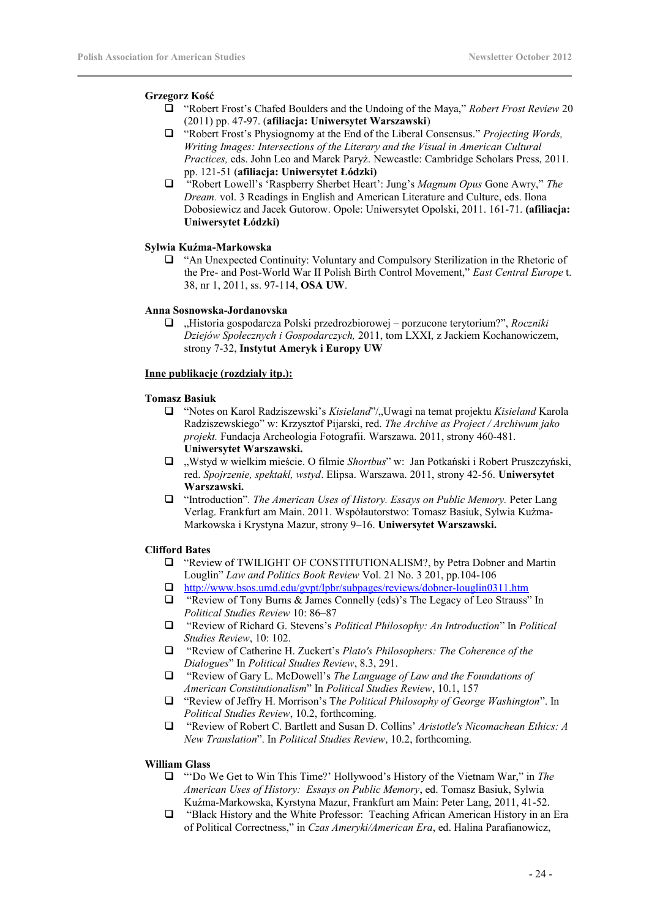### **Grzegorz Kość**

- "Robert Frost's Chafed Boulders and the Undoing of the Maya," *Robert Frost Review* 20 (2011) pp. 47-97. (**afiliacja: Uniwersytet Warszawski**)
- "Robert Frost's Physiognomy at the End of the Liberal Consensus." *Projecting Words, Writing Images: Intersections of the Literary and the Visual in American Cultural Practices,* eds. John Leo and Marek Paryż. Newcastle: Cambridge Scholars Press, 2011. pp. 121-51 (**afiliacja: Uniwersytet Łódzki)**
- "Robert Lowell's 'Raspberry Sherbet Heart': Jung's *Magnum Opus* Gone Awry," *The Dream.* vol. 3 Readings in English and American Literature and Culture, eds. Ilona Dobosiewicz and Jacek Gutorow. Opole: Uniwersytet Opolski, 2011. 161-71. **(afiliacja: Uniwersytet Łódzki)**

### **Sylwia Kuźma-Markowska**

 "An Unexpected Continuity: Voluntary and Compulsory Sterilization in the Rhetoric of the Pre- and Post-World War II Polish Birth Control Movement," *East Central Europe* t. 38, nr 1, 2011, ss. 97-114, **OSA UW**.

### **Anna Sosnowska-Jordanovska**

 "Historia gospodarcza Polski przedrozbiorowej – porzucone terytorium?", *Roczniki Dziejów Społecznych i Gospodarczych,* 2011, tom LXXI, z Jackiem Kochanowiczem, strony 7-32, **Instytut Ameryk i Europy UW**

### **Inne publikacje (rozdziały itp.):**

### **Tomasz Basiuk**

- " "Notes on Karol Radziszewski's *Kisieland*"/"Uwagi na temat projektu *Kisieland* Karola Radziszewskiego" w: Krzysztof Pijarski, red. *The Archive as Project / Archiwum jako projekt.* Fundacja Archeologia Fotografii. Warszawa. 2011, strony 460-481. **Uniwersytet Warszawski.**
- "Wstyd w wielkim mieście. O filmie *Shortbus*" w: Jan Potkański i Robert Pruszczyński, red. *Spojrzenie, spektakl, wstyd*. Elipsa. Warszawa. 2011, strony 42-56. **Uniwersytet Warszawski.**
- "Introduction"*. The American Uses of History. Essays on Public Memory.* Peter Lang Verlag. Frankfurt am Main. 2011. Współautorstwo: Tomasz Basiuk, Sylwia Kuźma-Markowska i Krystyna Mazur, strony 9–16. **Uniwersytet Warszawski.**

### **Clifford Bates**

- "Review of TWILIGHT OF CONSTITUTIONALISM?, by Petra Dobner and Martin Louglin" *Law and Politics Book Review* Vol. 21 No. 3 201, pp.104-106
- <http://www.bsos.umd.edu/gvpt/lpbr/subpages/reviews/dobner-louglin0311.htm>
- "Review of Tony Burns & James Connelly (eds)'s The Legacy of Leo Strauss" In *Political Studies Review* 10: 86–87
- "Review of Richard G. Stevens's *Political Philosophy: An Introduction*" In *Political Studies Review*, 10: 102.
- "Review of Catherine H. Zuckert's *Plato's Philosophers: The Coherence of the Dialogues*" In *Political Studies Review*, 8.3, 291.
- "Review of Gary L. McDowell's *The Language of Law and the Foundations of American Constitutionalism*" In *Political Studies Review*, 10.1, 157
- "Review of Jeffry H. Morrison's T*he Political Philosophy of George Washington*". In *Political Studies Review*, 10.2, forthcoming.
- "Review of Robert C. Bartlett and Susan D. Collins' *Aristotle's Nicomachean Ethics: A New Translation*". In *Political Studies Review*, 10.2, forthcoming.

### **William Glass**

- "'Do We Get to Win This Time?' Hollywood's History of the Vietnam War," in *The American Uses of History: Essays on Public Memory*, ed. Tomasz Basiuk, Sylwia Kuźma-Markowska, Kyrstyna Mazur, Frankfurt am Main: Peter Lang, 2011, 41-52.
- "Black History and the White Professor: Teaching African American History in an Era of Political Correctness," in *Czas Ameryki/American Era*, ed. Halina Parafianowicz,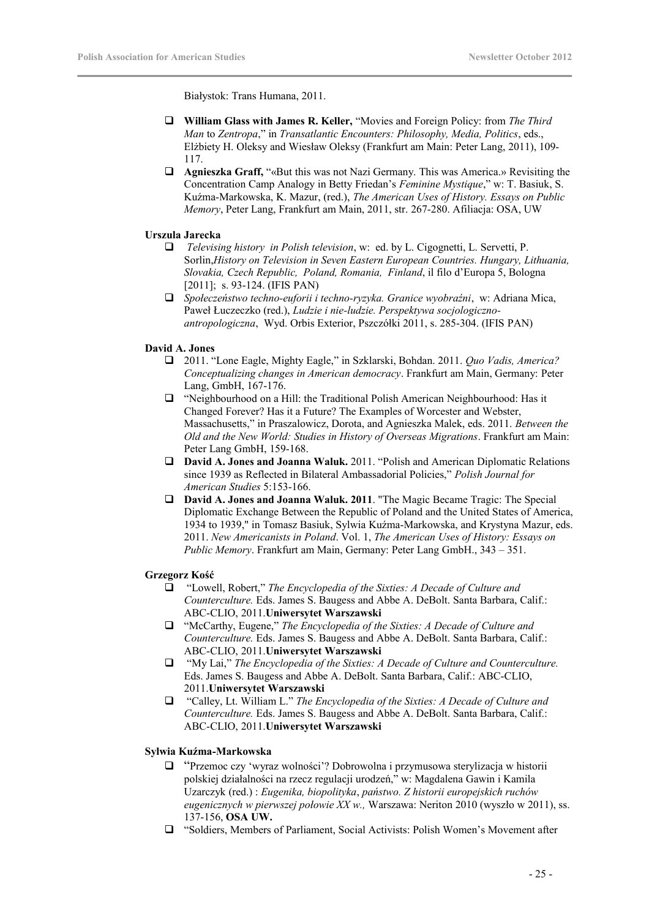Białystok: Trans Humana, 2011.

- **William Glass with James R. Keller,** "Movies and Foreign Policy: from *The Third Man* to *Zentropa*," in *Transatlantic Encounters: Philosophy, Media, Politics*, eds., Elżbiety H. Oleksy and Wiesław Oleksy (Frankfurt am Main: Peter Lang, 2011), 109- 117.
- **Agnieszka Graff,** "«But this was not Nazi Germany. This was America.» Revisiting the Concentration Camp Analogy in Betty Friedan's *Feminine Mystique*," w: T. Basiuk, S. Kuźma-Markowska, K. Mazur, (red.), *The American Uses of History. Essays on Public Memory*, Peter Lang, Frankfurt am Main, 2011, str. 267-280. Afiliacja: OSA, UW

### **Urszula Jarecka**

- *Televising history in Polish television*, w: ed. by L. Cigognetti, L. Servetti, P. Sorlin,*History on Television in Seven Eastern European Countries. Hungary, Lithuania, Slovakia, Czech Republic, Poland, Romania, Finland*, il filo d'Europa 5, Bologna [2011]; s. 93-124. (IFIS PAN)
- *Społeczeństwo techno-euforii i techno-ryzyka. Granice wyobraźni*, w: Adriana Mica, Paweł Łuczeczko (red.), *Ludzie i nie-ludzie. Perspektywa socjologicznoantropologiczna*, Wyd. Orbis Exterior, Pszczółki 2011, s. 285-304. (IFIS PAN)

### **David A. Jones**

- 2011. "Lone Eagle, Mighty Eagle," in Szklarski, Bohdan. 2011. *Quo Vadis, America? Conceptualizing changes in American democracy*. Frankfurt am Main, Germany: Peter Lang, GmbH, 167-176.
- "Neighbourhood on a Hill: the Traditional Polish American Neighbourhood: Has it Changed Forever? Has it a Future? The Examples of Worcester and Webster, Massachusetts," in Praszalowicz, Dorota, and Agnieszka Malek, eds. 2011. *Between the Old and the New World: Studies in History of Overseas Migrations*. Frankfurt am Main: Peter Lang GmbH, 159-168.
- **David A. Jones and Joanna Waluk.** 2011. "Polish and American Diplomatic Relations since 1939 as Reflected in Bilateral Ambassadorial Policies," *Polish Journal for American Studies* 5:153-166.
- **David A. Jones and Joanna Waluk. 2011**. "The Magic Became Tragic: The Special Diplomatic Exchange Between the Republic of Poland and the United States of America, 1934 to 1939," in Tomasz Basiuk, Sylwia Kuźma-Markowska, and Krystyna Mazur, eds. 2011. *New Americanists in Poland*. Vol. 1, *The American Uses of History: Essays on Public Memory*. Frankfurt am Main, Germany: Peter Lang GmbH., 343 – 351.

### **Grzegorz Kość**

- "Lowell, Robert," *The Encyclopedia of the Sixties: A Decade of Culture and Counterculture.* Eds. James S. Baugess and Abbe A. DeBolt. Santa Barbara, Calif.: ABC-CLIO, 2011.**Uniwersytet Warszawski**
- "McCarthy, Eugene," *The Encyclopedia of the Sixties: A Decade of Culture and Counterculture.* Eds. James S. Baugess and Abbe A. DeBolt. Santa Barbara, Calif.: ABC-CLIO, 2011.**Uniwersytet Warszawski**
- "My Lai," *The Encyclopedia of the Sixties: A Decade of Culture and Counterculture.* Eds. James S. Baugess and Abbe A. DeBolt. Santa Barbara, Calif.: ABC-CLIO, 2011.**Uniwersytet Warszawski**
- "Calley, Lt. William L." *The Encyclopedia of the Sixties: A Decade of Culture and Counterculture.* Eds. James S. Baugess and Abbe A. DeBolt. Santa Barbara, Calif.: ABC-CLIO, 2011.**Uniwersytet Warszawski**

### **Sylwia Kuźma-Markowska**

- "Przemoc czy 'wyraz wolności'? Dobrowolna i przymusowa sterylizacja w historii polskiej działalności na rzecz regulacji urodzeń," w: Magdalena Gawin i Kamila Uzarczyk (red.) : *Eugenika, biopolityka*, *państwo. Z historii europejskich ruchów eugenicznych w pierwszej połowie XX w.,* Warszawa: Neriton 2010 (wyszło w 2011), ss. 137-156, **OSA UW.**
- "Soldiers, Members of Parliament, Social Activists: Polish Women's Movement after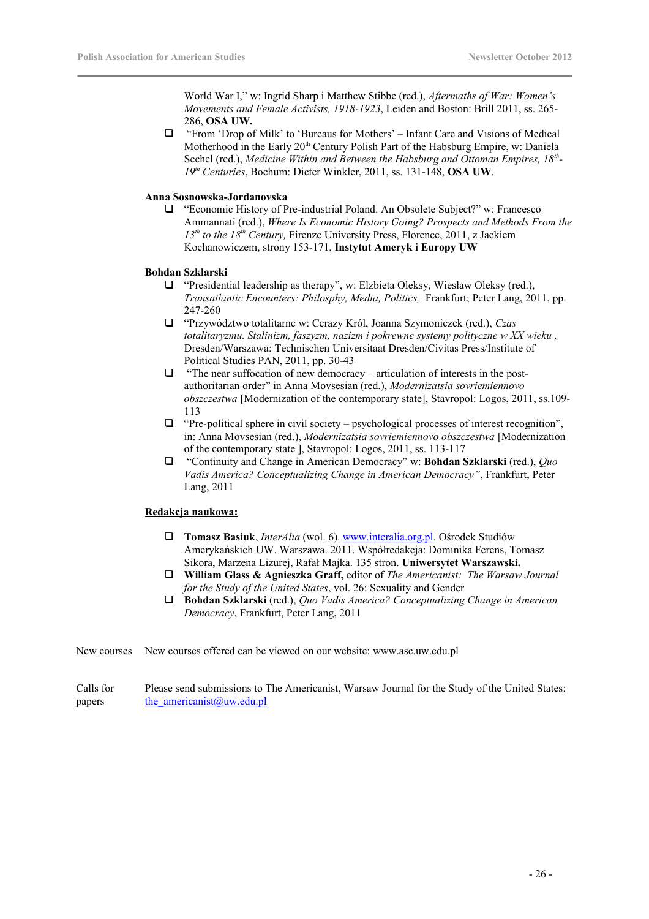World War I," w: Ingrid Sharp i Matthew Stibbe (red.), *Aftermaths of War: Women's Movements and Female Activists, 1918-1923*, Leiden and Boston: Brill 2011, ss. 265- 286, **OSA UW.**

 "From 'Drop of Milk' to 'Bureaus for Mothers' – Infant Care and Visions of Medical Motherhood in the Early  $20<sup>th</sup>$  Century Polish Part of the Habsburg Empire, w: Daniela Sechel (red.), *Medicine Within and Between the Habsburg and Ottoman Empires, 18th - 19th Centuries*, Bochum: Dieter Winkler, 2011, ss. 131-148, **OSA UW**.

### **Anna Sosnowska-Jordanovska**

 "Economic History of Pre-industrial Poland. An Obsolete Subject?" w: Francesco Ammannati (red.), *Where Is Economic History Going? Prospects and Methods From the 13th to the 18th Century,* Firenze University Press, Florence, 2011, z Jackiem Kochanowiczem, strony 153-171, **Instytut Ameryk i Europy UW**

### **Bohdan Szklarski**

- $\Box$  "Presidential leadership as therapy", w: Elzbieta Oleksy, Wiesław Oleksy (red.), *Transatlantic Encounters: Philosphy, Media, Politics,* Frankfurt; Peter Lang, 2011, pp. 247-260
- "Przywództwo totalitarne w: Cerazy Król, Joanna Szymoniczek (red.), *Czas totalitaryzmu. Stalinizm, faszyzm, nazizm i pokrewne systemy polityczne w XX wieku ,* Dresden/Warszawa: Technischen Universitaat Dresden/Civitas Press/Institute of Political Studies PAN, 2011, pp. 30-43
- $\Box$  "The near suffocation of new democracy articulation of interests in the postauthoritarian order" in Anna Movsesian (red.), *Modernizatsia sovriemiennovo obszczestwa* [Modernization of the contemporary state], Stavropol: Logos, 2011, ss.109- 113
- $\Box$  "Pre-political sphere in civil society psychological processes of interest recognition", in: Anna Movsesian (red.), *Modernizatsia sovriemiennovo obszczestwa* [Modernization of the contemporary state ], Stavropol: Logos, 2011, ss. 113-117
- "Continuity and Change in American Democracy" w: **Bohdan Szklarski** (red.), *Quo Vadis America? Conceptualizing Change in American Democracy"*, Frankfurt, Peter Lang, 2011

### **Redakcja naukowa:**

- **Tomasz Basiuk**, *InterAlia* (wol. 6). [www.interalia.org.pl.](http://www.interalia.org.pl/) Ośrodek Studiów Amerykańskich UW. Warszawa. 2011. Współredakcja: Dominika Ferens, Tomasz Sikora, Marzena Lizurej, Rafał Majka. 135 stron. **Uniwersytet Warszawski.**
- **William Glass & Agnieszka Graff,** editor of *The Americanist: The Warsaw Journal for the Study of the United States*, vol. 26: Sexuality and Gender
- **Bohdan Szklarski** (red.), *Quo Vadis America? Conceptualizing Change in American Democracy*, Frankfurt, Peter Lang, 2011

New courses New courses offered can be viewed on our website: www.asc.uw.edu.pl

Calls for papers Please send submissions to The Americanist, Warsaw Journal for the Study of the United States: [the\\_americanist@uw.edu.pl](mailto:the_americanist@uw.edu.pl)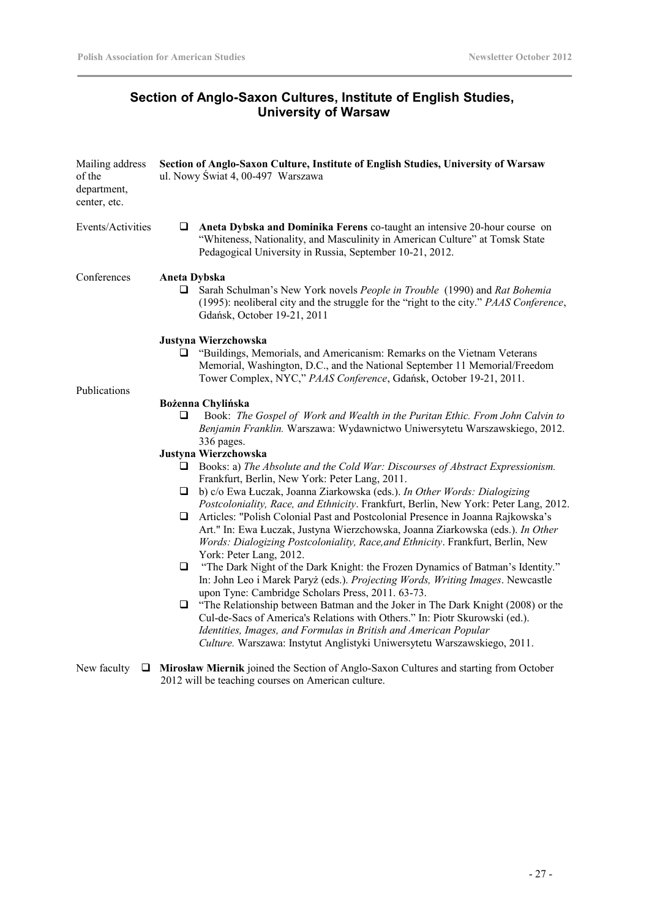# **Section of Anglo-Saxon Cultures, Institute of English Studies, University of Warsaw**

| Mailing address<br>of the<br>department,<br>center, etc. | Section of Anglo-Saxon Culture, Institute of English Studies, University of Warsaw<br>ul. Nowy Świat 4, 00-497 Warszawa                                                                                                                                                                                                  |  |  |
|----------------------------------------------------------|--------------------------------------------------------------------------------------------------------------------------------------------------------------------------------------------------------------------------------------------------------------------------------------------------------------------------|--|--|
| Events/Activities                                        | Aneta Dybska and Dominika Ferens co-taught an intensive 20-hour course on<br>u.<br>"Whiteness, Nationality, and Masculinity in American Culture" at Tomsk State<br>Pedagogical University in Russia, September 10-21, 2012.                                                                                              |  |  |
| Conferences                                              | <b>Aneta Dybska</b><br>Sarah Schulman's New York novels People in Trouble (1990) and Rat Bohemia<br>⊔<br>(1995): neoliberal city and the struggle for the "right to the city." PAAS Conference,<br>Gdańsk, October 19-21, 2011                                                                                           |  |  |
|                                                          | Justyna Wierzchowska<br>"Buildings, Memorials, and Americanism: Remarks on the Vietnam Veterans<br>⊔<br>Memorial, Washington, D.C., and the National September 11 Memorial/Freedom<br>Tower Complex, NYC," PAAS Conference, Gdańsk, October 19-21, 2011.                                                                 |  |  |
| Publications                                             |                                                                                                                                                                                                                                                                                                                          |  |  |
|                                                          | Bożenna Chylińska<br>Book: The Gospel of Work and Wealth in the Puritan Ethic. From John Calvin to<br>Q<br>Benjamin Franklin. Warszawa: Wydawnictwo Uniwersytetu Warszawskiego, 2012.<br>336 pages.                                                                                                                      |  |  |
|                                                          | Justyna Wierzchowska                                                                                                                                                                                                                                                                                                     |  |  |
|                                                          | Books: a) The Absolute and the Cold War: Discourses of Abstract Expressionism.<br>u<br>Frankfurt, Berlin, New York: Peter Lang, 2011.                                                                                                                                                                                    |  |  |
|                                                          | b) c/o Ewa Łuczak, Joanna Ziarkowska (eds.). In Other Words: Dialogizing<br>u<br>Postcoloniality, Race, and Ethnicity. Frankfurt, Berlin, New York: Peter Lang, 2012.                                                                                                                                                    |  |  |
|                                                          | Articles: "Polish Colonial Past and Postcolonial Presence in Joanna Rajkowska's<br>Q.<br>Art." In: Ewa Łuczak, Justyna Wierzchowska, Joanna Ziarkowska (eds.). In Other<br>Words: Dialogizing Postcoloniality, Race, and Ethnicity. Frankfurt, Berlin, New<br>York: Peter Lang, 2012.                                    |  |  |
|                                                          | "The Dark Night of the Dark Knight: the Frozen Dynamics of Batman's Identity."<br>$\Box$<br>In: John Leo i Marek Paryż (eds.). Projecting Words, Writing Images. Newcastle<br>upon Tyne: Cambridge Scholars Press, 2011. 63-73.                                                                                          |  |  |
|                                                          | "The Relationship between Batman and the Joker in The Dark Knight (2008) or the<br>$\Box$<br>Cul-de-Sacs of America's Relations with Others." In: Piotr Skurowski (ed.).<br>Identities, Images, and Formulas in British and American Popular<br>Culture. Warszawa: Instytut Anglistyki Uniwersytetu Warszawskiego, 2011. |  |  |
| New faculty                                              | $\Box$ Mirosław Miernik joined the Section of Anglo-Saxon Cultures and starting from October                                                                                                                                                                                                                             |  |  |

2012 will be teaching courses on American culture.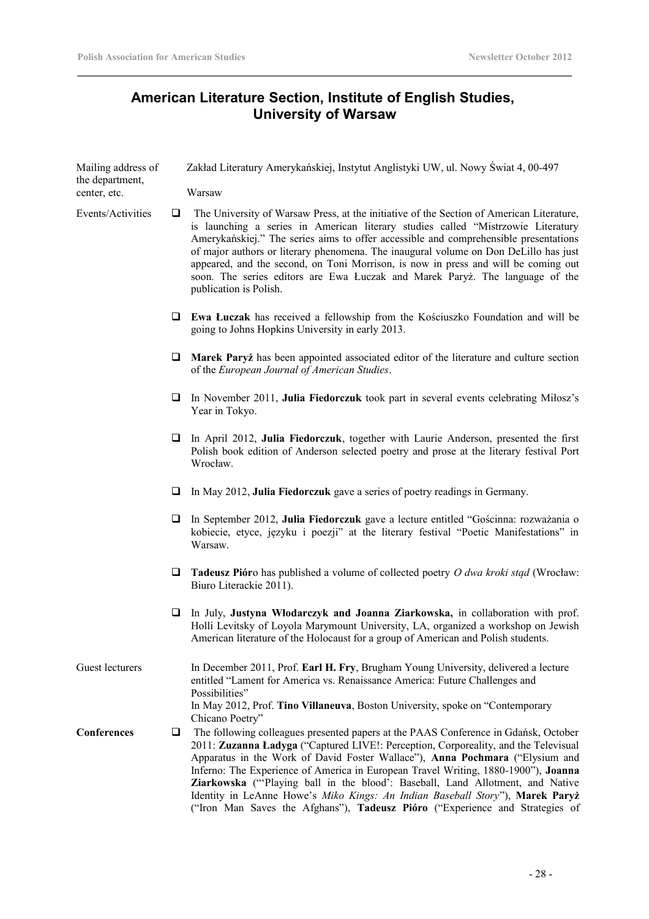# **American Literature Section, Institute of English Studies, University of Warsaw**

| Mailing address of<br>the department,                 |    | Zakład Literatury Amerykańskiej, Instytut Anglistyki UW, ul. Nowy Świat 4, 00-497                                                                                                                                                                                                                                                                                                                                                                                                                                                                                                                  |
|-------------------------------------------------------|----|----------------------------------------------------------------------------------------------------------------------------------------------------------------------------------------------------------------------------------------------------------------------------------------------------------------------------------------------------------------------------------------------------------------------------------------------------------------------------------------------------------------------------------------------------------------------------------------------------|
| center, etc.                                          |    | Warsaw                                                                                                                                                                                                                                                                                                                                                                                                                                                                                                                                                                                             |
| Events/Activities<br>$\Box$<br>publication is Polish. |    | The University of Warsaw Press, at the initiative of the Section of American Literature,<br>is launching a series in American literary studies called "Mistrzowie Literatury<br>Amerykańskiej." The series aims to offer accessible and comprehensible presentations<br>of major authors or literary phenomena. The inaugural volume on Don DeLillo has just<br>appeared, and the second, on Toni Morrison, is now in press and will be coming out<br>soon. The series editors are Ewa Łuczak and Marek Paryż. The language of the                                                                 |
|                                                       | u. | <b>Ewa Łuczak</b> has received a fellowship from the Kościuszko Foundation and will be<br>going to Johns Hopkins University in early 2013.                                                                                                                                                                                                                                                                                                                                                                                                                                                         |
|                                                       | u. | Marek Paryż has been appointed associated editor of the literature and culture section<br>of the European Journal of American Studies.                                                                                                                                                                                                                                                                                                                                                                                                                                                             |
|                                                       | u. | In November 2011, Julia Fiedorczuk took part in several events celebrating Milosz's<br>Year in Tokyo.                                                                                                                                                                                                                                                                                                                                                                                                                                                                                              |
|                                                       | u. | In April 2012, Julia Fiedorczuk, together with Laurie Anderson, presented the first<br>Polish book edition of Anderson selected poetry and prose at the literary festival Port<br>Wrocław.                                                                                                                                                                                                                                                                                                                                                                                                         |
|                                                       | ⊔  | In May 2012, Julia Fiedorczuk gave a series of poetry readings in Germany.                                                                                                                                                                                                                                                                                                                                                                                                                                                                                                                         |
|                                                       | □  | In September 2012, Julia Fiedorczuk gave a lecture entitled "Gościnna: rozważania o<br>kobiecie, etyce, języku i poezji" at the literary festival "Poetic Manifestations" in<br>Warsaw.                                                                                                                                                                                                                                                                                                                                                                                                            |
|                                                       | ❏  | <b>Tadeusz Piór</b> o has published a volume of collected poetry O dwa kroki stad (Wrocław:<br>Biuro Literackie 2011).                                                                                                                                                                                                                                                                                                                                                                                                                                                                             |
|                                                       | ❏  | In July, Justyna Włodarczyk and Joanna Ziarkowska, in collaboration with prof.<br>Holli Levitsky of Loyola Marymount University, LA, organized a workshop on Jewish<br>American literature of the Holocaust for a group of American and Polish students.                                                                                                                                                                                                                                                                                                                                           |
| Guest lecturers                                       |    | In December 2011, Prof. Earl H. Fry, Brugham Young University, delivered a lecture<br>entitled "Lament for America vs. Renaissance America: Future Challenges and<br>Possibilities"                                                                                                                                                                                                                                                                                                                                                                                                                |
|                                                       |    | In May 2012, Prof. Tino Villaneuva, Boston University, spoke on "Contemporary<br>Chicano Poetry"                                                                                                                                                                                                                                                                                                                                                                                                                                                                                                   |
| Conferences                                           | u  | The following colleagues presented papers at the PAAS Conference in Gdańsk, October<br>2011: Zuzanna Ładyga ("Captured LIVE!: Perception, Corporeality, and the Televisual<br>Apparatus in the Work of David Foster Wallace"), Anna Pochmara ("Elysium and<br>Inferno: The Experience of America in European Travel Writing, 1880-1900"), Joanna<br>Ziarkowska ("Playing ball in the blood': Baseball, Land Allotment, and Native<br>Identity in LeAnne Howe's Miko Kings: An Indian Baseball Story"), Marek Paryż<br>("Iron Man Saves the Afghans"), Tadeusz Pióro ("Experience and Strategies of |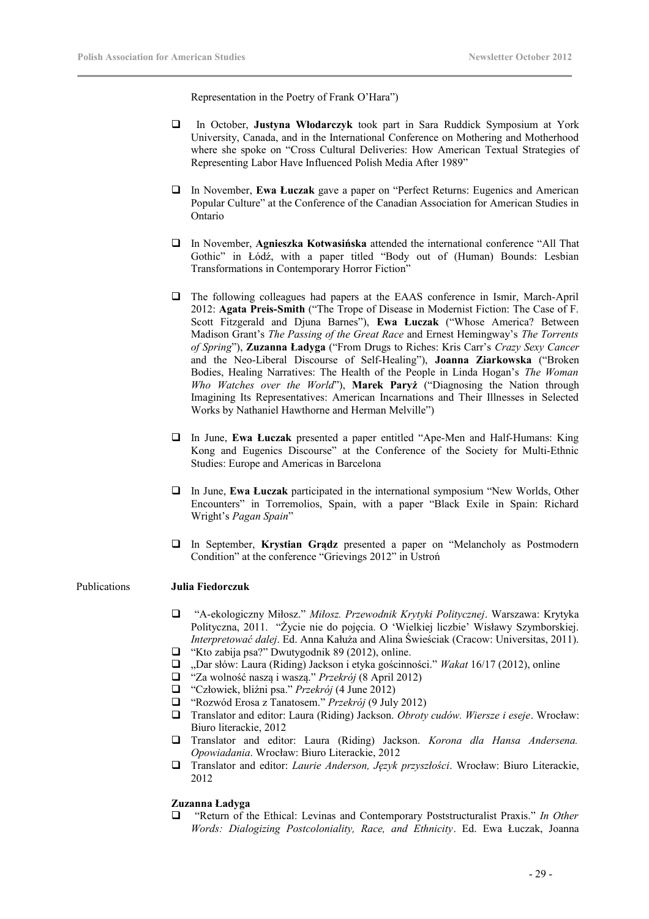Representation in the Poetry of Frank O'Hara")

- In October, **Justyna Włodarczyk** took part in Sara Ruddick Symposium at York University, Canada, and in the International Conference on Mothering and Motherhood where she spoke on "Cross Cultural Deliveries: How American Textual Strategies of Representing Labor Have Influenced Polish Media After 1989"
- In November, **Ewa Łuczak** gave a paper on "Perfect Returns: Eugenics and American Popular Culture" at the Conference of the Canadian Association for American Studies in Ontario
- In November, **Agnieszka Kotwasińska** attended the international conference "All That Gothic" in Łódź, with a paper titled "Body out of (Human) Bounds: Lesbian Transformations in Contemporary Horror Fiction"
- The following colleagues had papers at the EAAS conference in Ismir, March-April 2012: **Agata Preis-Smith** ("The Trope of Disease in Modernist Fiction: The Case of F. Scott Fitzgerald and Djuna Barnes"), **Ewa Łuczak** ("Whose America? Between Madison Grant's *The Passing of the Great Race* and Ernest Hemingway's *The Torrents of Spring*"), **Zuzanna Ładyga** ("From Drugs to Riches: Kris Carr's *Crazy Sexy Cancer* and the Neo-Liberal Discourse of Self-Healing"), **Joanna Ziarkowska** ("Broken Bodies, Healing Narratives: The Health of the People in Linda Hogan's *The Woman Who Watches over the World*"), **Marek Paryż** ("Diagnosing the Nation through Imagining Its Representatives: American Incarnations and Their Illnesses in Selected Works by Nathaniel Hawthorne and Herman Melville")
- In June, **Ewa Łuczak** presented a paper entitled "Ape-Men and Half-Humans: King Kong and Eugenics Discourse" at the Conference of the Society for Multi-Ethnic Studies: Europe and Americas in Barcelona
- In June, **Ewa Łuczak** participated in the international symposium "New Worlds, Other Encounters" in Torremolios, Spain, with a paper "Black Exile in Spain: Richard Wright's *Pagan Spain*"
- In September, **Krystian Grądz** presented a paper on "Melancholy as Postmodern Condition" at the conference "Grievings 2012" in Ustroń

### Publications **Julia Fiedorczuk**

- "A-ekologiczny Miłosz." *Miłosz. Przewodnik Krytyki Politycznej*. Warszawa: Krytyka Polityczna, 2011. "Życie nie do pojęcia. O 'Wielkiej liczbie' Wisławy Szymborskiej. *Interpretować dalej*. Ed. Anna Kałuża and Alina Świeściak (Cracow: Universitas, 2011).
- $\Box$  "Kto zabija psa?" Dwutygodnik 89 (2012), online.
- "Dar słów: Laura (Riding) Jackson i etyka gościnności." *Wakat* 16/17 (2012), online
- "Za wolność naszą i waszą." *Przekrój* (8 April 2012)
- "Człowiek, bliźni psa." *Przekrój* (4 June 2012)
- "Rozwód Erosa z Tanatosem." *Przekrój* (9 July 2012)
- Translator and editor: Laura (Riding) Jackson. *Obroty cudów. Wiersze i eseje*. Wrocław: Biuro literackie, 2012
- Translator and editor: Laura (Riding) Jackson. *Korona dla Hansa Andersena. Opowiadania*. Wrocław: Biuro Literackie, 2012
- Translator and editor: *Laurie Anderson, Język przyszłości*. Wrocław: Biuro Literackie, 2012

### **Zuzanna Ładyga**

 "Return of the Ethical: Levinas and Contemporary Poststructuralist Praxis." *In Other Words: Dialogizing Postcoloniality, Race, and Ethnicity*. Ed. Ewa Łuczak, Joanna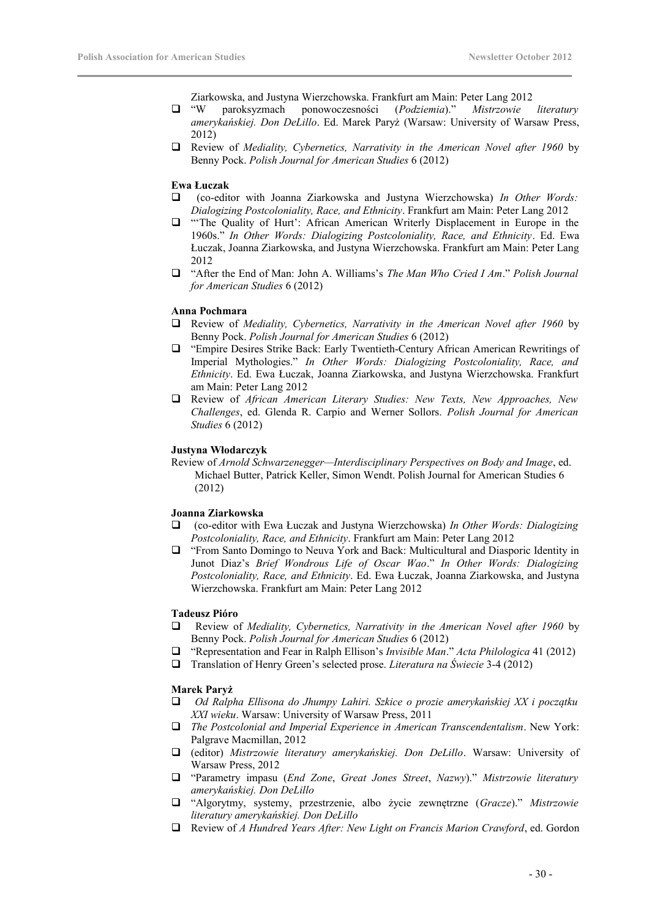Ziarkowska, and Justyna Wierzchowska. Frankfurt am Main: Peter Lang 2012

- "W paroksyzmach ponowoczesności (*Podziemia*)." *Mistrzowie literatury amerykańskiej. Don DeLillo*. Ed. Marek Paryż (Warsaw: University of Warsaw Press, 2012)
- Review of *Mediality, Cybernetics, Narrativity in the American Novel after 1960* by Benny Pock. *Polish Journal for American Studies* 6 (2012)

### **Ewa Łuczak**

- (co-editor with Joanna Ziarkowska and Justyna Wierzchowska) *In Other Words: Dialogizing Postcoloniality, Race, and Ethnicity*. Frankfurt am Main: Peter Lang 2012
- $\Box$  "The Quality of Hurt': African American Writerly Displacement in Europe in the 1960s." *In Other Words: Dialogizing Postcoloniality, Race, and Ethnicity*. Ed. Ewa Łuczak, Joanna Ziarkowska, and Justyna Wierzchowska. Frankfurt am Main: Peter Lang 2012
- "After the End of Man: John A. Williams's *The Man Who Cried I Am*." *Polish Journal for American Studies* 6 (2012)

### **Anna Pochmara**

- Review of *Mediality, Cybernetics, Narrativity in the American Novel after 1960* by Benny Pock. *Polish Journal for American Studies* 6 (2012)
- "Empire Desires Strike Back: Early Twentieth-Century African American Rewritings of Imperial Mythologies." *In Other Words: Dialogizing Postcoloniality, Race, and Ethnicity*. Ed. Ewa Łuczak, Joanna Ziarkowska, and Justyna Wierzchowska. Frankfurt am Main: Peter Lang 2012
- Review of *African American Literary Studies: New Texts, New Approaches, New Challenges*, ed. Glenda R. Carpio and Werner Sollors. *Polish Journal for American Studies* 6 (2012)

### **Justyna Włodarczyk**

Review of *Arnold Schwarzenegger—Interdisciplinary Perspectives on Body and Image*, ed. Michael Butter, Patrick Keller, Simon Wendt. Polish Journal for American Studies 6 (2012)

### **Joanna Ziarkowska**

- (co-editor with Ewa Łuczak and Justyna Wierzchowska) *In Other Words: Dialogizing Postcoloniality, Race, and Ethnicity*. Frankfurt am Main: Peter Lang 2012
- "From Santo Domingo to Neuva York and Back: Multicultural and Diasporic Identity in Junot Diaz's *Brief Wondrous Life of Oscar Wao*." *In Other Words: Dialogizing Postcoloniality, Race, and Ethnicity*. Ed. Ewa Łuczak, Joanna Ziarkowska, and Justyna Wierzchowska. Frankfurt am Main: Peter Lang 2012

### **Tadeusz Pióro**

- Review of *Mediality, Cybernetics, Narrativity in the American Novel after 1960* by Benny Pock. *Polish Journal for American Studies* 6 (2012)
- "Representation and Fear in Ralph Ellison's *Invisible Man*." *Acta Philologica* 41 (2012)
- Translation of Henry Green's selected prose. *Literatura na Świecie* 3-4 (2012)

### **Marek Paryż**

- *Od Ralpha Ellisona do Jhumpy Lahiri. Szkice o prozie amerykańskiej XX i początku XXI wieku*. Warsaw: University of Warsaw Press, 2011
- *The Postcolonial and Imperial Experience in American Transcendentalism*. New York: Palgrave Macmillan, 2012
- (editor) *Mistrzowie literatury amerykańskiej. Don DeLillo*. Warsaw: University of Warsaw Press, 2012
- "Parametry impasu (*End Zone*, *Great Jones Street*, *Nazwy*)." *Mistrzowie literatury amerykańskiej. Don DeLillo*
- "Algorytmy, systemy, przestrzenie, albo życie zewnętrzne (*Gracze*)." *Mistrzowie literatury amerykańskiej. Don DeLillo*
- Review of *A Hundred Years After: New Light on Francis Marion Crawford*, ed. Gordon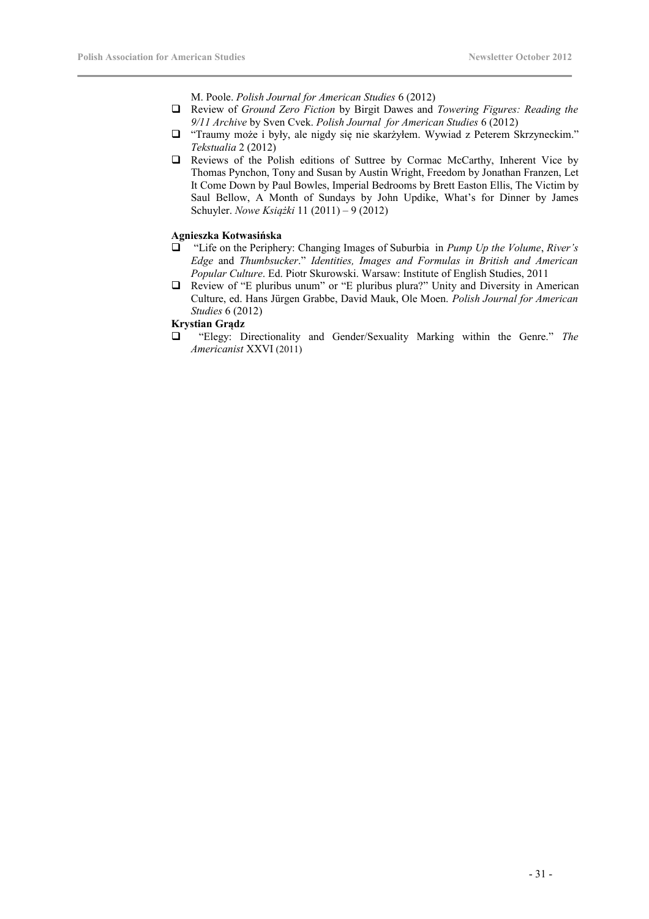M. Poole. *Polish Journal for American Studies* 6 (2012)

- Review of *Ground Zero Fiction* by Birgit Dawes and *Towering Figures: Reading the 9/11 Archive* by Sven Cvek. *Polish Journal for American Studies* 6 (2012)
- "Traumy może i były, ale nigdy się nie skarżyłem. Wywiad z Peterem Skrzyneckim." *Tekstualia* 2 (2012)
- Reviews of the Polish editions of Suttree by Cormac McCarthy, Inherent Vice by Thomas Pynchon, Tony and Susan by Austin Wright, Freedom by Jonathan Franzen, Let It Come Down by Paul Bowles, Imperial Bedrooms by Brett Easton Ellis, The Victim by Saul Bellow, A Month of Sundays by John Updike, What's for Dinner by James Schuyler. *Nowe Książki* 11 (2011) – 9 (2012)

### **Agnieszka Kotwasińska**

- "Life on the Periphery: Changing Images of Suburbia in *Pump Up the Volume*, *River's Edge* and *Thumbsucker*." *Identities, Images and Formulas in British and American Popular Culture*. Ed. Piotr Skurowski. Warsaw: Institute of English Studies, 2011
- Review of "E pluribus unum" or "E pluribus plura?" Unity and Diversity in American Culture, ed. Hans Jürgen Grabbe, David Mauk, Ole Moen. *Polish Journal for American Studies* 6 (2012)

### **Krystian Grądz**

 "Elegy: Directionality and Gender/Sexuality Marking within the Genre." *The Americanist* XXVI (2011)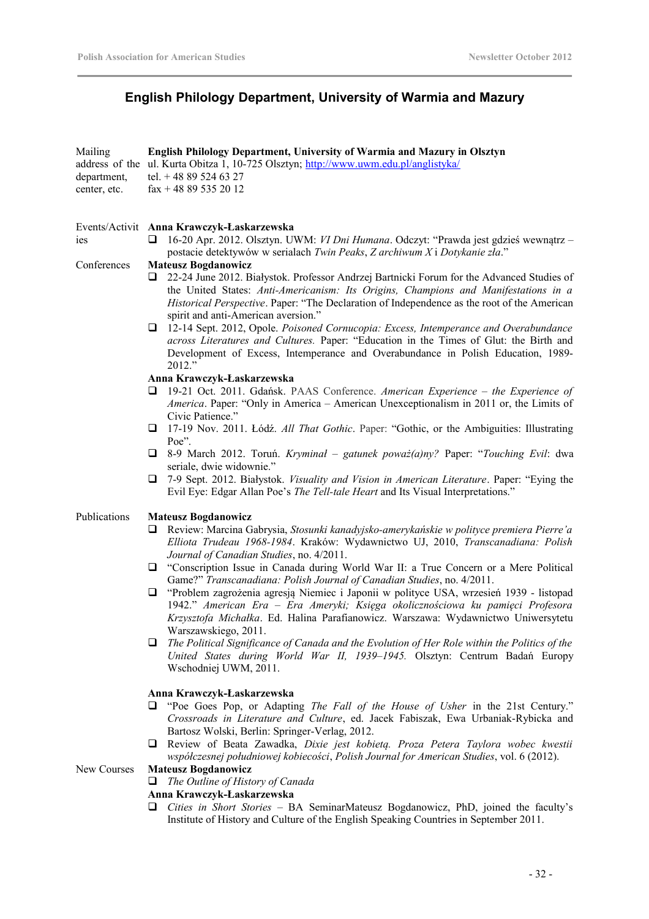# **English Philology Department, University of Warmia and Mazury**

| Mailing      | <b>English Philology Department, University of Warmia and Mazury in Olsztyn</b>      |
|--------------|--------------------------------------------------------------------------------------|
|              | address of the ul. Kurta Obitza 1, 10-725 Olsztyn; http://www.uwm.edu.pl/anglistyka/ |
| department.  | tel. $+48895246327$                                                                  |
| center, etc. | $\text{fax} + 48895352012$                                                           |
|              |                                                                                      |

### Events/Activit **Anna Krawczyk-Łaskarzewska**

 16-20 Apr. 2012. Olsztyn. UWM: *VI Dni Humana*. Odczyt: "Prawda jest gdzieś wewnątrz – postacie detektywów w serialach *Twin Peaks*, *Z archiwum X* i *Dotykanie zła*."

### Conferences **Mateusz Bogdanowicz**

ies

- 22-24 June 2012. Białystok. Professor Andrzej Bartnicki Forum for the Advanced Studies of the United States: *Anti-Americanism: Its Origins, Champions and Manifestations in a Historical Perspective*. Paper: "The Declaration of Independence as the root of the American spirit and anti-American aversion."
- 12-14 Sept. 2012, Opole. *Poisoned Cornucopia: Excess, Intemperance and Overabundance across Literatures and Cultures.* Paper: "Education in the Times of Glut: the Birth and Development of Excess, Intemperance and Overabundance in Polish Education, 1989-  $2012$ "

### **Anna Krawczyk-Łaskarzewska**

- 19-21 Oct. 2011. Gdańsk. PAAS Conference. *American Experience the Experience of America*. Paper: "Only in America – American Unexceptionalism in 2011 or, the Limits of Civic Patience."
- 17-19 Nov. 2011. Łódź. *All That Gothic*. Paper: "Gothic, or the Ambiguities: Illustrating Poe".
- 8-9 March 2012. Toruń. *Kryminał gatunek poważ(a)ny?* Paper: "*Touching Evil*: dwa seriale, dwie widownie."
- 7-9 Sept. 2012. Białystok. *Visuality and Vision in American Literature*. Paper: "Eying the Evil Eye: Edgar Allan Poe's *The Tell-tale Heart* and Its Visual Interpretations."

### Publications **Mateusz Bogdanowicz**

- Review: Marcina Gabrysia, *Stosunki kanadyjsko-amerykańskie w polityce premiera Pierre'a Elliota Trudeau 1968-1984*. Kraków: Wydawnictwo UJ, 2010, *Transcanadiana: Polish Journal of Canadian Studies*, no. 4/2011.
- "Conscription Issue in Canada during World War II: a True Concern or a Mere Political Game?" *Transcanadiana: Polish Journal of Canadian Studies*, no. 4/2011.
- "Problem zagrożenia agresją Niemiec i Japonii w polityce USA, wrzesień 1939 listopad 1942." *American Era – Era Ameryki; Księga okolicznościowa ku pamięci Profesora Krzysztofa Michałka*. Ed. Halina Parafianowicz. Warszawa: Wydawnictwo Uniwersytetu Warszawskiego, 2011.
- *The Political Significance of Canada and the Evolution of Her Role within the Politics of the United States during World War II, 1939–1945.* Olsztyn: Centrum Badań Europy Wschodniej UWM, 2011.

### **Anna Krawczyk-Łaskarzewska**

- "Poe Goes Pop, or Adapting *The Fall of the House of Usher* in the 21st Century." *Crossroads in Literature and Culture*, ed. Jacek Fabiszak, Ewa Urbaniak-Rybicka and Bartosz Wolski, Berlin: Springer-Verlag, 2012.
- Review of Beata Zawadka, *Dixie jest kobietą. Proza Petera Taylora wobec kwestii współczesnej południowej kobiecości*, *Polish Journal for American Studies*, vol. 6 (2012).

### New Courses **Mateusz Bogdanowicz**

*The Outline of History of Canada*

# **Anna Krawczyk-Łaskarzewska**

 *Cities in Short Stories* – BA SeminarMateusz Bogdanowicz, PhD, joined the faculty's Institute of History and Culture of the English Speaking Countries in September 2011.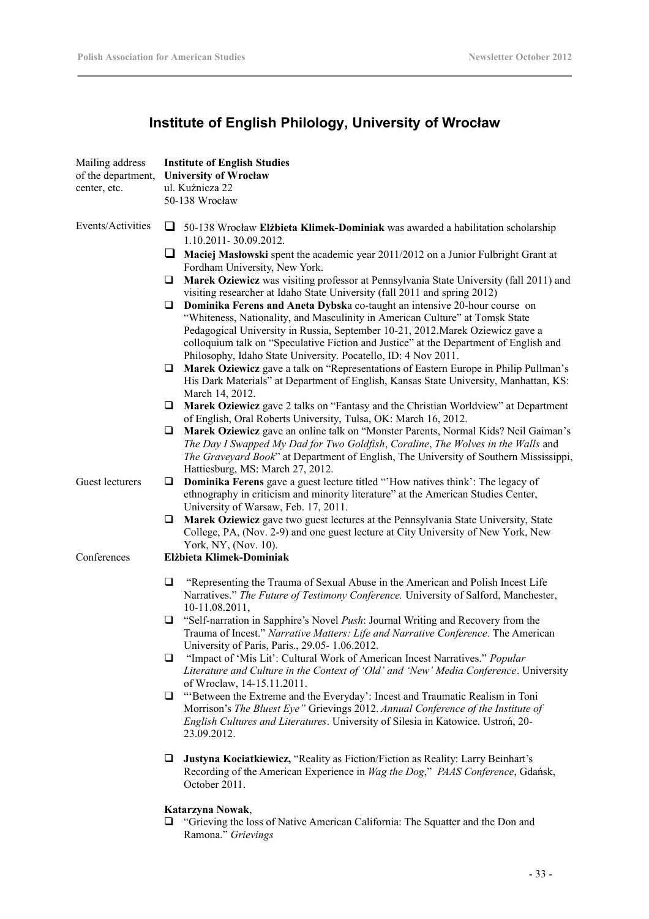# **Institute of English Philology, University of Wrocław**

| Mailing address<br>of the department,<br>center, etc. | <b>Institute of English Studies</b><br><b>University of Wrocław</b><br>ul. Kuźnicza 22<br>50-138 Wrocław                                                                                                                                                                                                                                                                                                    |
|-------------------------------------------------------|-------------------------------------------------------------------------------------------------------------------------------------------------------------------------------------------------------------------------------------------------------------------------------------------------------------------------------------------------------------------------------------------------------------|
| Events/Activities                                     | ❏<br>50-138 Wrocław Elżbieta Klimek-Dominiak was awarded a habilitation scholarship                                                                                                                                                                                                                                                                                                                         |
|                                                       | 1.10.2011-30.09.2012.<br>⊔<br>Maciej Masłowski spent the academic year 2011/2012 on a Junior Fulbright Grant at<br>Fordham University, New York.                                                                                                                                                                                                                                                            |
|                                                       | Marek Oziewicz was visiting professor at Pennsylvania State University (fall 2011) and<br>$\Box$<br>visiting researcher at Idaho State University (fall 2011 and spring 2012)                                                                                                                                                                                                                               |
|                                                       | Dominika Ferens and Aneta Dybska co-taught an intensive 20-hour course on<br>⊔<br>"Whiteness, Nationality, and Masculinity in American Culture" at Tomsk State<br>Pedagogical University in Russia, September 10-21, 2012. Marek Oziewicz gave a<br>colloquium talk on "Speculative Fiction and Justice" at the Department of English and<br>Philosophy, Idaho State University. Pocatello, ID: 4 Nov 2011. |
|                                                       | Marek Oziewicz gave a talk on "Representations of Eastern Europe in Philip Pullman's<br>u<br>His Dark Materials" at Department of English, Kansas State University, Manhattan, KS:<br>March 14, 2012.                                                                                                                                                                                                       |
|                                                       | Marek Oziewicz gave 2 talks on "Fantasy and the Christian Worldview" at Department<br>⊔<br>of English, Oral Roberts University, Tulsa, OK: March 16, 2012.                                                                                                                                                                                                                                                  |
|                                                       | Marek Oziewicz gave an online talk on "Monster Parents, Normal Kids? Neil Gaiman's<br>⊔<br>The Day I Swapped My Dad for Two Goldfish, Coraline, The Wolves in the Walls and<br>The Graveyard Book" at Department of English, The University of Southern Mississippi,<br>Hattiesburg, MS: March 27, 2012.                                                                                                    |
| Guest lecturers                                       | <b>Dominika Ferens</b> gave a guest lecture titled "How natives think': The legacy of<br>❏<br>ethnography in criticism and minority literature" at the American Studies Center,<br>University of Warsaw, Feb. 17, 2011.                                                                                                                                                                                     |
|                                                       | Marek Oziewicz gave two guest lectures at the Pennsylvania State University, State<br>u<br>College, PA, (Nov. 2-9) and one guest lecture at City University of New York, New<br>York, NY, (Nov. 10).                                                                                                                                                                                                        |
| Conferences                                           | Elżbieta Klimek-Dominiak                                                                                                                                                                                                                                                                                                                                                                                    |
|                                                       | $\Box$<br>"Representing the Trauma of Sexual Abuse in the American and Polish Incest Life<br>Narratives." The Future of Testimony Conference. University of Salford, Manchester,<br>10-11.08.2011,                                                                                                                                                                                                          |
|                                                       | "Self-narration in Sapphire's Novel <i>Push</i> : Journal Writing and Recovery from the<br>⊔<br>Trauma of Incest." Narrative Matters: Life and Narrative Conference. The American<br>University of Paris, Paris., 29.05-1.06.2012.                                                                                                                                                                          |
|                                                       | "Impact of 'Mis Lit': Cultural Work of American Incest Narratives." Popular<br>$\Box$<br>Literature and Culture in the Context of 'Old' and 'New' Media Conference. University<br>of Wroclaw, 14-15.11.2011.                                                                                                                                                                                                |
|                                                       | "Between the Extreme and the Everyday': Incest and Traumatic Realism in Toni<br>❏<br>Morrison's The Bluest Eye" Grievings 2012. Annual Conference of the Institute of<br>English Cultures and Literatures. University of Silesia in Katowice. Ustroń, 20-<br>23.09.2012.                                                                                                                                    |
|                                                       | Justyna Kociatkiewicz, "Reality as Fiction/Fiction as Reality: Larry Beinhart's<br>⊔<br>Recording of the American Experience in Wag the Dog," PAAS Conference, Gdańsk,<br>October 2011.                                                                                                                                                                                                                     |

## **Katarzyna Nowak**,

 "Grieving the loss of Native American California: The Squatter and the Don and Ramona." *Grievings*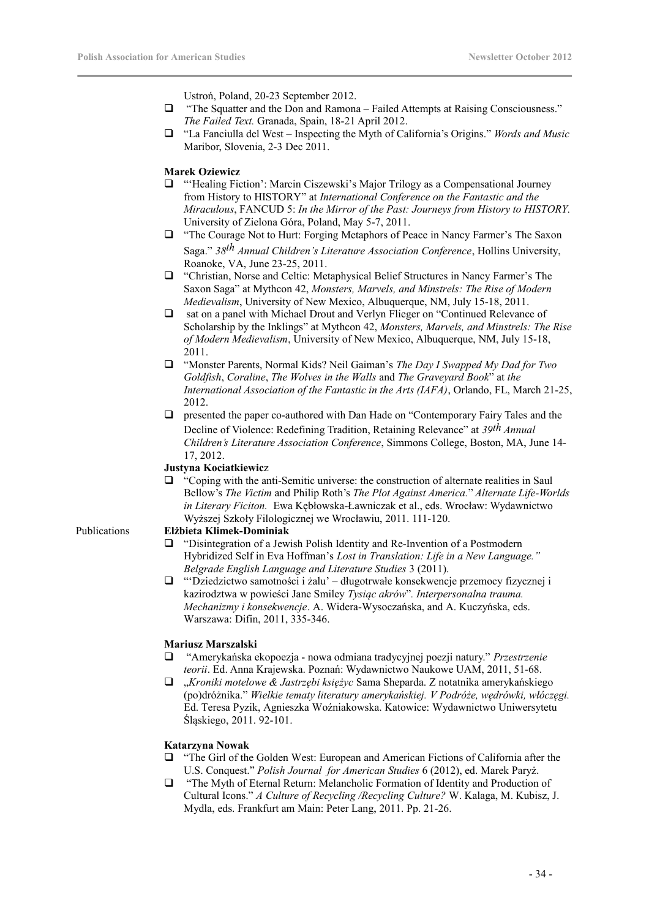Ustroń, Poland, 20-23 September 2012.

- "The Squatter and the Don and Ramona Failed Attempts at Raising Consciousness." *The Failed Text.* Granada, Spain, 18-21 April 2012.
- "La Fanciulla del West Inspecting the Myth of California's Origins." *Words and Music* Maribor, Slovenia, 2-3 Dec 2011.

### **Marek Oziewicz**

- "'Healing Fiction': Marcin Ciszewski's Major Trilogy as a Compensational Journey from History to HISTORY" at *International Conference on the Fantastic and the Miraculous*, FANCUD 5: *In the Mirror of the Past: Journeys from History to HISTORY.* University of Zielona Góra, Poland, May 5-7, 2011.
- "The Courage Not to Hurt: Forging Metaphors of Peace in Nancy Farmer's The Saxon Saga." *38th Annual Children's Literature Association Conference*, Hollins University, Roanoke, VA, June 23-25, 2011.
- "Christian, Norse and Celtic: Metaphysical Belief Structures in Nancy Farmer's The Saxon Saga" at Mythcon 42, *Monsters, Marvels, and Minstrels: The Rise of Modern Medievalism*, University of New Mexico, Albuquerque, NM, July 15-18, 2011.
- sat on a panel with Michael Drout and Verlyn Flieger on "Continued Relevance of Scholarship by the Inklings" at Mythcon 42, *Monsters, Marvels, and Minstrels: The Rise of Modern Medievalism*, University of New Mexico, Albuquerque, NM, July 15-18, 2011.
- "Monster Parents, Normal Kids? Neil Gaiman's *The Day I Swapped My Dad for Two Goldfish*, *Coraline*, *The Wolves in the Walls* and *The Graveyard Book*" at *the International Association of the Fantastic in the Arts (IAFA)*, Orlando, FL, March 21-25, 2012.
- presented the paper co-authored with Dan Hade on "Contemporary Fairy Tales and the Decline of Violence: Redefining Tradition, Retaining Relevance" at *39th Annual Children's Literature Association Conference*, Simmons College, Boston, MA, June 14- 17, 2012.

### **Justyna Kociatkiewic**z

 "Coping with the anti-Semitic universe: the construction of alternate realities in Saul Bellow's *The Victim* and Philip Roth's *The Plot Against America.*" *Alternate Life-Worlds in Literary Ficiton.* Ewa Kębłowska-Ławniczak et al., eds. Wrocław: Wydawnictwo Wyższej Szkoły Filologicznej we Wrocławiu, 2011. 111-120.

### Publications **Elżbieta Klimek-Dominiak**

- "Disintegration of a Jewish Polish Identity and Re-Invention of a Postmodern Hybridized Self in Eva Hoffman's *Lost in Translation: Life in a New Language." Belgrade English Language and Literature Studies* 3 (2011).
- "'Dziedzictwo samotności i żalu' długotrwałe konsekwencje przemocy fizycznej i kazirodztwa w powieści Jane Smiley *Tysiąc akrów*"*. Interpersonalna trauma. Mechanizmy i konsekwencje*. A. Widera-Wysoczańska, and A. Kuczyńska, eds. Warszawa: Difin, 2011, 335-346.

### **Mariusz Marszalski**

- "Amerykańska ekopoezja nowa odmiana tradycyjnej poezji natury." *Przestrzenie teorii*. Ed. Anna Krajewska. Poznań: Wydawnictwo Naukowe UAM, 2011, 51-68.
- "*Kroniki motelowe & Jastrzębi księżyc* Sama Sheparda. Z notatnika amerykańskiego (po)dróżnika." *Wielkie tematy literatury amerykańskiej. V Podróże, wędrówki, włóczęgi.* Ed. Teresa Pyzik, Agnieszka Woźniakowska. Katowice: Wydawnictwo Uniwersytetu Śląskiego, 2011. 92-101.

### **Katarzyna Nowak**

- "The Girl of the Golden West: European and American Fictions of California after the U.S. Conquest." *Polish Journal for American Studies* 6 (2012), ed. Marek Paryż.
- "The Myth of Eternal Return: Melancholic Formation of Identity and Production of Cultural Icons." *A Culture of Recycling /Recycling Culture?* W. Kalaga, M. Kubisz, J. Mydla, eds. Frankfurt am Main: Peter Lang, 2011. Pp. 21-26.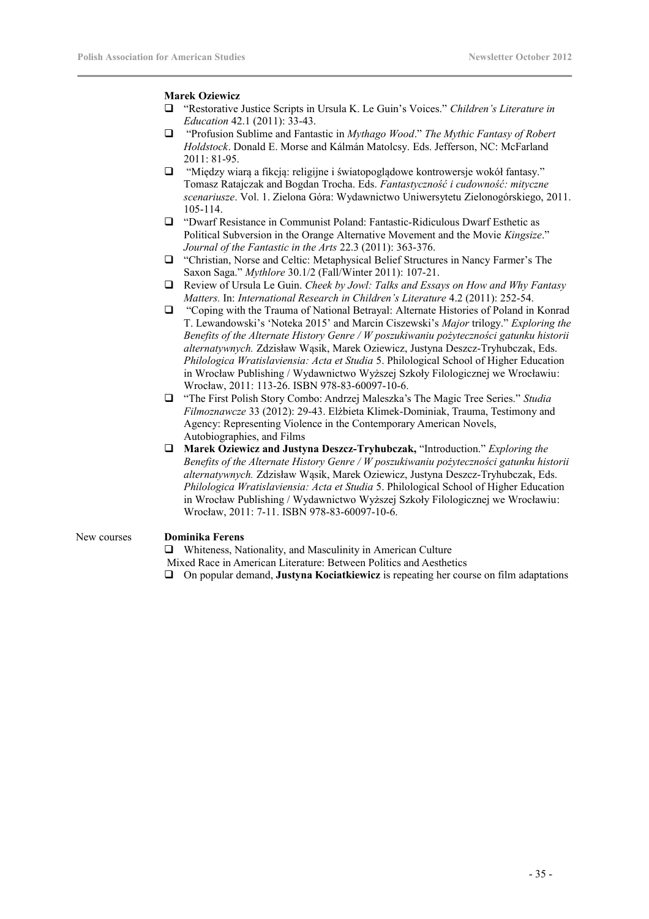### **Marek Oziewicz**

- "Restorative Justice Scripts in Ursula K. Le Guin's Voices." *Children's Literature in Education* 42.1 (2011): 33-43.
- "Profusion Sublime and Fantastic in *Mythago Wood*." *The Mythic Fantasy of Robert Holdstock*. Donald E. Morse and Kálmán Matolcsy. Eds. Jefferson, NC: McFarland 2011: 81-95.
- $\Box$  "Między wiarą a fikcją: religijne i światopoglądowe kontrowersje wokół fantasy." Tomasz Ratajczak and Bogdan Trocha. Eds. *Fantastyczność i cudowność: mityczne scenariusze*. Vol. 1. Zielona Góra: Wydawnictwo Uniwersytetu Zielonogórskiego, 2011. 105-114.
- "Dwarf Resistance in Communist Poland: Fantastic-Ridiculous Dwarf Esthetic as Political Subversion in the Orange Alternative Movement and the Movie *Kingsize*." *Journal of the Fantastic in the Arts* 22.3 (2011): 363-376.
- "Christian, Norse and Celtic: Metaphysical Belief Structures in Nancy Farmer's The Saxon Saga." *Mythlore* 30.1/2 (Fall/Winter 2011): 107-21.
- Review of Ursula Le Guin. *Cheek by Jowl: Talks and Essays on How and Why Fantasy Matters.* In: *International Research in Children's Literature* 4.2 (2011): 252-54.
- "Coping with the Trauma of National Betrayal: Alternate Histories of Poland in Konrad T. Lewandowski's 'Noteka 2015' and Marcin Ciszewski's *Major* trilogy." *Exploring the Benefits of the Alternate History Genre / W poszukiwaniu pożyteczności gatunku historii alternatywnych.* Zdzisław Wąsik, Marek Oziewicz, Justyna Deszcz-Tryhubczak, Eds. *Philologica Wratislaviensia: Acta et Studia* 5. Philological School of Higher Education in Wrocław Publishing / Wydawnictwo Wyższej Szkoły Filologicznej we Wrocławiu: Wrocław, 2011: 113-26. ISBN 978-83-60097-10-6.
- "The First Polish Story Combo: Andrzej Maleszka's The Magic Tree Series." *Studia Filmoznawcze* 33 (2012): 29-43. Elżbieta Klimek-Dominiak, Trauma, Testimony and Agency: Representing Violence in the Contemporary American Novels, Autobiographies, and Films
- **Marek Oziewicz and Justyna Deszcz-Tryhubczak,** "Introduction." *Exploring the Benefits of the Alternate History Genre / W poszukiwaniu pożyteczności gatunku historii alternatywnych.* Zdzisław Wąsik, Marek Oziewicz, Justyna Deszcz-Tryhubczak, Eds. *Philologica Wratislaviensia: Acta et Studia* 5. Philological School of Higher Education in Wrocław Publishing / Wydawnictwo Wyższej Szkoły Filologicznej we Wrocławiu: Wrocław, 2011: 7-11. ISBN 978-83-60097-10-6.

### New courses **Dominika Ferens**

 Whiteness, Nationality, and Masculinity in American Culture Mixed Race in American Literature: Between Politics and Aesthetics On popular demand, **Justyna Kociatkiewicz** is repeating her course on film adaptations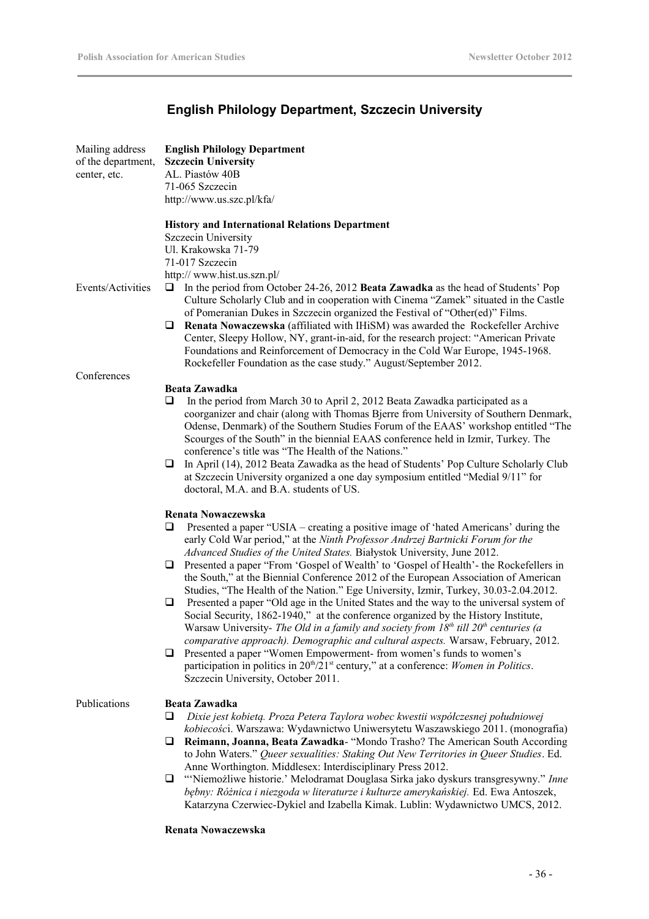# **English Philology Department, Szczecin University**

| Mailing address<br>of the department,<br>center, etc. | <b>English Philology Department</b><br><b>Szczecin University</b><br>AL. Piastów 40B<br>71-065 Szczecin<br>http://www.us.szc.pl/kfa/                                                                                                                                                                                                                                                                                                                                                                                                                                                                                                                                                                                                                          |
|-------------------------------------------------------|---------------------------------------------------------------------------------------------------------------------------------------------------------------------------------------------------------------------------------------------------------------------------------------------------------------------------------------------------------------------------------------------------------------------------------------------------------------------------------------------------------------------------------------------------------------------------------------------------------------------------------------------------------------------------------------------------------------------------------------------------------------|
| Events/Activities                                     | <b>History and International Relations Department</b><br>Szczecin University<br>Ul. Krakowska 71-79<br>71-017 Szczecin<br>http:// www.hist.us.szn.pl/<br>In the period from October 24-26, 2012 Beata Zawadka as the head of Students' Pop<br>u<br>Culture Scholarly Club and in cooperation with Cinema "Zamek" situated in the Castle<br>of Pomeranian Dukes in Szczecin organized the Festival of "Other(ed)" Films.<br>Renata Nowaczewska (affiliated with IHiSM) was awarded the Rockefeller Archive<br>⊔<br>Center, Sleepy Hollow, NY, grant-in-aid, for the research project: "American Private"<br>Foundations and Reinforcement of Democracy in the Cold War Europe, 1945-1968.<br>Rockefeller Foundation as the case study." August/September 2012. |
| Conferences                                           |                                                                                                                                                                                                                                                                                                                                                                                                                                                                                                                                                                                                                                                                                                                                                               |
|                                                       | <b>Beata Zawadka</b><br>In the period from March 30 to April 2, 2012 Beata Zawadka participated as a<br>⊔<br>coorganizer and chair (along with Thomas Bjerre from University of Southern Denmark,<br>Odense, Denmark) of the Southern Studies Forum of the EAAS' workshop entitled "The<br>Scourges of the South" in the biennial EAAS conference held in Izmir, Turkey. The<br>conference's title was "The Health of the Nations."<br>In April (14), 2012 Beata Zawadka as the head of Students' Pop Culture Scholarly Club<br>❏<br>at Szczecin University organized a one day symposium entitled "Medial 9/11" for<br>doctoral, M.A. and B.A. students of US.                                                                                               |
|                                                       | Renata Nowaczewska<br>Presented a paper "USIA – creating a positive image of 'hated Americans' during the<br>⊔<br>early Cold War period," at the Ninth Professor Andrzej Bartnicki Forum for the<br>Advanced Studies of the United States. Białystok University, June 2012.                                                                                                                                                                                                                                                                                                                                                                                                                                                                                   |
|                                                       | Presented a paper "From 'Gospel of Wealth' to 'Gospel of Health' - the Rockefellers in<br>⊔<br>the South," at the Biennial Conference 2012 of the European Association of American<br>Studies, "The Health of the Nation." Ege University, Izmir, Turkey, 30.03-2.04.2012.                                                                                                                                                                                                                                                                                                                                                                                                                                                                                    |
|                                                       | Presented a paper "Old age in the United States and the way to the universal system of<br>❏<br>Social Security, 1862-1940," at the conference organized by the History Institute,<br>Warsaw University- The Old in a family and society from $18th$ till $20th$ centuries (a<br>comparative approach). Demographic and cultural aspects. Warsaw, February, 2012.                                                                                                                                                                                                                                                                                                                                                                                              |
|                                                       | Presented a paper "Women Empowerment- from women's funds to women's<br>⊔<br>participation in politics in 20 <sup>th</sup> /21 <sup>st</sup> century," at a conference: Women in Politics.<br>Szczecin University, October 2011.                                                                                                                                                                                                                                                                                                                                                                                                                                                                                                                               |
| Publications                                          | <b>Beata Zawadka</b><br>Dixie jest kobietą. Proza Petera Taylora wobec kwestii współczesnej południowej<br>❏                                                                                                                                                                                                                                                                                                                                                                                                                                                                                                                                                                                                                                                  |
|                                                       | kobiecości. Warszawa: Wydawnictwo Uniwersytetu Waszawskiego 2011. (monografia)<br>Reimann, Joanna, Beata Zawadka- "Mondo Trasho? The American South According<br>⊔<br>to John Waters." Queer sexualities: Staking Out New Territories in Queer Studies. Ed.                                                                                                                                                                                                                                                                                                                                                                                                                                                                                                   |
|                                                       | Anne Worthington. Middlesex: Interdisciplinary Press 2012.<br>"Niemożliwe historie.' Melodramat Douglasa Sirka jako dyskurs transgresywny." Inne<br>⊔<br>bębny: Różnica i niezgoda w literaturze i kulturze amerykańskiej. Ed. Ewa Antoszek,<br>Katarzyna Czerwiec-Dykiel and Izabella Kimak. Lublin: Wydawnictwo UMCS, 2012.                                                                                                                                                                                                                                                                                                                                                                                                                                 |

### **Renata Nowaczewska**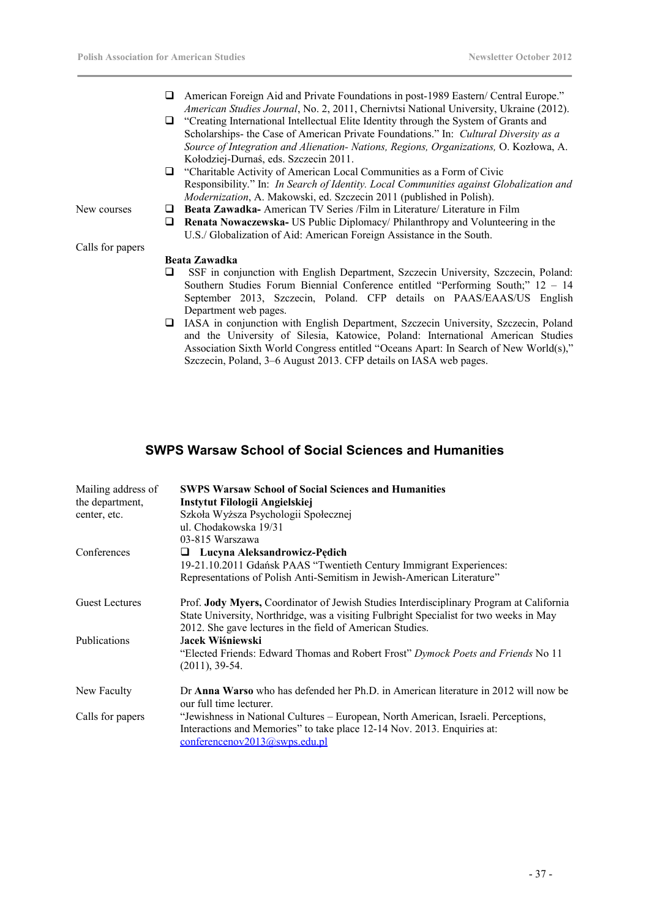- American Foreign Aid and Private Foundations in post-1989 Eastern/ Central Europe." *American Studies Journal*, No. 2, 2011, Chernivtsi National University, Ukraine (2012).
- "Creating International Intellectual Elite Identity through the System of Grants and Scholarships- the Case of American Private Foundations." In: *Cultural Diversity as a Source of Integration and Alienation- Nations, Regions, Organizations,* O. Kozłowa, A. Kołodziej-Durnaś, eds. Szczecin 2011.
- $\Box$  "Charitable Activity of American Local Communities as a Form of Civic Responsibility." In: *In Search of Identity. Local Communities against Globalization and Modernization*, A. Makowski, ed. Szczecin 2011 (published in Polish).
- New courses **D** Beata Zawadka- American TV Series /Film in Literature/ Literature in Film
	- **Renata Nowaczewska-** US Public Diplomacy/ Philanthropy and Volunteering in the U.S./ Globalization of Aid: American Foreign Assistance in the South.

### **Beata Zawadka**

- SSF in conjunction with English Department, Szczecin University, Szczecin, Poland: Southern Studies Forum Biennial Conference entitled "Performing South;" 12 – 14 September 2013, Szczecin, Poland. CFP details on PAAS/EAAS/US English Department web pages.
- IASA in conjunction with English Department, Szczecin University, Szczecin, Poland and the University of Silesia, Katowice, Poland: International American Studies Association Sixth World Congress entitled "Oceans Apart: In Search of New World(s)," Szczecin, Poland, 3–6 August 2013. CFP details on IASA web pages.

# **SWPS Warsaw School of Social Sciences and Humanities**

| Mailing address of    | <b>SWPS Warsaw School of Social Sciences and Humanities</b>                                |
|-----------------------|--------------------------------------------------------------------------------------------|
| the department,       | Instytut Filologii Angielskiej                                                             |
| center, etc.          | Szkoła Wyższa Psychologii Społecznej                                                       |
|                       | ul. Chodakowska 19/31                                                                      |
|                       | 03-815 Warszawa                                                                            |
| Conferences           | $\Box$ Lucyna Aleksandrowicz-Pędich                                                        |
|                       | 19-21.10.2011 Gdańsk PAAS "Twentieth Century Immigrant Experiences:                        |
|                       | Representations of Polish Anti-Semitism in Jewish-American Literature"                     |
| <b>Guest Lectures</b> | Prof. Jody Myers, Coordinator of Jewish Studies Interdisciplinary Program at California    |
|                       | State University, Northridge, was a visiting Fulbright Specialist for two weeks in May     |
|                       | 2012. She gave lectures in the field of American Studies.                                  |
| <b>Publications</b>   | Jacek Wiśniewski                                                                           |
|                       | "Elected Friends: Edward Thomas and Robert Frost" Dymock Poets and Friends No 11           |
|                       | $(2011), 39-54.$                                                                           |
| New Faculty           | Dr <b>Anna Warso</b> who has defended her Ph.D. in American literature in 2012 will now be |
|                       | our full time lecturer.                                                                    |
| Calls for papers      | "Jewishness in National Cultures – European, North American, Israeli. Perceptions,         |
|                       | Interactions and Memories" to take place 12-14 Nov. 2013. Enquiries at:                    |
|                       | conferenceov2013@swps.edu.pl                                                               |

Calls for papers